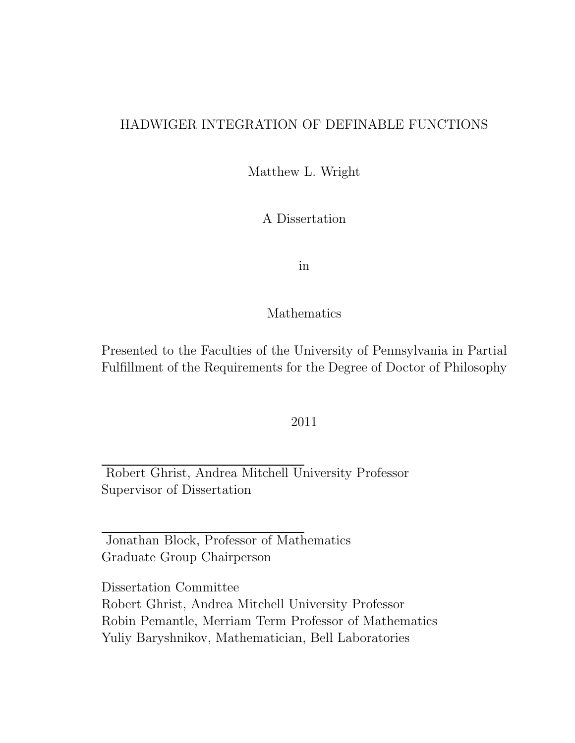#### HADWIGER INTEGRATION OF DEFINABLE FUNCTIONS

Matthew L. Wright

A Dissertation

in

#### Mathematics

Presented to the Faculties of the University of Pennsylvania in Partial Fulfillment of the Requirements for the Degree of Doctor of Philosophy

#### 2011

Robert Ghrist, Andrea Mitchell University Professor Supervisor of Dissertation

Jonathan Block, Professor of Mathematics Graduate Group Chairperson

Dissertation Committee Robert Ghrist, Andrea Mitchell University Professor Robin Pemantle, Merriam Term Professor of Mathematics Yuliy Baryshnikov, Mathematician, Bell Laboratories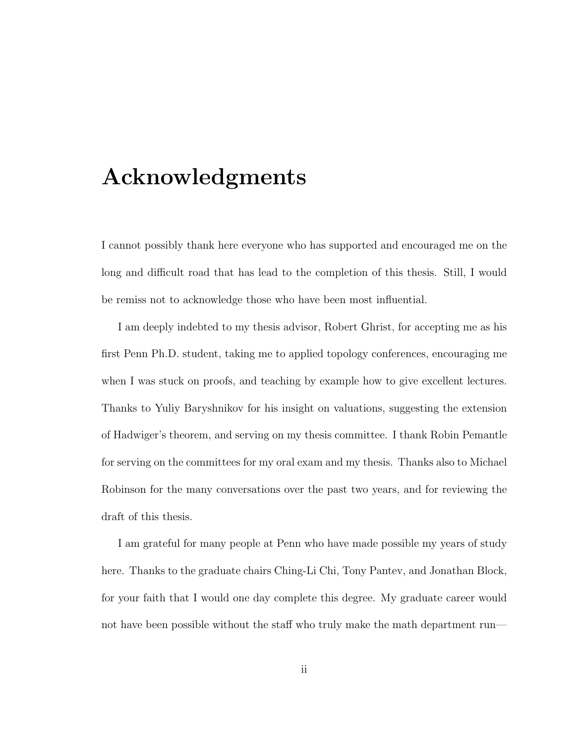### Acknowledgments

I cannot possibly thank here everyone who has supported and encouraged me on the long and difficult road that has lead to the completion of this thesis. Still, I would be remiss not to acknowledge those who have been most influential.

I am deeply indebted to my thesis advisor, Robert Ghrist, for accepting me as his first Penn Ph.D. student, taking me to applied topology conferences, encouraging me when I was stuck on proofs, and teaching by example how to give excellent lectures. Thanks to Yuliy Baryshnikov for his insight on valuations, suggesting the extension of Hadwiger's theorem, and serving on my thesis committee. I thank Robin Pemantle for serving on the committees for my oral exam and my thesis. Thanks also to Michael Robinson for the many conversations over the past two years, and for reviewing the draft of this thesis.

I am grateful for many people at Penn who have made possible my years of study here. Thanks to the graduate chairs Ching-Li Chi, Tony Pantev, and Jonathan Block, for your faith that I would one day complete this degree. My graduate career would not have been possible without the staff who truly make the math department run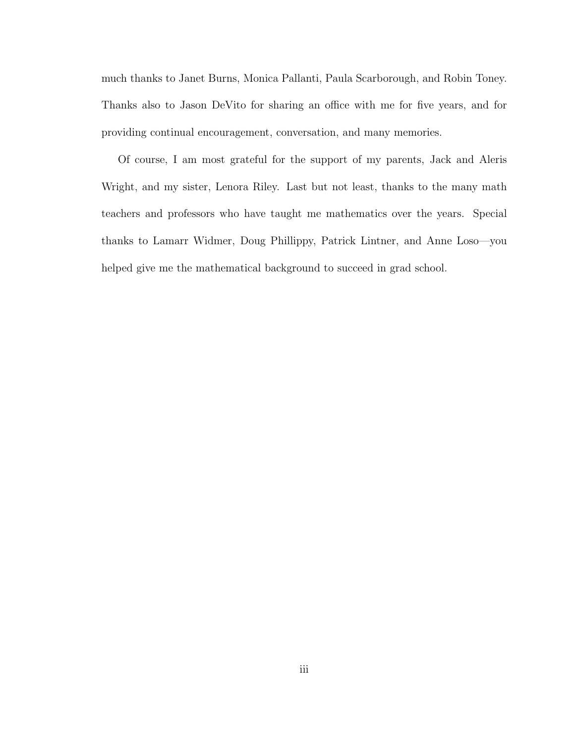much thanks to Janet Burns, Monica Pallanti, Paula Scarborough, and Robin Toney. Thanks also to Jason DeVito for sharing an office with me for five years, and for providing continual encouragement, conversation, and many memories.

Of course, I am most grateful for the support of my parents, Jack and Aleris Wright, and my sister, Lenora Riley. Last but not least, thanks to the many math teachers and professors who have taught me mathematics over the years. Special thanks to Lamarr Widmer, Doug Phillippy, Patrick Lintner, and Anne Loso—you helped give me the mathematical background to succeed in grad school.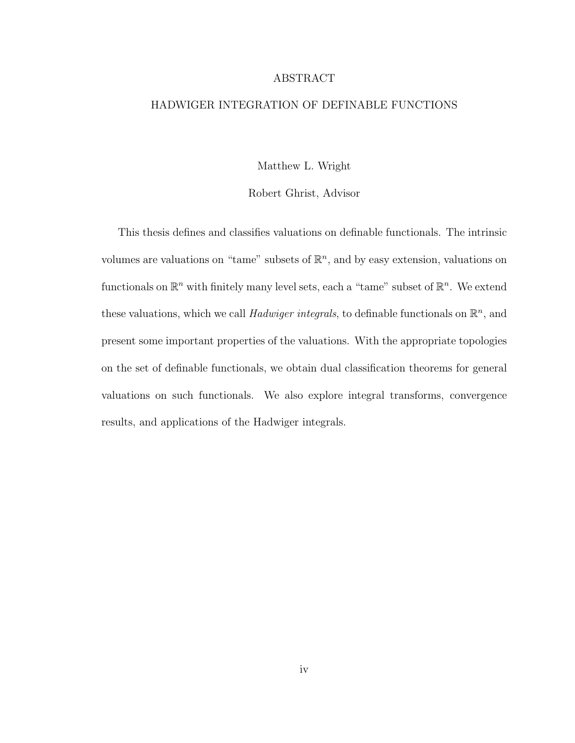#### ABSTRACT

#### HADWIGER INTEGRATION OF DEFINABLE FUNCTIONS

Matthew L. Wright

Robert Ghrist, Advisor

This thesis defines and classifies valuations on definable functionals. The intrinsic volumes are valuations on "tame" subsets of  $\mathbb{R}^n$ , and by easy extension, valuations on functionals on  $\mathbb{R}^n$  with finitely many level sets, each a "tame" subset of  $\mathbb{R}^n$ . We extend these valuations, which we call *Hadwiger integrals*, to definable functionals on  $\mathbb{R}^n$ , and present some important properties of the valuations. With the appropriate topologies on the set of definable functionals, we obtain dual classification theorems for general valuations on such functionals. We also explore integral transforms, convergence results, and applications of the Hadwiger integrals.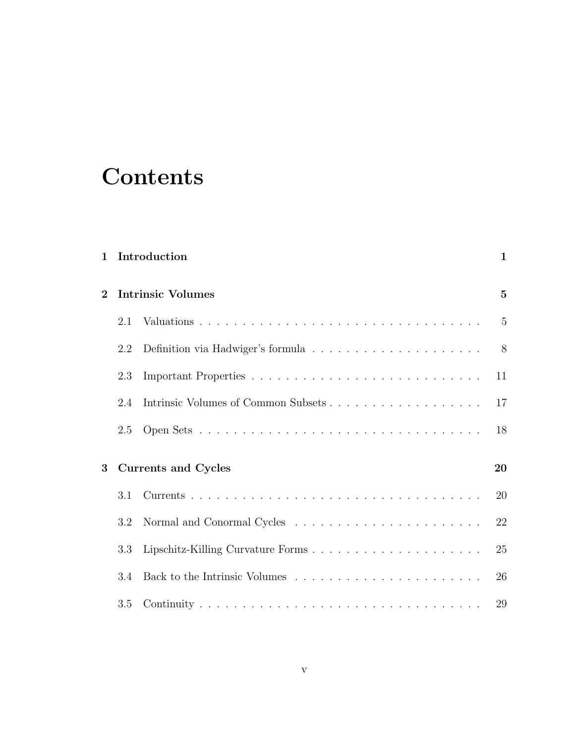# **Contents**

| $\mathbf{1}$ |     | Introduction                                                                         | $\mathbf{1}$   |
|--------------|-----|--------------------------------------------------------------------------------------|----------------|
| $\bf{2}$     |     | <b>Intrinsic Volumes</b>                                                             | $\overline{5}$ |
|              | 2.1 |                                                                                      | $\overline{5}$ |
|              | 2.2 | Definition via Hadwiger's formula $\ldots \ldots \ldots \ldots \ldots \ldots \ldots$ | 8              |
|              | 2.3 |                                                                                      | 11             |
|              | 2.4 |                                                                                      | 17             |
|              | 2.5 |                                                                                      | 18             |
| 3            |     | <b>Currents and Cycles</b>                                                           | 20             |
|              | 3.1 |                                                                                      | 20             |
|              | 3.2 |                                                                                      | 22             |
|              | 3.3 |                                                                                      | 25             |
|              | 3.4 |                                                                                      | 26             |
|              | 3.5 |                                                                                      | 29             |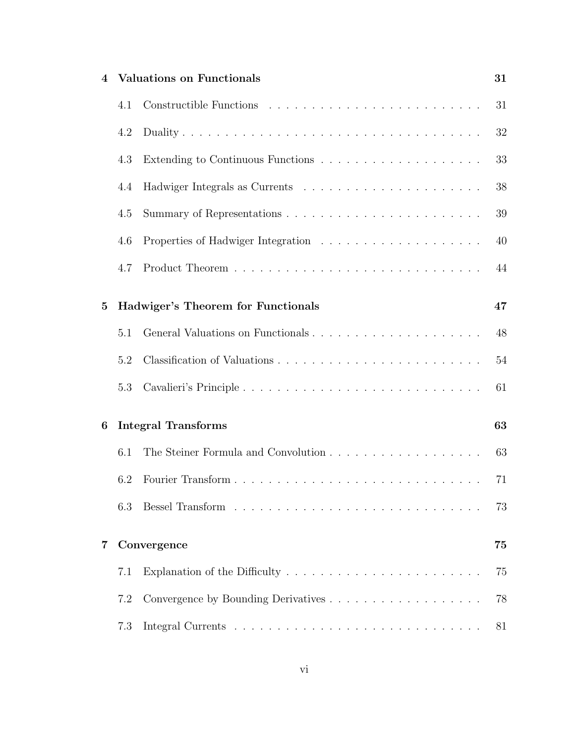| 4              |     | <b>Valuations on Functionals</b>                                                                                                                                                                                               | 31 |
|----------------|-----|--------------------------------------------------------------------------------------------------------------------------------------------------------------------------------------------------------------------------------|----|
|                | 4.1 |                                                                                                                                                                                                                                | 31 |
|                | 4.2 |                                                                                                                                                                                                                                | 32 |
|                | 4.3 | Extending to Continuous Functions $\ldots \ldots \ldots \ldots \ldots \ldots \ldots$                                                                                                                                           | 33 |
|                | 4.4 |                                                                                                                                                                                                                                | 38 |
|                | 4.5 |                                                                                                                                                                                                                                | 39 |
|                | 4.6 |                                                                                                                                                                                                                                | 40 |
|                | 4.7 |                                                                                                                                                                                                                                | 44 |
| $\overline{5}$ |     | Hadwiger's Theorem for Functionals                                                                                                                                                                                             | 47 |
|                | 5.1 |                                                                                                                                                                                                                                | 48 |
|                | 5.2 |                                                                                                                                                                                                                                | 54 |
|                | 5.3 |                                                                                                                                                                                                                                | 61 |
| 6              |     | <b>Integral Transforms</b>                                                                                                                                                                                                     | 63 |
|                | 6.1 |                                                                                                                                                                                                                                | 63 |
|                | 6.2 |                                                                                                                                                                                                                                | 71 |
|                | 6.3 | Bessel Transform research resources in the set of the set of the set of the set of the set of the set of the set of the set of the set of the set of the set of the set of the set of the set of the set of the set of the set | 73 |
| 7              |     | Convergence                                                                                                                                                                                                                    | 75 |
|                | 7.1 | Explanation of the Difficulty $\dots \dots \dots \dots \dots \dots \dots \dots$                                                                                                                                                | 75 |
|                | 7.2 |                                                                                                                                                                                                                                | 78 |
|                | 7.3 |                                                                                                                                                                                                                                | 81 |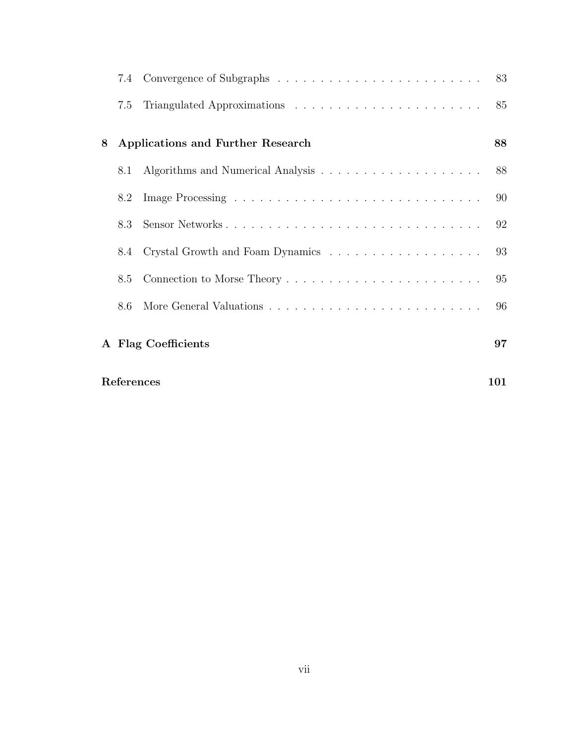|   |     |                                   | 83 |
|---|-----|-----------------------------------|----|
|   | 7.5 |                                   | 85 |
| 8 |     | Applications and Further Research | 88 |
|   | 8.1 |                                   | 88 |
|   | 8.2 |                                   | 90 |
|   | 8.3 | Sensor Networks                   | 92 |
|   | 8.4 |                                   | 93 |
|   | 8.5 |                                   | 95 |
|   | 8.6 |                                   | 96 |
|   |     | A Flag Coefficients               | 97 |

| References | 101 |
|------------|-----|
|------------|-----|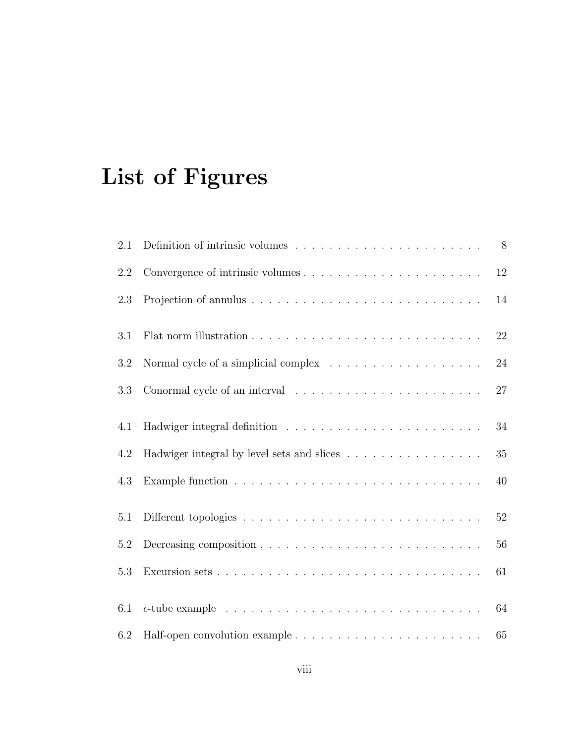# List of Figures

| 2.1     |                                                                                                  | 8      |
|---------|--------------------------------------------------------------------------------------------------|--------|
| 2.2     |                                                                                                  | $12\,$ |
| 2.3     |                                                                                                  | 14     |
| 3.1     |                                                                                                  | 22     |
| 3.2     |                                                                                                  | 24     |
| 3.3     | Conormal cycle of an interval $\ldots \ldots \ldots \ldots \ldots \ldots \ldots$                 | 27     |
| 4.1     |                                                                                                  | 34     |
| 4.2     | Hadwiger integral by level sets and slices                                                       | $35\,$ |
| 4.3     |                                                                                                  | 40     |
| 5.1     |                                                                                                  | $52\,$ |
| $5.2\,$ |                                                                                                  | 56     |
| 5.3     |                                                                                                  | 61     |
| 6.1     | $\epsilon$ -tube example $\ldots \ldots \ldots \ldots \ldots \ldots \ldots \ldots \ldots \ldots$ | 64     |
| 6.2     |                                                                                                  | 65     |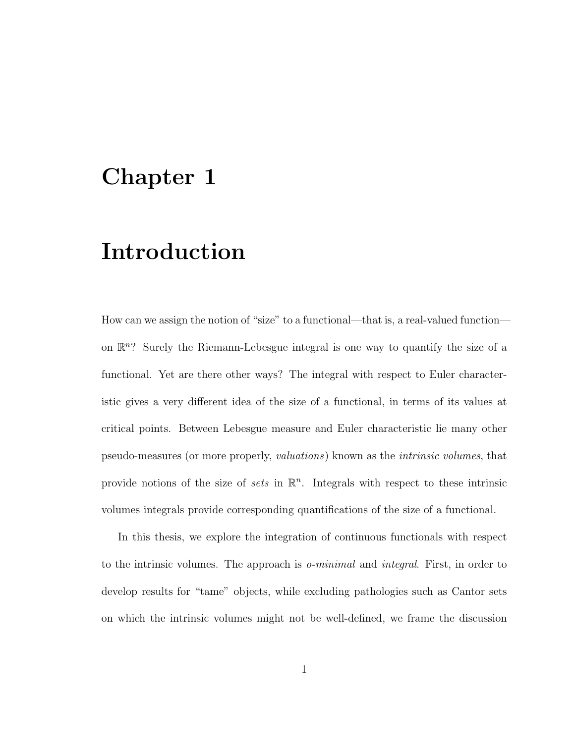## Chapter 1

## Introduction

How can we assign the notion of "size" to a functional—that is, a real-valued function on  $\mathbb{R}^n$ ? Surely the Riemann-Lebesgue integral is one way to quantify the size of a functional. Yet are there other ways? The integral with respect to Euler characteristic gives a very different idea of the size of a functional, in terms of its values at critical points. Between Lebesgue measure and Euler characteristic lie many other pseudo-measures (or more properly, valuations) known as the intrinsic volumes, that provide notions of the size of sets in  $\mathbb{R}^n$ . Integrals with respect to these intrinsic volumes integrals provide corresponding quantifications of the size of a functional.

In this thesis, we explore the integration of continuous functionals with respect to the intrinsic volumes. The approach is o-minimal and integral. First, in order to develop results for "tame" objects, while excluding pathologies such as Cantor sets on which the intrinsic volumes might not be well-defined, we frame the discussion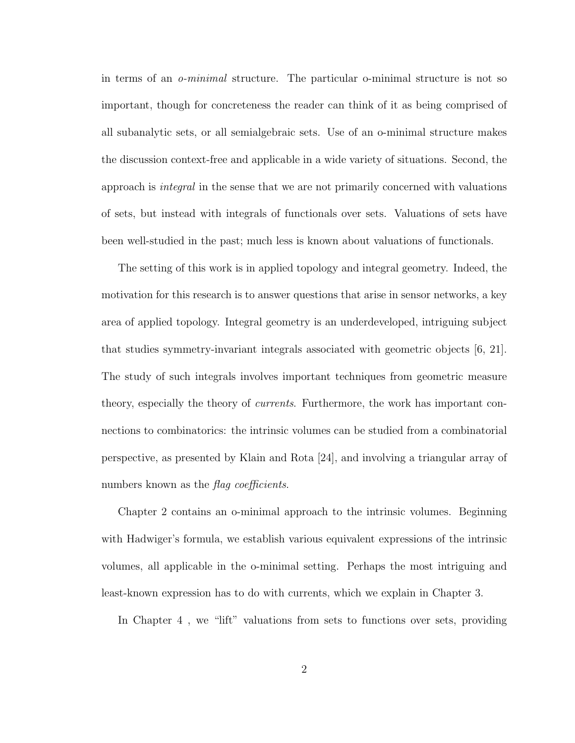in terms of an o-minimal structure. The particular o-minimal structure is not so important, though for concreteness the reader can think of it as being comprised of all subanalytic sets, or all semialgebraic sets. Use of an o-minimal structure makes the discussion context-free and applicable in a wide variety of situations. Second, the approach is integral in the sense that we are not primarily concerned with valuations of sets, but instead with integrals of functionals over sets. Valuations of sets have been well-studied in the past; much less is known about valuations of functionals.

The setting of this work is in applied topology and integral geometry. Indeed, the motivation for this research is to answer questions that arise in sensor networks, a key area of applied topology. Integral geometry is an underdeveloped, intriguing subject that studies symmetry-invariant integrals associated with geometric objects [6, 21]. The study of such integrals involves important techniques from geometric measure theory, especially the theory of currents. Furthermore, the work has important connections to combinatorics: the intrinsic volumes can be studied from a combinatorial perspective, as presented by Klain and Rota [24], and involving a triangular array of numbers known as the *flag coefficients*.

Chapter 2 contains an o-minimal approach to the intrinsic volumes. Beginning with Hadwiger's formula, we establish various equivalent expressions of the intrinsic volumes, all applicable in the o-minimal setting. Perhaps the most intriguing and least-known expression has to do with currents, which we explain in Chapter 3.

In Chapter 4 , we "lift" valuations from sets to functions over sets, providing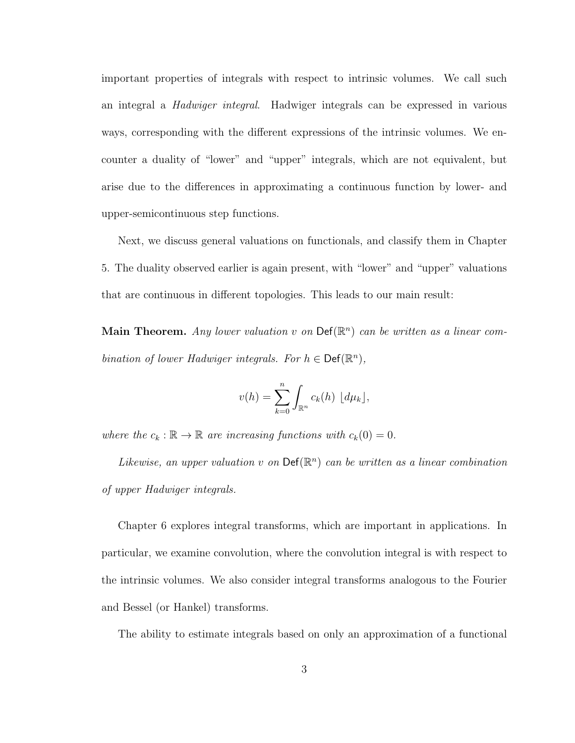important properties of integrals with respect to intrinsic volumes. We call such an integral a Hadwiger integral. Hadwiger integrals can be expressed in various ways, corresponding with the different expressions of the intrinsic volumes. We encounter a duality of "lower" and "upper" integrals, which are not equivalent, but arise due to the differences in approximating a continuous function by lower- and upper-semicontinuous step functions.

Next, we discuss general valuations on functionals, and classify them in Chapter 5. The duality observed earlier is again present, with "lower" and "upper" valuations that are continuous in different topologies. This leads to our main result:

Main Theorem. Any lower valuation v on  $\mathsf{Def}(\mathbb{R}^n)$  can be written as a linear combination of lower Hadwiger integrals. For  $h \in \text{Def}(\mathbb{R}^n)$ ,

$$
v(h) = \sum_{k=0}^{n} \int_{\mathbb{R}^n} c_k(h) \, \lfloor d\mu_k \rfloor,
$$

where the  $c_k : \mathbb{R} \to \mathbb{R}$  are increasing functions with  $c_k(0) = 0$ .

Likewise, an upper valuation v on  $\mathsf{Def}(\mathbb{R}^n)$  can be written as a linear combination of upper Hadwiger integrals.

Chapter 6 explores integral transforms, which are important in applications. In particular, we examine convolution, where the convolution integral is with respect to the intrinsic volumes. We also consider integral transforms analogous to the Fourier and Bessel (or Hankel) transforms.

The ability to estimate integrals based on only an approximation of a functional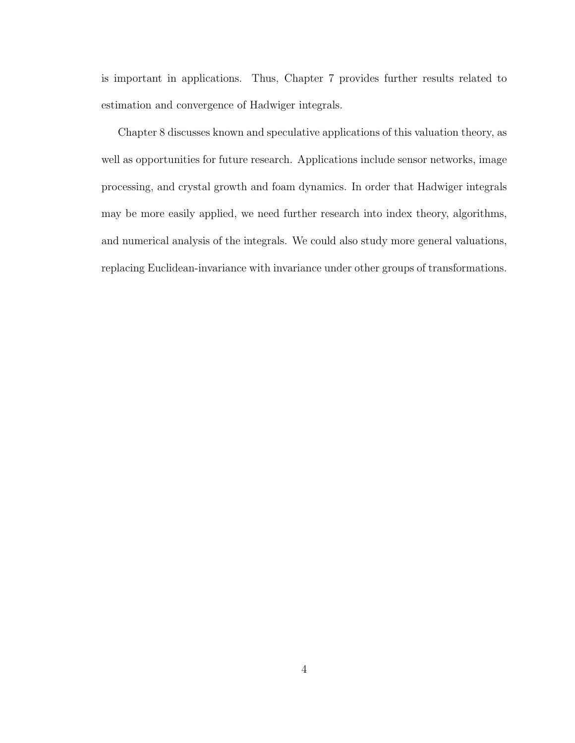is important in applications. Thus, Chapter 7 provides further results related to estimation and convergence of Hadwiger integrals.

Chapter 8 discusses known and speculative applications of this valuation theory, as well as opportunities for future research. Applications include sensor networks, image processing, and crystal growth and foam dynamics. In order that Hadwiger integrals may be more easily applied, we need further research into index theory, algorithms, and numerical analysis of the integrals. We could also study more general valuations, replacing Euclidean-invariance with invariance under other groups of transformations.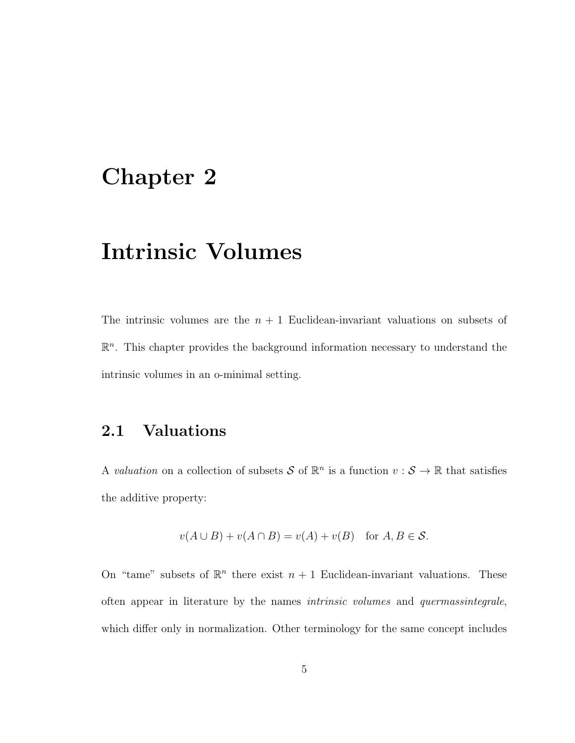### Chapter 2

## Intrinsic Volumes

The intrinsic volumes are the  $n + 1$  Euclidean-invariant valuations on subsets of  $\mathbb{R}^n$ . This chapter provides the background information necessary to understand the intrinsic volumes in an o-minimal setting.

### 2.1 Valuations

A valuation on a collection of subsets S of  $\mathbb{R}^n$  is a function  $v : \mathcal{S} \to \mathbb{R}$  that satisfies the additive property:

$$
v(A \cup B) + v(A \cap B) = v(A) + v(B) \quad \text{for } A, B \in \mathcal{S}.
$$

On "tame" subsets of  $\mathbb{R}^n$  there exist  $n+1$  Euclidean-invariant valuations. These often appear in literature by the names intrinsic volumes and quermassintegrale, which differ only in normalization. Other terminology for the same concept includes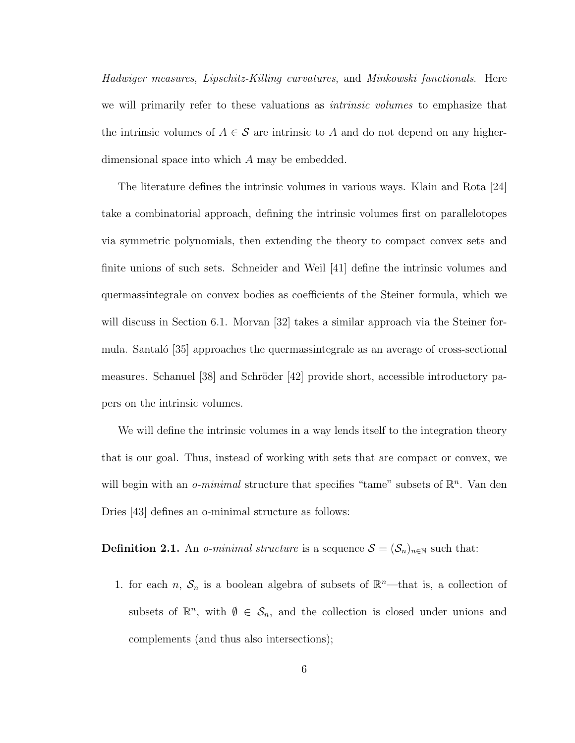Hadwiger measures, Lipschitz-Killing curvatures, and Minkowski functionals. Here we will primarily refer to these valuations as *intrinsic volumes* to emphasize that the intrinsic volumes of  $A \in \mathcal{S}$  are intrinsic to A and do not depend on any higherdimensional space into which A may be embedded.

The literature defines the intrinsic volumes in various ways. Klain and Rota [24] take a combinatorial approach, defining the intrinsic volumes first on parallelotopes via symmetric polynomials, then extending the theory to compact convex sets and finite unions of such sets. Schneider and Weil [41] define the intrinsic volumes and quermassintegrale on convex bodies as coefficients of the Steiner formula, which we will discuss in Section 6.1. Morvan [32] takes a similar approach via the Steiner formula. Santaló [35] approaches the quermassintegrale as an average of cross-sectional measures. Schanuel  $[38]$  and Schröder  $[42]$  provide short, accessible introductory papers on the intrinsic volumes.

We will define the intrinsic volumes in a way lends itself to the integration theory that is our goal. Thus, instead of working with sets that are compact or convex, we will begin with an *o-minimal* structure that specifies "tame" subsets of  $\mathbb{R}^n$ . Van den Dries [43] defines an o-minimal structure as follows:

**Definition 2.1.** An *o-minimal structure* is a sequence  $S = (\mathcal{S}_n)_{n \in \mathbb{N}}$  such that:

1. for each *n*,  $S_n$  is a boolean algebra of subsets of  $\mathbb{R}^n$ —that is, a collection of subsets of  $\mathbb{R}^n$ , with  $\emptyset \in \mathcal{S}_n$ , and the collection is closed under unions and complements (and thus also intersections);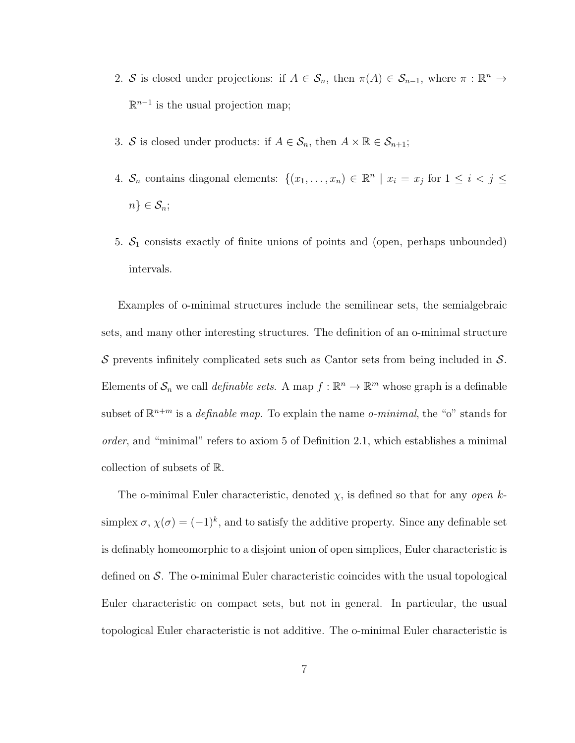- 2. S is closed under projections: if  $A \in S_n$ , then  $\pi(A) \in S_{n-1}$ , where  $\pi : \mathbb{R}^n \to$  $\mathbb{R}^{n-1}$  is the usual projection map;
- 3. S is closed under products: if  $A \in S_n$ , then  $A \times \mathbb{R} \in S_{n+1}$ ;
- 4.  $S_n$  contains diagonal elements:  $\{(x_1, \ldots, x_n) \in \mathbb{R}^n \mid x_i = x_j \text{ for } 1 \le i < j \le n\}$  $n\} \in \mathcal{S}_n;$
- 5.  $S_1$  consists exactly of finite unions of points and (open, perhaps unbounded) intervals.

Examples of o-minimal structures include the semilinear sets, the semialgebraic sets, and many other interesting structures. The definition of an o-minimal structure  $S$  prevents infinitely complicated sets such as Cantor sets from being included in  $S$ . Elements of  $S_n$  we call *definable sets*. A map  $f : \mathbb{R}^n \to \mathbb{R}^m$  whose graph is a definable subset of  $\mathbb{R}^{n+m}$  is a *definable map*. To explain the name *o-minimal*, the "o" stands for order, and "minimal" refers to axiom 5 of Definition 2.1, which establishes a minimal collection of subsets of R.

The o-minimal Euler characteristic, denoted  $\chi$ , is defined so that for any *open* ksimplex  $\sigma$ ,  $\chi(\sigma) = (-1)^k$ , and to satisfy the additive property. Since any definable set is definably homeomorphic to a disjoint union of open simplices, Euler characteristic is defined on  $\mathcal{S}$ . The o-minimal Euler characteristic coincides with the usual topological Euler characteristic on compact sets, but not in general. In particular, the usual topological Euler characteristic is not additive. The o-minimal Euler characteristic is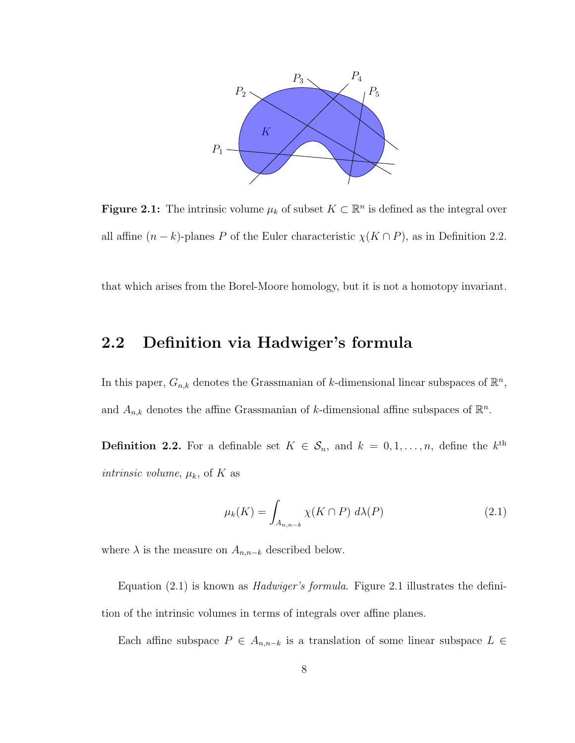

**Figure 2.1:** The intrinsic volume  $\mu_k$  of subset  $K \subset \mathbb{R}^n$  is defined as the integral over all affine  $(n - k)$ -planes P of the Euler characteristic  $\chi(K \cap P)$ , as in Definition 2.2.

that which arises from the Borel-Moore homology, but it is not a homotopy invariant.

#### 2.2 Definition via Hadwiger's formula

In this paper,  $G_{n,k}$  denotes the Grassmanian of k-dimensional linear subspaces of  $\mathbb{R}^n$ , and  $A_{n,k}$  denotes the affine Grassmanian of k-dimensional affine subspaces of  $\mathbb{R}^n$ .

**Definition 2.2.** For a definable set  $K \in S_n$ , and  $k = 0, 1, ..., n$ , define the k<sup>th</sup> *intrinsic volume,*  $\mu_k$ , of K as

$$
\mu_k(K) = \int_{A_{n,n-k}} \chi(K \cap P) \ d\lambda(P) \tag{2.1}
$$

where  $\lambda$  is the measure on  $A_{n,n-k}$  described below.

Equation (2.1) is known as Hadwiger's formula. Figure 2.1 illustrates the definition of the intrinsic volumes in terms of integrals over affine planes.

Each affine subspace  $P \in A_{n,n-k}$  is a translation of some linear subspace  $L \in$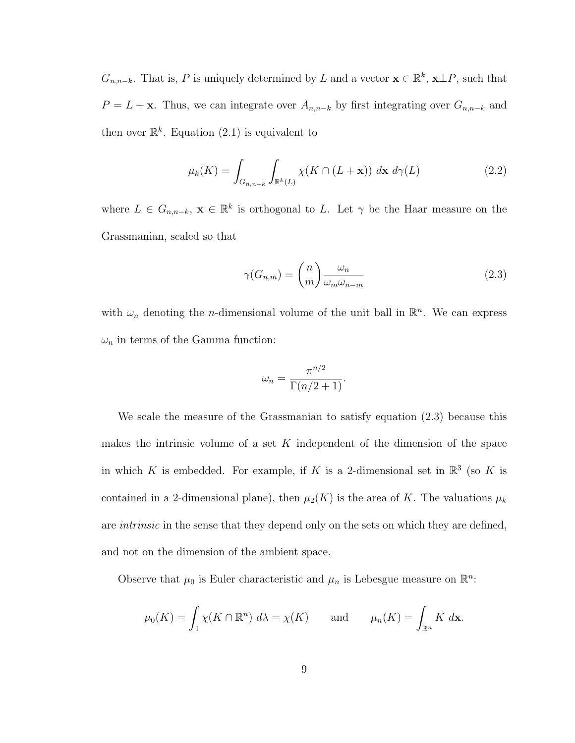$G_{n,n-k}$ . That is, P is uniquely determined by L and a vector  $\mathbf{x} \in \mathbb{R}^k$ ,  $\mathbf{x} \perp P$ , such that  $P = L + \mathbf{x}$ . Thus, we can integrate over  $A_{n,n-k}$  by first integrating over  $G_{n,n-k}$  and then over  $\mathbb{R}^k$ . Equation (2.1) is equivalent to

$$
\mu_k(K) = \int_{G_{n,n-k}} \int_{\mathbb{R}^k(L)} \chi(K \cap (L + \mathbf{x})) \, d\mathbf{x} \, d\gamma(L) \tag{2.2}
$$

where  $L \in G_{n,n-k}$ ,  $\mathbf{x} \in \mathbb{R}^k$  is orthogonal to L. Let  $\gamma$  be the Haar measure on the Grassmanian, scaled so that

$$
\gamma(G_{n,m}) = \binom{n}{m} \frac{\omega_n}{\omega_m \omega_{n-m}}
$$
\n(2.3)

with  $\omega_n$  denoting the *n*-dimensional volume of the unit ball in  $\mathbb{R}^n$ . We can express  $\omega_n$  in terms of the Gamma function:

$$
\omega_n = \frac{\pi^{n/2}}{\Gamma(n/2+1)}.
$$

We scale the measure of the Grassmanian to satisfy equation (2.3) because this makes the intrinsic volume of a set  $K$  independent of the dimension of the space in which K is embedded. For example, if K is a 2-dimensional set in  $\mathbb{R}^3$  (so K is contained in a 2-dimensional plane), then  $\mu_2(K)$  is the area of K. The valuations  $\mu_k$ are *intrinsic* in the sense that they depend only on the sets on which they are defined, and not on the dimension of the ambient space.

Observe that  $\mu_0$  is Euler characteristic and  $\mu_n$  is Lebesgue measure on  $\mathbb{R}^n$ .

$$
\mu_0(K) = \int_1 \chi(K \cap \mathbb{R}^n) d\lambda = \chi(K)
$$
 and  $\mu_n(K) = \int_{\mathbb{R}^n} K dx$ .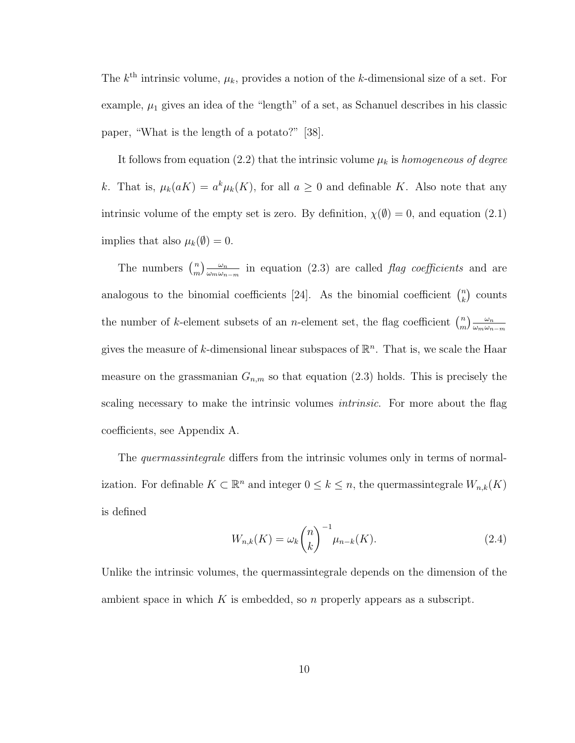The  $k^{\text{th}}$  intrinsic volume,  $\mu_k$ , provides a notion of the k-dimensional size of a set. For example,  $\mu_1$  gives an idea of the "length" of a set, as Schanuel describes in his classic paper, "What is the length of a potato?" [38].

It follows from equation (2.2) that the intrinsic volume  $\mu_k$  is homogeneous of degree k. That is,  $\mu_k(aK) = a^k \mu_k(K)$ , for all  $a \geq 0$  and definable K. Also note that any intrinsic volume of the empty set is zero. By definition,  $\chi(\emptyset) = 0$ , and equation (2.1) implies that also  $\mu_k(\emptyset) = 0$ .

The numbers  $\binom{n}{m}$  $\binom{n}{m}\frac{\omega_n}{\omega_m\omega_n}$  $\frac{\omega_n}{\omega_m\omega_{n-m}}$  in equation (2.3) are called *flag coefficients* and are analogous to the binomial coefficients [24]. As the binomial coefficient  $\binom{n}{k}$  $\binom{n}{k}$  counts the number of k-element subsets of an *n*-element set, the flag coefficient  $\binom{n}{m}$  $\binom{n}{m}\frac{\omega_n}{\omega_m\omega_n}$  $\omega_m \omega_{n-m}$ gives the measure of k-dimensional linear subspaces of  $\mathbb{R}^n$ . That is, we scale the Haar measure on the grassmanian  $G_{n,m}$  so that equation (2.3) holds. This is precisely the scaling necessary to make the intrinsic volumes *intrinsic*. For more about the flag coefficients, see Appendix A.

The *quermassintegrale* differs from the intrinsic volumes only in terms of normalization. For definable  $K \subset \mathbb{R}^n$  and integer  $0 \leq k \leq n$ , the quermassintegrale  $W_{n,k}(K)$ is defined

$$
W_{n,k}(K) = \omega_k {n \choose k}^{-1} \mu_{n-k}(K).
$$
 (2.4)

Unlike the intrinsic volumes, the quermassintegrale depends on the dimension of the ambient space in which K is embedded, so n properly appears as a subscript.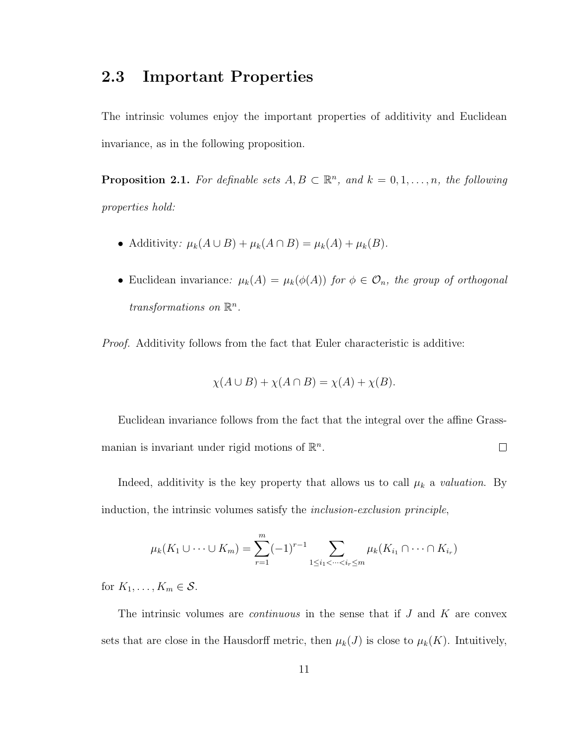#### 2.3 Important Properties

The intrinsic volumes enjoy the important properties of additivity and Euclidean invariance, as in the following proposition.

**Proposition 2.1.** For definable sets  $A, B \subset \mathbb{R}^n$ , and  $k = 0, 1, ..., n$ , the following properties hold:

- Additivity:  $\mu_k(A \cup B) + \mu_k(A \cap B) = \mu_k(A) + \mu_k(B)$ .
- Euclidean invariance:  $\mu_k(A) = \mu_k(\phi(A))$  for  $\phi \in \mathcal{O}_n$ , the group of orthogonal transformations on  $\mathbb{R}^n$ .

Proof. Additivity follows from the fact that Euler characteristic is additive:

$$
\chi(A \cup B) + \chi(A \cap B) = \chi(A) + \chi(B).
$$

Euclidean invariance follows from the fact that the integral over the affine Grassmanian is invariant under rigid motions of  $\mathbb{R}^n$ .  $\Box$ 

Indeed, additivity is the key property that allows us to call  $\mu_k$  a *valuation*. By induction, the intrinsic volumes satisfy the inclusion-exclusion principle,

$$
\mu_k(K_1 \cup \dots \cup K_m) = \sum_{r=1}^m (-1)^{r-1} \sum_{1 \le i_1 < \dots < i_r \le m} \mu_k(K_{i_1} \cap \dots \cap K_{i_r})
$$

for  $K_1, \ldots, K_m \in \mathcal{S}$ .

The intrinsic volumes are *continuous* in the sense that if  $J$  and  $K$  are convex sets that are close in the Hausdorff metric, then  $\mu_k(J)$  is close to  $\mu_k(K)$ . Intuitively,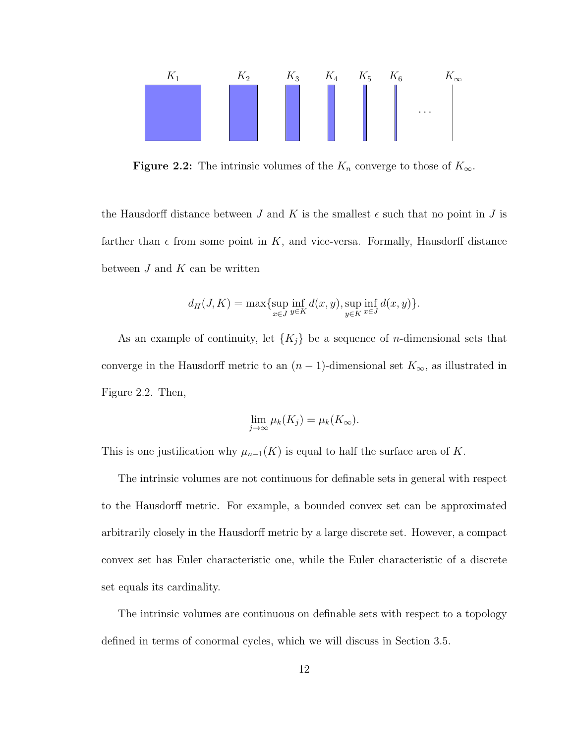

**Figure 2.2:** The intrinsic volumes of the  $K_n$  converge to those of  $K_\infty$ .

the Hausdorff distance between J and K is the smallest  $\epsilon$  such that no point in J is farther than  $\epsilon$  from some point in K, and vice-versa. Formally, Hausdorff distance between  $J$  and  $K$  can be written

$$
d_H(J, K) = \max \{ \sup_{x \in J} \inf_{y \in K} d(x, y), \sup_{y \in K} \inf_{x \in J} d(x, y) \}.
$$

As an example of continuity, let  $\{K_j\}$  be a sequence of *n*-dimensional sets that converge in the Hausdorff metric to an  $(n-1)$ -dimensional set  $K_{\infty}$ , as illustrated in Figure 2.2. Then,

$$
\lim_{j \to \infty} \mu_k(K_j) = \mu_k(K_\infty).
$$

This is one justification why  $\mu_{n-1}(K)$  is equal to half the surface area of K.

The intrinsic volumes are not continuous for definable sets in general with respect to the Hausdorff metric. For example, a bounded convex set can be approximated arbitrarily closely in the Hausdorff metric by a large discrete set. However, a compact convex set has Euler characteristic one, while the Euler characteristic of a discrete set equals its cardinality.

The intrinsic volumes are continuous on definable sets with respect to a topology defined in terms of conormal cycles, which we will discuss in Section 3.5.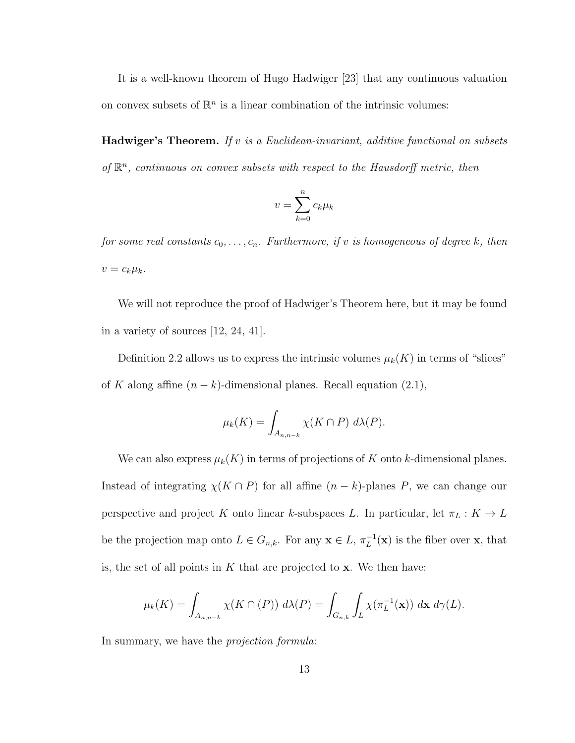It is a well-known theorem of Hugo Hadwiger [23] that any continuous valuation on convex subsets of  $\mathbb{R}^n$  is a linear combination of the intrinsic volumes:

**Hadwiger's Theorem.** If v is a Euclidean-invariant, additive functional on subsets of  $\mathbb{R}^n$ , continuous on convex subsets with respect to the Hausdorff metric, then

$$
v = \sum_{k=0}^{n} c_k \mu_k
$$

for some real constants  $c_0, \ldots, c_n$ . Furthermore, if v is homogeneous of degree k, then  $v = c_k \mu_k$ .

We will not reproduce the proof of Hadwiger's Theorem here, but it may be found in a variety of sources [12, 24, 41].

Definition 2.2 allows us to express the intrinsic volumes  $\mu_k(K)$  in terms of "slices" of K along affine  $(n - k)$ -dimensional planes. Recall equation (2.1),

$$
\mu_k(K) = \int_{A_{n,n-k}} \chi(K \cap P) \ d\lambda(P).
$$

We can also express  $\mu_k(K)$  in terms of projections of K onto k-dimensional planes. Instead of integrating  $\chi(K \cap P)$  for all affine  $(n - k)$ -planes P, we can change our perspective and project K onto linear k-subspaces L. In particular, let  $\pi_L : K \to L$ be the projection map onto  $L \in G_{n,k}$ . For any  $\mathbf{x} \in L$ ,  $\pi_L^{-1}(\mathbf{x})$  is the fiber over  $\mathbf{x}$ , that is, the set of all points in  $K$  that are projected to  $x$ . We then have:

$$
\mu_k(K) = \int_{A_{n,n-k}} \chi(K \cap (P)) \ d\lambda(P) = \int_{G_{n,k}} \int_L \chi(\pi_L^{-1}(\mathbf{x})) \ d\mathbf{x} \ d\gamma(L).
$$

In summary, we have the *projection formula*: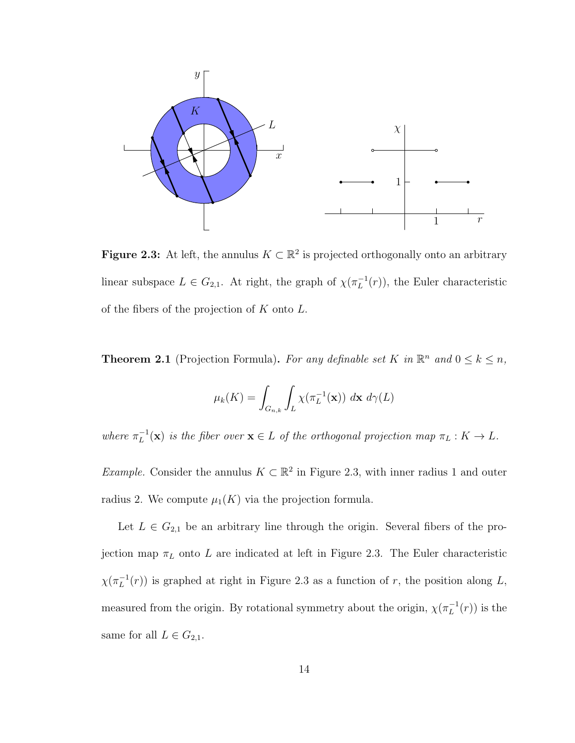

**Figure 2.3:** At left, the annulus  $K \subset \mathbb{R}^2$  is projected orthogonally onto an arbitrary linear subspace  $L \in G_{2,1}$ . At right, the graph of  $\chi(\pi_L^{-1}(r))$ , the Euler characteristic of the fibers of the projection of  $K$  onto  $L$ .

**Theorem 2.1** (Projection Formula). For any definable set K in  $\mathbb{R}^n$  and  $0 \le k \le n$ ,

$$
\mu_k(K) = \int_{G_{n,k}} \int_L \chi(\pi_L^{-1}(\mathbf{x})) \, d\mathbf{x} \, d\gamma(L)
$$

where  $\pi_L^{-1}(\mathbf{x})$  is the fiber over  $\mathbf{x} \in L$  of the orthogonal projection map  $\pi_L : K \to L$ .

*Example.* Consider the annulus  $K \subset \mathbb{R}^2$  in Figure 2.3, with inner radius 1 and outer radius 2. We compute  $\mu_1(K)$  via the projection formula.

Let  $L \in G_{2,1}$  be an arbitrary line through the origin. Several fibers of the projection map  $\pi_L$  onto L are indicated at left in Figure 2.3. The Euler characteristic  $\chi(\pi_L^{-1}(r))$  is graphed at right in Figure 2.3 as a function of r, the position along L, measured from the origin. By rotational symmetry about the origin,  $\chi(\pi_L^{-1}(r))$  is the same for all  $L \in G_{2,1}$ .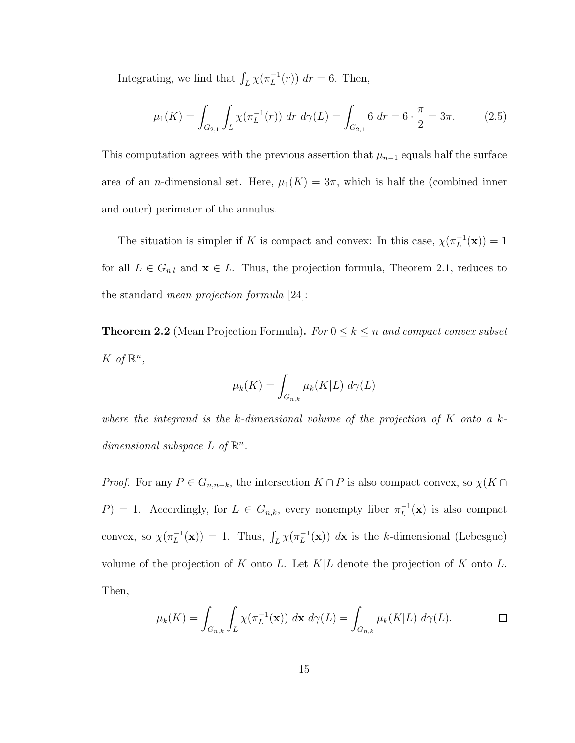Integrating, we find that  $\int_L \chi(\pi_L^{-1}(r)) dr = 6$ . Then,

$$
\mu_1(K) = \int_{G_{2,1}} \int_L \chi(\pi_L^{-1}(r)) dr d\gamma(L) = \int_{G_{2,1}} 6 dr = 6 \cdot \frac{\pi}{2} = 3\pi.
$$
 (2.5)

This computation agrees with the previous assertion that  $\mu_{n-1}$  equals half the surface area of an *n*-dimensional set. Here,  $\mu_1(K) = 3\pi$ , which is half the (combined inner and outer) perimeter of the annulus.

The situation is simpler if K is compact and convex: In this case,  $\chi(\pi_L^{-1}(\mathbf{x})) = 1$ for all  $L \in G_{n,l}$  and  $\mathbf{x} \in L$ . Thus, the projection formula, Theorem 2.1, reduces to the standard mean projection formula [24]:

**Theorem 2.2** (Mean Projection Formula). For  $0 \le k \le n$  and compact convex subset K of  $\mathbb{R}^n$ ,

$$
\mu_k(K) = \int_{G_{n,k}} \mu_k(K|L) \ d\gamma(L)
$$

where the integrand is the k-dimensional volume of the projection of  $K$  onto a kdimensional subspace  $L$  of  $\mathbb{R}^n$ .

*Proof.* For any  $P \in G_{n,n-k}$ , the intersection  $K \cap P$  is also compact convex, so  $\chi(K \cap P)$  $P$ ) = 1. Accordingly, for  $L \in G_{n,k}$ , every nonempty fiber  $\pi_L^{-1}(\mathbf{x})$  is also compact convex, so  $\chi(\pi_L^{-1}(\mathbf{x})) = 1$ . Thus,  $\int_L \chi(\pi_L^{-1}(\mathbf{x})) d\mathbf{x}$  is the k-dimensional (Lebesgue) volume of the projection of K onto L. Let  $K|L$  denote the projection of K onto L. Then,

$$
\mu_k(K) = \int_{G_{n,k}} \int_L \chi(\pi_L^{-1}(\mathbf{x})) \, d\mathbf{x} \, d\gamma(L) = \int_{G_{n,k}} \mu_k(K|L) \, d\gamma(L).
$$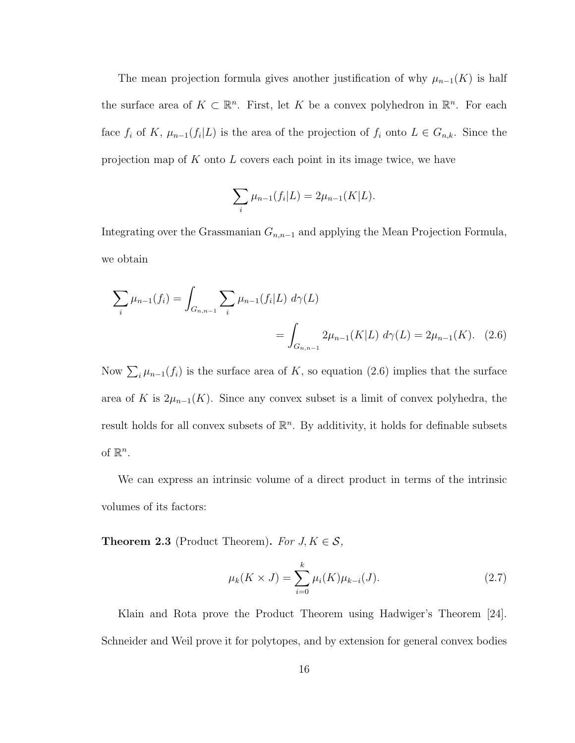The mean projection formula gives another justification of why  $\mu_{n-1}(K)$  is half the surface area of  $K \subset \mathbb{R}^n$ . First, let K be a convex polyhedron in  $\mathbb{R}^n$ . For each face  $f_i$  of K,  $\mu_{n-1}(f_i|L)$  is the area of the projection of  $f_i$  onto  $L \in G_{n,k}$ . Since the projection map of  $K$  onto  $L$  covers each point in its image twice, we have

$$
\sum_{i} \mu_{n-1}(f_i|L) = 2\mu_{n-1}(K|L).
$$

Integrating over the Grassmanian  $G_{n,n-1}$  and applying the Mean Projection Formula, we obtain

$$
\sum_{i} \mu_{n-1}(f_i) = \int_{G_{n,n-1}} \sum_{i} \mu_{n-1}(f_i|L) \ d\gamma(L)
$$
  
= 
$$
\int_{G_{n,n-1}} 2\mu_{n-1}(K|L) \ d\gamma(L) = 2\mu_{n-1}(K).
$$
 (2.6)

Now  $\sum_i \mu_{n-1}(f_i)$  is the surface area of K, so equation (2.6) implies that the surface area of K is  $2\mu_{n-1}(K)$ . Since any convex subset is a limit of convex polyhedra, the result holds for all convex subsets of  $\mathbb{R}^n$ . By additivity, it holds for definable subsets of  $\mathbb{R}^n$ .

We can express an intrinsic volume of a direct product in terms of the intrinsic volumes of its factors:

**Theorem 2.3** (Product Theorem). For  $J, K \in \mathcal{S}$ ,

$$
\mu_k(K \times J) = \sum_{i=0}^k \mu_i(K)\mu_{k-i}(J). \tag{2.7}
$$

Klain and Rota prove the Product Theorem using Hadwiger's Theorem [24]. Schneider and Weil prove it for polytopes, and by extension for general convex bodies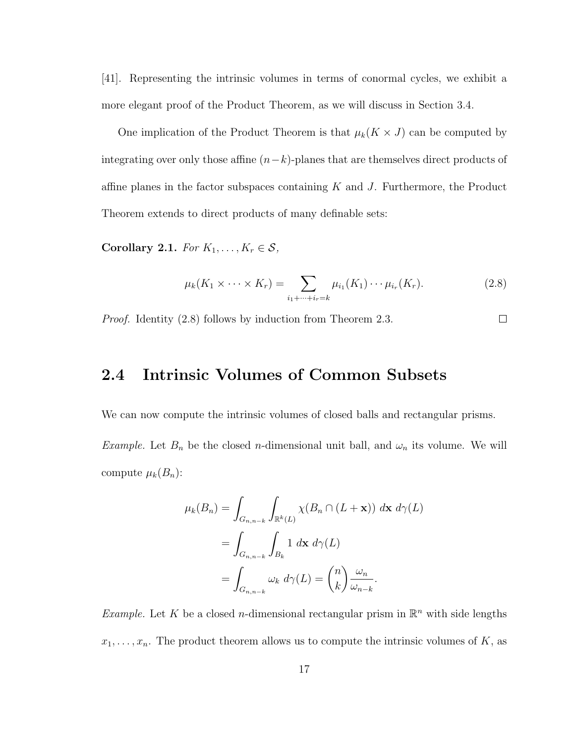[41]. Representing the intrinsic volumes in terms of conormal cycles, we exhibit a more elegant proof of the Product Theorem, as we will discuss in Section 3.4.

One implication of the Product Theorem is that  $\mu_k(K \times J)$  can be computed by integrating over only those affine  $(n-k)$ -planes that are themselves direct products of affine planes in the factor subspaces containing  $K$  and  $J$ . Furthermore, the Product Theorem extends to direct products of many definable sets:

Corollary 2.1. For  $K_1, \ldots, K_r \in \mathcal{S}$ ,

$$
\mu_k(K_1 \times \cdots \times K_r) = \sum_{i_1 + \cdots + i_r = k} \mu_{i_1}(K_1) \cdots \mu_{i_r}(K_r).
$$
 (2.8)

Proof. Identity (2.8) follows by induction from Theorem 2.3.  $\Box$ 

### 2.4 Intrinsic Volumes of Common Subsets

We can now compute the intrinsic volumes of closed balls and rectangular prisms. Example. Let  $B_n$  be the closed *n*-dimensional unit ball, and  $\omega_n$  its volume. We will compute  $\mu_k(B_n)$ :

$$
\mu_k(B_n) = \int_{G_{n,n-k}} \int_{\mathbb{R}^k(L)} \chi(B_n \cap (L + \mathbf{x})) \, d\mathbf{x} \, d\gamma(L)
$$

$$
= \int_{G_{n,n-k}} \int_{B_k} 1 \, d\mathbf{x} \, d\gamma(L)
$$

$$
= \int_{G_{n,n-k}} \omega_k \, d\gamma(L) = \binom{n}{k} \frac{\omega_n}{\omega_{n-k}}.
$$

*Example.* Let K be a closed *n*-dimensional rectangular prism in  $\mathbb{R}^n$  with side lengths  $x_1, \ldots, x_n$ . The product theorem allows us to compute the intrinsic volumes of K, as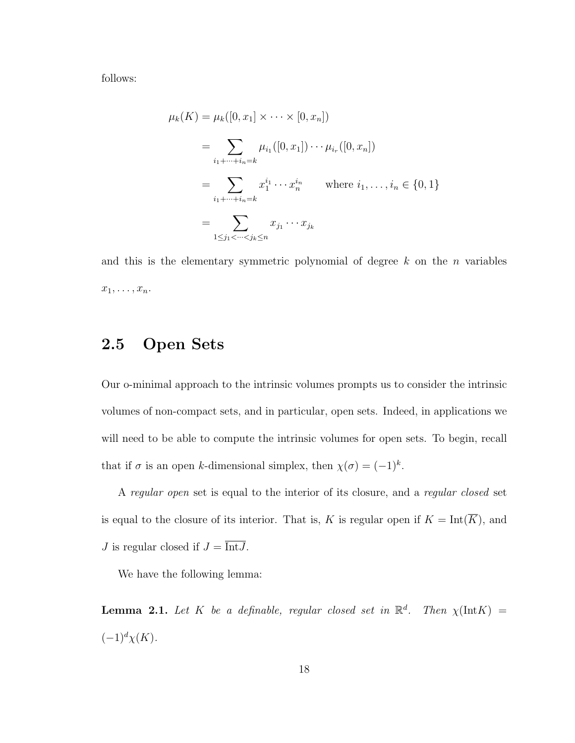follows:

$$
\mu_k(K) = \mu_k([0, x_1] \times \cdots \times [0, x_n])
$$
  
= 
$$
\sum_{i_1 + \cdots + i_n = k} \mu_{i_1}([0, x_1]) \cdots \mu_{i_r}([0, x_n])
$$
  
= 
$$
\sum_{i_1 + \cdots + i_n = k} x_1^{i_1} \cdots x_n^{i_n} \quad \text{where } i_1, \ldots, i_n \in \{0, 1\}
$$
  
= 
$$
\sum_{1 \le j_1 < \cdots < j_k \le n} x_{j_1} \cdots x_{j_k}
$$

and this is the elementary symmetric polynomial of degree  $k$  on the n variables  $x_1, \ldots, x_n$ .

### 2.5 Open Sets

Our o-minimal approach to the intrinsic volumes prompts us to consider the intrinsic volumes of non-compact sets, and in particular, open sets. Indeed, in applications we will need to be able to compute the intrinsic volumes for open sets. To begin, recall that if  $\sigma$  is an open k-dimensional simplex, then  $\chi(\sigma) = (-1)^k$ .

A regular open set is equal to the interior of its closure, and a regular closed set is equal to the closure of its interior. That is, K is regular open if  $K = \text{Int}(\overline{K})$ , and J is regular closed if  $J = \overline{\text{Int }J}$ .

We have the following lemma:

**Lemma 2.1.** Let K be a definable, regular closed set in  $\mathbb{R}^d$ . Then  $\chi(\text{Int}K)$  =  $(-1)^d \chi(K)$ .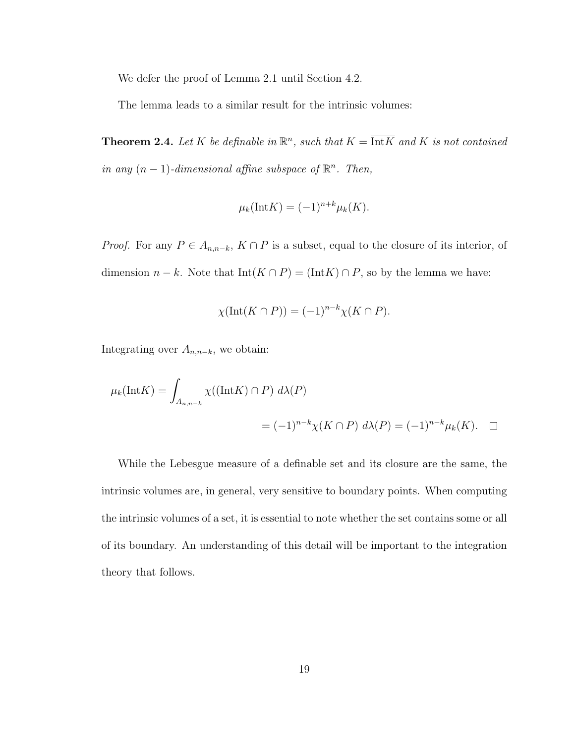We defer the proof of Lemma 2.1 until Section 4.2.

The lemma leads to a similar result for the intrinsic volumes:

**Theorem 2.4.** Let K be definable in  $\mathbb{R}^n$ , such that  $K = \overline{\text{Int}K}$  and K is not contained in any  $(n-1)$ -dimensional affine subspace of  $\mathbb{R}^n$ . Then,

$$
\mu_k(\text{Int}K) = (-1)^{n+k} \mu_k(K).
$$

*Proof.* For any  $P \in A_{n,n-k}$ ,  $K \cap P$  is a subset, equal to the closure of its interior, of dimension  $n - k$ . Note that  $Int(K \cap P) = (Int K) \cap P$ , so by the lemma we have:

$$
\chi(\text{Int}(K \cap P)) = (-1)^{n-k} \chi(K \cap P).
$$

Integrating over  $A_{n,n-k}$ , we obtain:

$$
\mu_k(\text{Int}K) = \int_{A_{n,n-k}} \chi((\text{Int}K) \cap P) d\lambda(P)
$$
  
=  $(-1)^{n-k} \chi(K \cap P) d\lambda(P) = (-1)^{n-k} \mu_k(K).$   $\square$ 

While the Lebesgue measure of a definable set and its closure are the same, the intrinsic volumes are, in general, very sensitive to boundary points. When computing the intrinsic volumes of a set, it is essential to note whether the set contains some or all of its boundary. An understanding of this detail will be important to the integration theory that follows.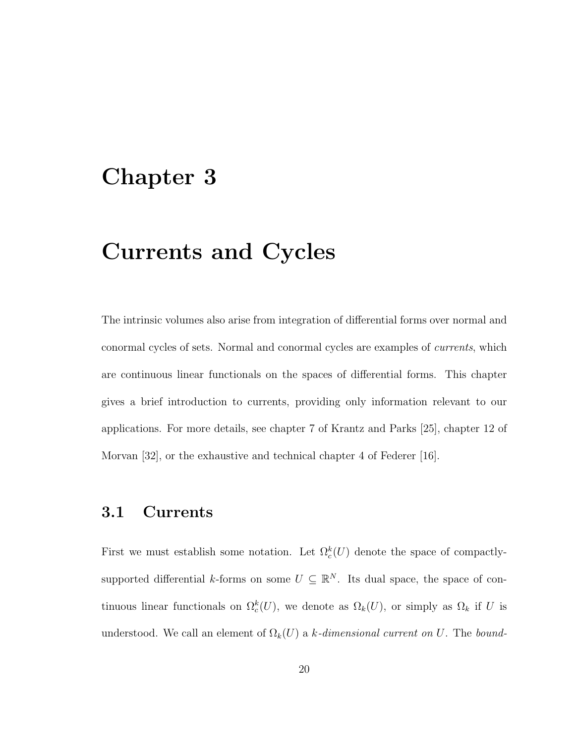## Chapter 3

## Currents and Cycles

The intrinsic volumes also arise from integration of differential forms over normal and conormal cycles of sets. Normal and conormal cycles are examples of currents, which are continuous linear functionals on the spaces of differential forms. This chapter gives a brief introduction to currents, providing only information relevant to our applications. For more details, see chapter 7 of Krantz and Parks [25], chapter 12 of Morvan [32], or the exhaustive and technical chapter 4 of Federer [16].

#### 3.1 Currents

First we must establish some notation. Let  $\Omega_c^k(U)$  denote the space of compactlysupported differential k-forms on some  $U \subseteq \mathbb{R}^N$ . Its dual space, the space of continuous linear functionals on  $\Omega_c^k(U)$ , we denote as  $\Omega_k(U)$ , or simply as  $\Omega_k$  if U is understood. We call an element of  $\Omega_k(U)$  a k-dimensional current on U. The bound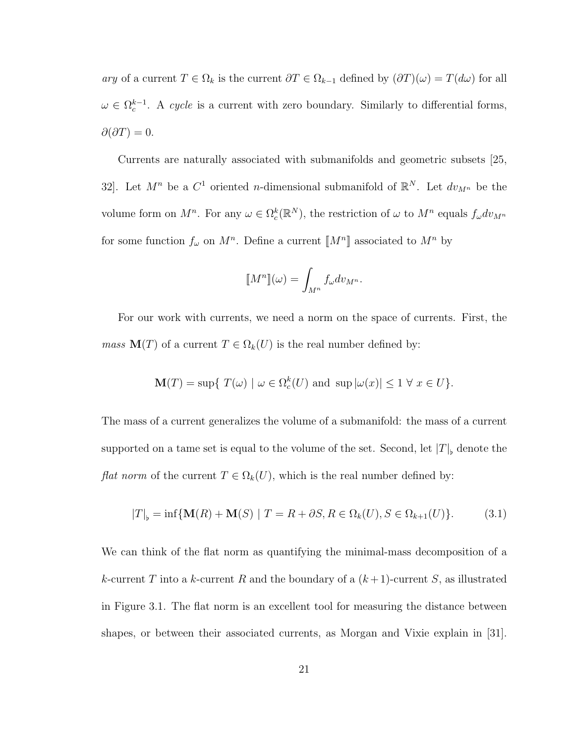ary of a current  $T \in \Omega_k$  is the current  $\partial T \in \Omega_{k-1}$  defined by  $(\partial T)(\omega) = T(d\omega)$  for all  $\omega \in \Omega_c^{k-1}$ . A cycle is a current with zero boundary. Similarly to differential forms,  $\partial(\partial T)=0.$ 

Currents are naturally associated with submanifolds and geometric subsets [25, 32. Let  $M^n$  be a  $C^1$  oriented *n*-dimensional submanifold of  $\mathbb{R}^N$ . Let  $dv_{M^n}$  be the volume form on  $M^n$ . For any  $\omega \in \Omega_c^k(\mathbb{R}^N)$ , the restriction of  $\omega$  to  $M^n$  equals  $f_{\omega}dv_{M^n}$ for some function  $f_{\omega}$  on  $M^n$ . Define a current  $\llbracket M^n \rrbracket$  associated to  $M^n$  by

$$
\llbracket M^n \rrbracket(\omega) = \int_{M^n} f_{\omega} dv_{M^n}.
$$

For our work with currents, we need a norm on the space of currents. First, the *mass*  $\mathbf{M}(T)$  of a current  $T \in \Omega_k(U)$  is the real number defined by:

$$
\mathbf{M}(T) = \sup \{ T(\omega) \mid \omega \in \Omega_c^k(U) \text{ and } \sup |\omega(x)| \le 1 \ \forall \ x \in U \}.
$$

The mass of a current generalizes the volume of a submanifold: the mass of a current supported on a tame set is equal to the volume of the set. Second, let  $|T|_{\flat}$  denote the *flat norm* of the current  $T \in \Omega_k(U)$ , which is the real number defined by:

$$
|T|_{\flat} = \inf \{ \mathbf{M}(R) + \mathbf{M}(S) \mid T = R + \partial S, R \in \Omega_k(U), S \in \Omega_{k+1}(U) \}. \tag{3.1}
$$

We can think of the flat norm as quantifying the minimal-mass decomposition of a k-current T into a k-current R and the boundary of a  $(k+1)$ -current S, as illustrated in Figure 3.1. The flat norm is an excellent tool for measuring the distance between shapes, or between their associated currents, as Morgan and Vixie explain in [31].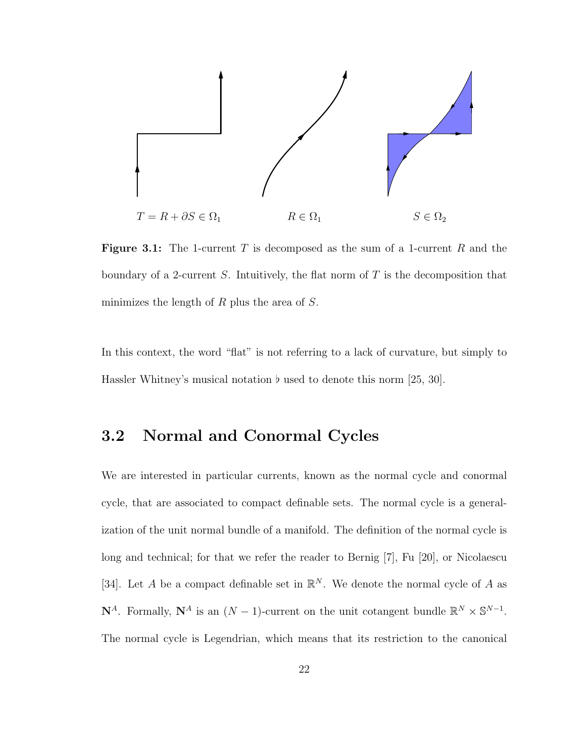

**Figure 3.1:** The 1-current T is decomposed as the sum of a 1-current R and the boundary of a 2-current  $S$ . Intuitively, the flat norm of  $T$  is the decomposition that minimizes the length of  $R$  plus the area of  $S$ .

In this context, the word "flat" is not referring to a lack of curvature, but simply to Hassler Whitney's musical notation  $\flat$  used to denote this norm [25, 30].

### 3.2 Normal and Conormal Cycles

We are interested in particular currents, known as the normal cycle and conormal cycle, that are associated to compact definable sets. The normal cycle is a generalization of the unit normal bundle of a manifold. The definition of the normal cycle is long and technical; for that we refer the reader to Bernig [7], Fu [20], or Nicolaescu [34]. Let A be a compact definable set in  $\mathbb{R}^N$ . We denote the normal cycle of A as  $\mathbf{N}^A$ . Formally,  $\mathbf{N}^A$  is an  $(N-1)$ -current on the unit cotangent bundle  $\mathbb{R}^N \times \mathbb{S}^{N-1}$ . The normal cycle is Legendrian, which means that its restriction to the canonical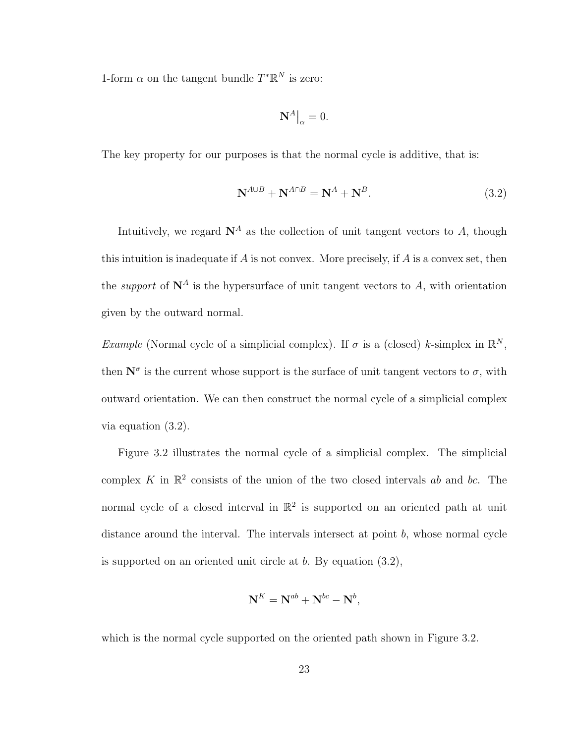1-form  $\alpha$  on the tangent bundle  $T^*\mathbb{R}^N$  is zero:

$$
\mathbf{N}^A\big|_{\alpha} = 0.
$$

The key property for our purposes is that the normal cycle is additive, that is:

$$
\mathbf{N}^{A \cup B} + \mathbf{N}^{A \cap B} = \mathbf{N}^A + \mathbf{N}^B. \tag{3.2}
$$

Intuitively, we regard  $N^A$  as the collection of unit tangent vectors to A, though this intuition is inadequate if  $A$  is not convex. More precisely, if  $A$  is a convex set, then the *support* of  $N^A$  is the hypersurface of unit tangent vectors to A, with orientation given by the outward normal.

*Example* (Normal cycle of a simplicial complex). If  $\sigma$  is a (closed) k-simplex in  $\mathbb{R}^N$ , then  $\mathbf{N}^{\sigma}$  is the current whose support is the surface of unit tangent vectors to  $\sigma$ , with outward orientation. We can then construct the normal cycle of a simplicial complex via equation (3.2).

Figure 3.2 illustrates the normal cycle of a simplicial complex. The simplicial complex K in  $\mathbb{R}^2$  consists of the union of the two closed intervals ab and bc. The normal cycle of a closed interval in  $\mathbb{R}^2$  is supported on an oriented path at unit distance around the interval. The intervals intersect at point  $b$ , whose normal cycle is supported on an oriented unit circle at  $b$ . By equation  $(3.2)$ ,

$$
\mathbf{N}^K = \mathbf{N}^{ab} + \mathbf{N}^{bc} - \mathbf{N}^b,
$$

which is the normal cycle supported on the oriented path shown in Figure 3.2.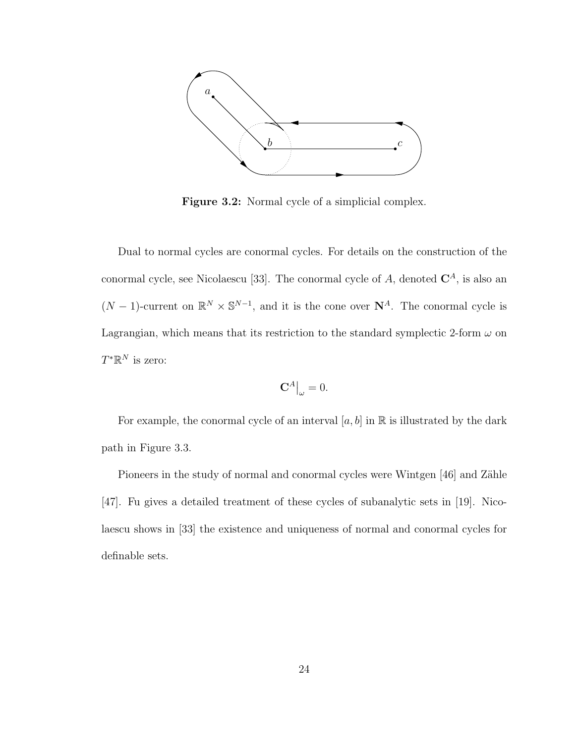

Figure 3.2: Normal cycle of a simplicial complex.

Dual to normal cycles are conormal cycles. For details on the construction of the conormal cycle, see Nicolaescu [33]. The conormal cycle of  $A$ , denoted  $\mathbb{C}^{A}$ , is also an  $(N-1)$ -current on  $\mathbb{R}^N \times \mathbb{S}^{N-1}$ , and it is the cone over  $\mathbb{N}^A$ . The conormal cycle is Lagrangian, which means that its restriction to the standard symplectic 2-form  $\omega$  on  $T^*\mathbb{R}^N$  is zero:

$$
\mathbf{C}^A\big|_{\omega}=0.
$$

For example, the conormal cycle of an interval  $[a, b]$  in  $\mathbb R$  is illustrated by the dark path in Figure 3.3.

Pioneers in the study of normal and conormal cycles were Wintgen [46] and Zähle [47]. Fu gives a detailed treatment of these cycles of subanalytic sets in [19]. Nicolaescu shows in [33] the existence and uniqueness of normal and conormal cycles for definable sets.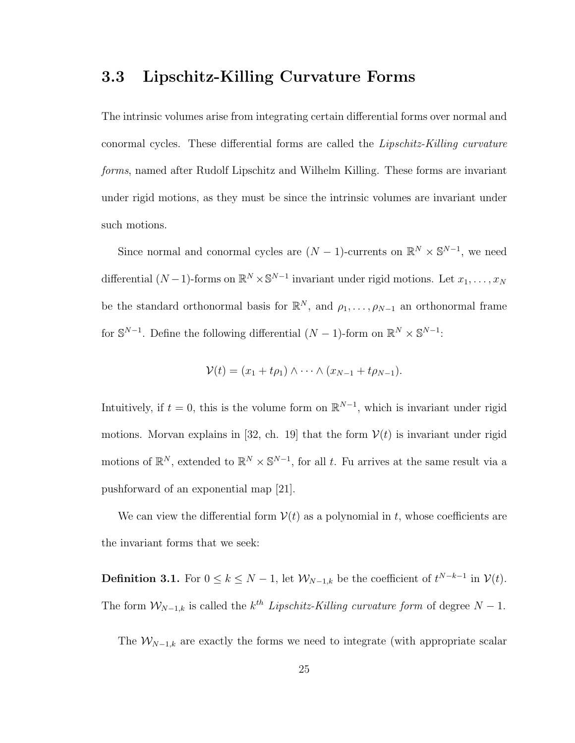#### 3.3 Lipschitz-Killing Curvature Forms

The intrinsic volumes arise from integrating certain differential forms over normal and conormal cycles. These differential forms are called the Lipschitz-Killing curvature forms, named after Rudolf Lipschitz and Wilhelm Killing. These forms are invariant under rigid motions, as they must be since the intrinsic volumes are invariant under such motions.

Since normal and conormal cycles are  $(N-1)$ -currents on  $\mathbb{R}^N \times \mathbb{S}^{N-1}$ , we need differential  $(N-1)$ -forms on  $\mathbb{R}^N \times \mathbb{S}^{N-1}$  invariant under rigid motions. Let  $x_1, \ldots, x_N$ be the standard orthonormal basis for  $\mathbb{R}^N$ , and  $\rho_1, \ldots, \rho_{N-1}$  an orthonormal frame for  $\mathbb{S}^{N-1}$ . Define the following differential  $(N-1)$ -form on  $\mathbb{R}^N \times \mathbb{S}^{N-1}$ :

$$
\mathcal{V}(t)=(x_1+t\rho_1)\wedge\cdots\wedge(x_{N-1}+t\rho_{N-1}).
$$

Intuitively, if  $t = 0$ , this is the volume form on  $\mathbb{R}^{N-1}$ , which is invariant under rigid motions. Morvan explains in [32, ch. 19] that the form  $\mathcal{V}(t)$  is invariant under rigid motions of  $\mathbb{R}^N$ , extended to  $\mathbb{R}^N \times \mathbb{S}^{N-1}$ , for all t. Fu arrives at the same result via a pushforward of an exponential map [21].

We can view the differential form  $V(t)$  as a polynomial in t, whose coefficients are the invariant forms that we seek:

**Definition 3.1.** For  $0 \le k \le N - 1$ , let  $\mathcal{W}_{N-1,k}$  be the coefficient of  $t^{N-k-1}$  in  $\mathcal{V}(t)$ . The form  $W_{N-1,k}$  is called the  $k^{th}$  Lipschitz-Killing curvature form of degree  $N-1$ .

The  $W_{N-1,k}$  are exactly the forms we need to integrate (with appropriate scalar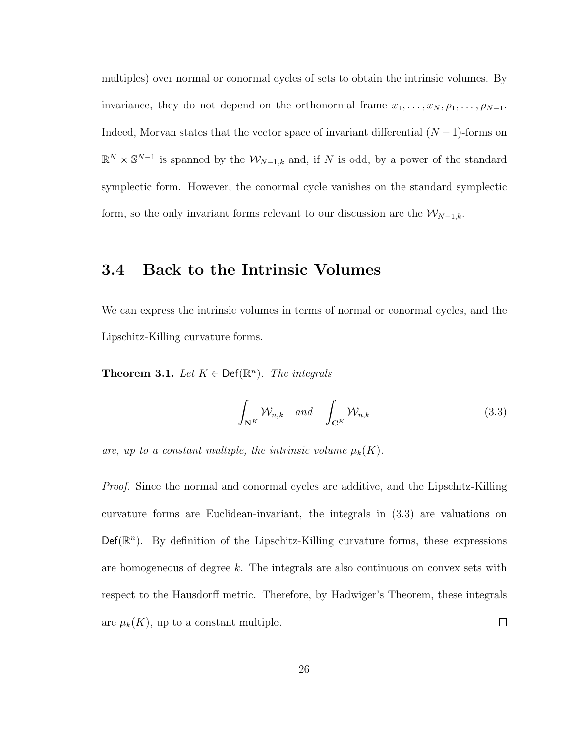multiples) over normal or conormal cycles of sets to obtain the intrinsic volumes. By invariance, they do not depend on the orthonormal frame  $x_1, \ldots, x_N, \rho_1, \ldots, \rho_{N-1}$ . Indeed, Morvan states that the vector space of invariant differential  $(N-1)$ -forms on  $\mathbb{R}^N \times \mathbb{S}^{N-1}$  is spanned by the  $\mathcal{W}_{N-1,k}$  and, if N is odd, by a power of the standard symplectic form. However, the conormal cycle vanishes on the standard symplectic form, so the only invariant forms relevant to our discussion are the  $\mathcal{W}_{N-1,k}$ .

#### 3.4 Back to the Intrinsic Volumes

We can express the intrinsic volumes in terms of normal or conormal cycles, and the Lipschitz-Killing curvature forms.

**Theorem 3.1.** Let  $K \in \text{Def}(\mathbb{R}^n)$ . The integrals

$$
\int_{\mathbf{N}^K} \mathcal{W}_{n,k} \quad \text{and} \quad \int_{\mathbf{C}^K} \mathcal{W}_{n,k} \tag{3.3}
$$

are, up to a constant multiple, the intrinsic volume  $\mu_k(K)$ .

Proof. Since the normal and conormal cycles are additive, and the Lipschitz-Killing curvature forms are Euclidean-invariant, the integrals in (3.3) are valuations on  $\mathsf{Def}(\mathbb{R}^n)$ . By definition of the Lipschitz-Killing curvature forms, these expressions are homogeneous of degree  $k$ . The integrals are also continuous on convex sets with respect to the Hausdorff metric. Therefore, by Hadwiger's Theorem, these integrals are  $\mu_k(K)$ , up to a constant multiple.  $\Box$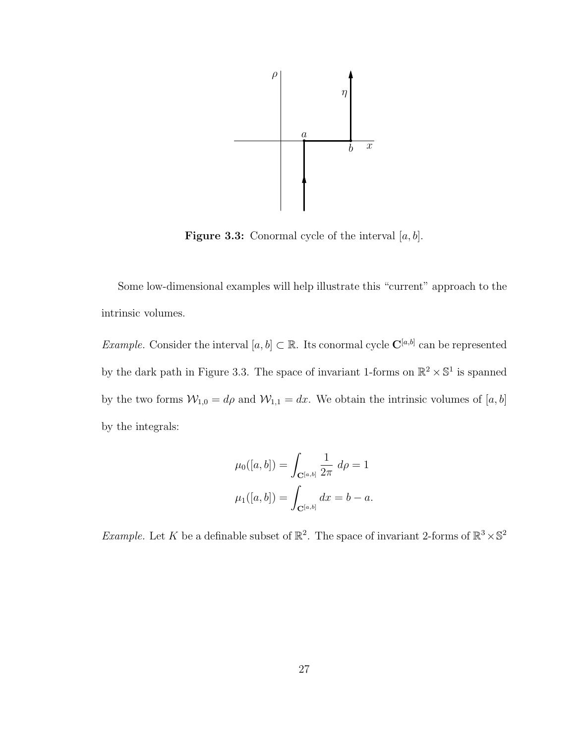

**Figure 3.3:** Conormal cycle of the interval  $[a, b]$ .

Some low-dimensional examples will help illustrate this "current" approach to the intrinsic volumes.

*Example.* Consider the interval  $[a, b] \subset \mathbb{R}$ . Its conormal cycle  $\mathbf{C}^{[a,b]}$  can be represented by the dark path in Figure 3.3. The space of invariant 1-forms on  $\mathbb{R}^2 \times \mathbb{S}^1$  is spanned by the two forms  $W_{1,0} = d\rho$  and  $W_{1,1} = dx$ . We obtain the intrinsic volumes of [a, b] by the integrals:

$$
\mu_0([a, b]) = \int_{\mathbf{C}^{[a, b]}} \frac{1}{2\pi} d\rho = 1
$$

$$
\mu_1([a, b]) = \int_{\mathbf{C}^{[a, b]}} dx = b - a.
$$

*Example.* Let K be a definable subset of  $\mathbb{R}^2$ . The space of invariant 2-forms of  $\mathbb{R}^3 \times \mathbb{S}^2$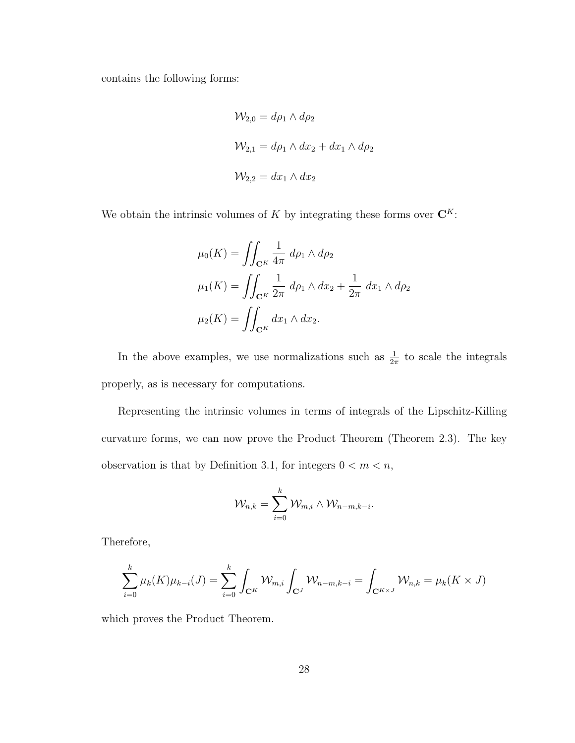contains the following forms:

$$
\mathcal{W}_{2,0} = d\rho_1 \wedge d\rho_2
$$
  

$$
\mathcal{W}_{2,1} = d\rho_1 \wedge dx_2 + dx_1 \wedge d\rho_2
$$
  

$$
\mathcal{W}_{2,2} = dx_1 \wedge dx_2
$$

We obtain the intrinsic volumes of  $K$  by integrating these forms over  $\mathbf{C}^K$ :

$$
\mu_0(K) = \iint_{\mathbf{C}^K} \frac{1}{4\pi} d\rho_1 \wedge d\rho_2
$$

$$
\mu_1(K) = \iint_{\mathbf{C}^K} \frac{1}{2\pi} d\rho_1 \wedge dx_2 + \frac{1}{2\pi} dx_1 \wedge d\rho_2
$$

$$
\mu_2(K) = \iint_{\mathbf{C}^K} dx_1 \wedge dx_2.
$$

In the above examples, we use normalizations such as  $\frac{1}{2\pi}$  to scale the integrals properly, as is necessary for computations.

Representing the intrinsic volumes in terms of integrals of the Lipschitz-Killing curvature forms, we can now prove the Product Theorem (Theorem 2.3). The key observation is that by Definition 3.1, for integers  $0 < m < n$ ,

$$
\mathcal{W}_{n,k} = \sum_{i=0}^{k} \mathcal{W}_{m,i} \wedge \mathcal{W}_{n-m,k-i}.
$$

Therefore,

$$
\sum_{i=0}^{k} \mu_k(K)\mu_{k-i}(J) = \sum_{i=0}^{k} \int_{\mathbf{C}^K} \mathcal{W}_{m,i} \int_{\mathbf{C}^J} \mathcal{W}_{n-m,k-i} = \int_{\mathbf{C}^{K \times J}} \mathcal{W}_{n,k} = \mu_k(K \times J)
$$

which proves the Product Theorem.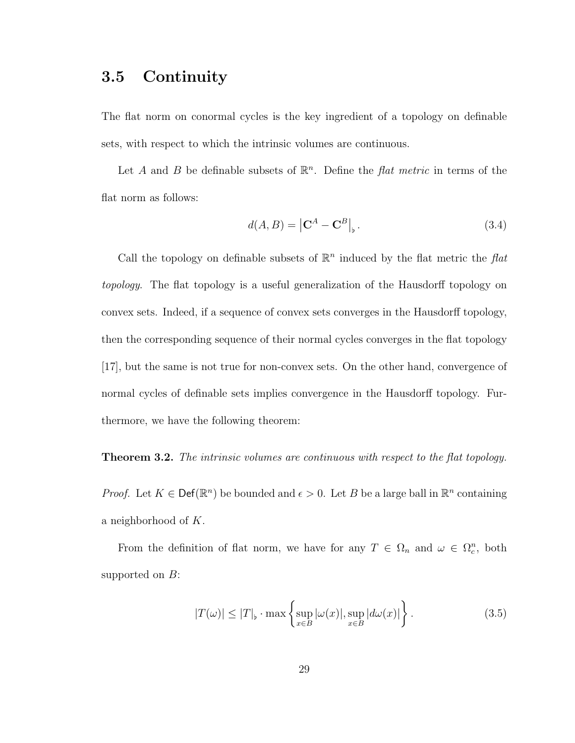### 3.5 Continuity

The flat norm on conormal cycles is the key ingredient of a topology on definable sets, with respect to which the intrinsic volumes are continuous.

Let A and B be definable subsets of  $\mathbb{R}^n$ . Define the *flat metric* in terms of the flat norm as follows:

$$
d(A, B) = |\mathbf{C}^A - \mathbf{C}^B|_{\flat}.
$$
\n(3.4)

Call the topology on definable subsets of  $\mathbb{R}^n$  induced by the flat metric the flat topology. The flat topology is a useful generalization of the Hausdorff topology on convex sets. Indeed, if a sequence of convex sets converges in the Hausdorff topology, then the corresponding sequence of their normal cycles converges in the flat topology [17], but the same is not true for non-convex sets. On the other hand, convergence of normal cycles of definable sets implies convergence in the Hausdorff topology. Furthermore, we have the following theorem:

#### **Theorem 3.2.** The intrinsic volumes are continuous with respect to the flat topology.

*Proof.* Let  $K \in \text{Def}(\mathbb{R}^n)$  be bounded and  $\epsilon > 0$ . Let B be a large ball in  $\mathbb{R}^n$  containing a neighborhood of K.

From the definition of flat norm, we have for any  $T \in \Omega_n$  and  $\omega \in \Omega_c^n$ , both supported on  $B$ :

$$
|T(\omega)| \le |T|_{\flat} \cdot \max \left\{ \sup_{x \in B} |\omega(x)|, \sup_{x \in B} |d\omega(x)| \right\}.
$$
 (3.5)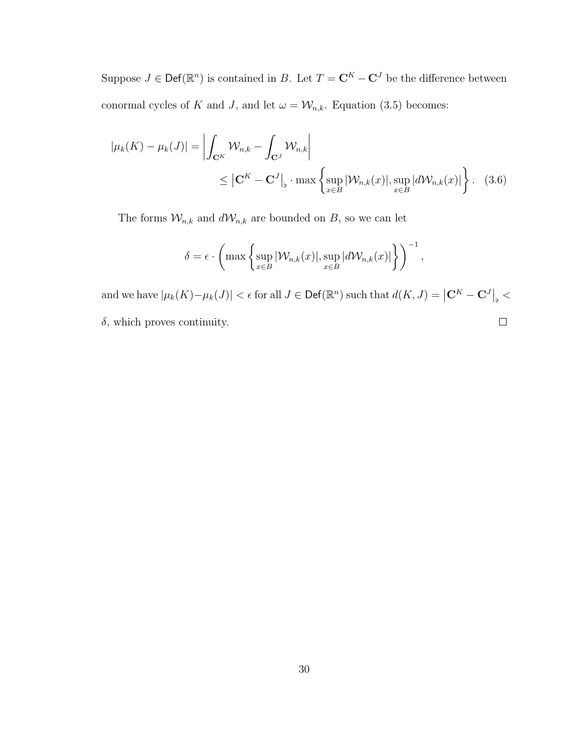Suppose  $J \in \text{Def}(\mathbb{R}^n)$  is contained in B. Let  $T = \mathbf{C}^K - \mathbf{C}^J$  be the difference between conormal cycles of K and J, and let  $\omega = \mathcal{W}_{n,k}$ . Equation (3.5) becomes:

$$
|\mu_k(K) - \mu_k(J)| = \left| \int_{\mathbf{C}^K} \mathcal{W}_{n,k} - \int_{\mathbf{C}^J} \mathcal{W}_{n,k} \right|
$$
  
 
$$
\leq |\mathbf{C}^K - \mathbf{C}^J|_{\flat} \cdot \max \left\{ \sup_{x \in B} |\mathcal{W}_{n,k}(x)|, \sup_{x \in B} |d\mathcal{W}_{n,k}(x)| \right\}. (3.6)
$$

The forms  $\mathcal{W}_{n,k}$  and  $d\mathcal{W}_{n,k}$  are bounded on  $B,$  so we can let

$$
\delta = \epsilon \cdot \left( \max \left\{ \sup_{x \in B} |\mathcal{W}_{n,k}(x)|, \sup_{x \in B} |d\mathcal{W}_{n,k}(x)| \right\} \right)^{-1},
$$

and we have  $|\mu_k(K) - \mu_k(J)| < \epsilon$  for all  $J \in \mathsf{Def}(\mathbb{R}^n)$  such that  $d(K, J) = \left| \mathbf{C}^K - \mathbf{C}^J \right|_{\flat} < \epsilon$  $\delta,$  which proves continuity.  $\Box$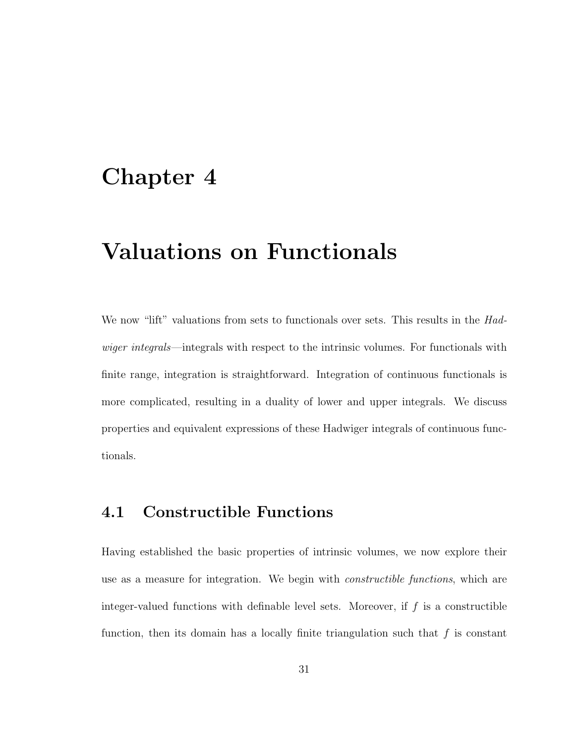### Chapter 4

### Valuations on Functionals

We now "lift" valuations from sets to functionals over sets. This results in the Hadwiger integrals—integrals with respect to the intrinsic volumes. For functionals with finite range, integration is straightforward. Integration of continuous functionals is more complicated, resulting in a duality of lower and upper integrals. We discuss properties and equivalent expressions of these Hadwiger integrals of continuous functionals.

### 4.1 Constructible Functions

Having established the basic properties of intrinsic volumes, we now explore their use as a measure for integration. We begin with constructible functions, which are integer-valued functions with definable level sets. Moreover, if  $f$  is a constructible function, then its domain has a locally finite triangulation such that  $f$  is constant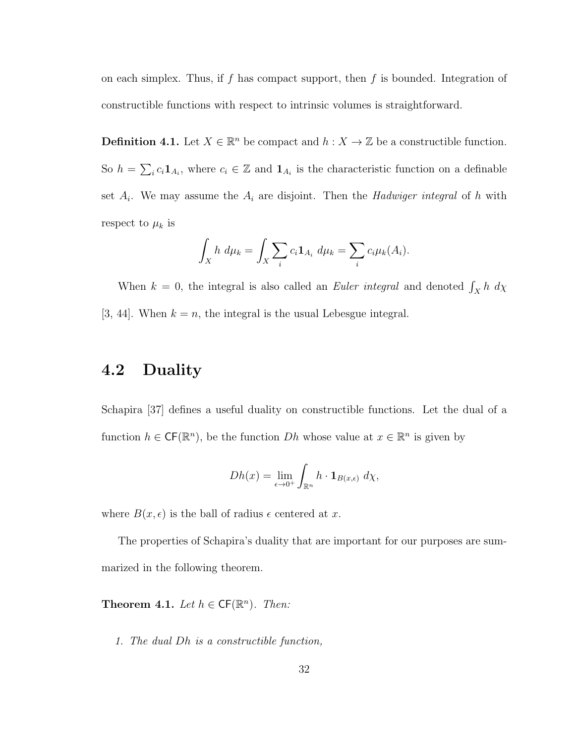on each simplex. Thus, if f has compact support, then f is bounded. Integration of constructible functions with respect to intrinsic volumes is straightforward.

**Definition 4.1.** Let  $X \in \mathbb{R}^n$  be compact and  $h: X \to \mathbb{Z}$  be a constructible function. So  $h = \sum_i c_i \mathbf{1}_{A_i}$ , where  $c_i \in \mathbb{Z}$  and  $\mathbf{1}_{A_i}$  is the characteristic function on a definable set  $A_i$ . We may assume the  $A_i$  are disjoint. Then the *Hadwiger integral* of h with respect to  $\mu_k$  is

$$
\int_X h \ d\mu_k = \int_X \sum_i c_i \mathbf{1}_{A_i} \ d\mu_k = \sum_i c_i \mu_k(A_i).
$$

When  $k = 0$ , the integral is also called an *Euler integral* and denoted  $\int_X h \, d\chi$ [3, 44]. When  $k = n$ , the integral is the usual Lebesgue integral.

### 4.2 Duality

Schapira [37] defines a useful duality on constructible functions. Let the dual of a function  $h \in \mathsf{CF}(\mathbb{R}^n)$ , be the function  $Dh$  whose value at  $x \in \mathbb{R}^n$  is given by

$$
Dh(x) = \lim_{\epsilon \to 0^+} \int_{\mathbb{R}^n} h \cdot \mathbf{1}_{B(x,\epsilon)} \, d\chi,
$$

where  $B(x, \epsilon)$  is the ball of radius  $\epsilon$  centered at x.

The properties of Schapira's duality that are important for our purposes are summarized in the following theorem.

**Theorem 4.1.** Let  $h \in CF(\mathbb{R}^n)$ . Then:

1. The dual Dh is a constructible function,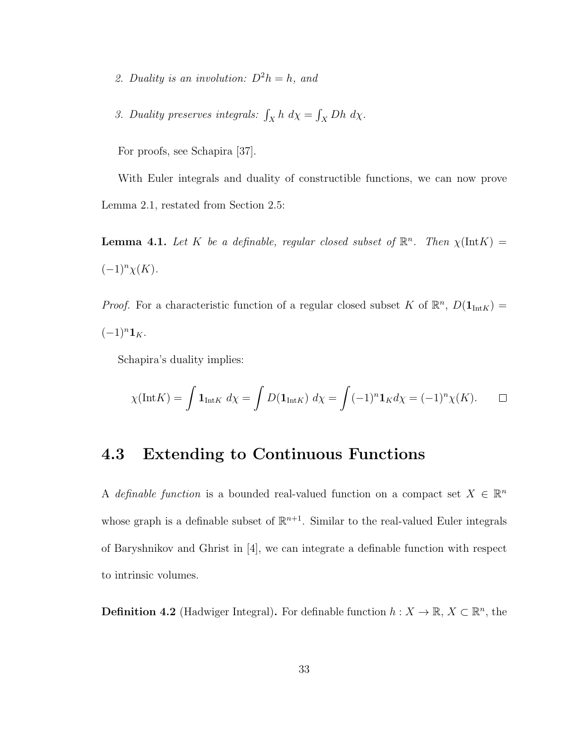- 2. Duality is an involution:  $D^2h = h$ , and
- 3. Duality preserves integrals:  $\int_X h \, d\chi = \int_X Dh \, d\chi$ .

For proofs, see Schapira [37].

With Euler integrals and duality of constructible functions, we can now prove Lemma 2.1, restated from Section 2.5:

**Lemma 4.1.** Let K be a definable, regular closed subset of  $\mathbb{R}^n$ . Then  $\chi(\text{Int}K)$  =  $(-1)^{n}\chi(K).$ 

*Proof.* For a characteristic function of a regular closed subset K of  $\mathbb{R}^n$ ,  $D(\mathbf{1}_{\text{Int}K}) =$  $(-1)^n \mathbf{1}_K$ .

Schapira's duality implies:

$$
\chi(\text{Int}K) = \int \mathbf{1}_{\text{Int}K} \, d\chi = \int D(\mathbf{1}_{\text{Int}K}) \, d\chi = \int (-1)^n \mathbf{1}_K d\chi = (-1)^n \chi(K). \qquad \Box
$$

#### 4.3 Extending to Continuous Functions

A definable function is a bounded real-valued function on a compact set  $X \in \mathbb{R}^n$ whose graph is a definable subset of  $\mathbb{R}^{n+1}$ . Similar to the real-valued Euler integrals of Baryshnikov and Ghrist in [4], we can integrate a definable function with respect to intrinsic volumes.

**Definition 4.2** (Hadwiger Integral). For definable function  $h: X \to \mathbb{R}, X \subset \mathbb{R}^n$ , the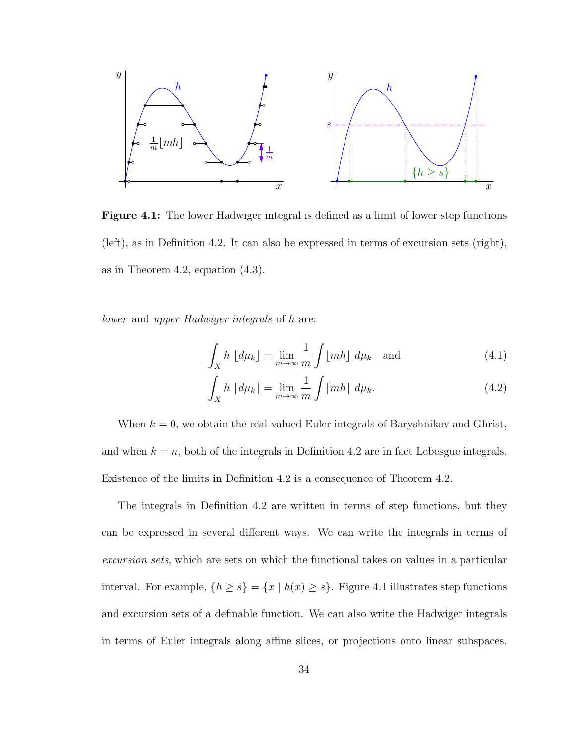

Figure 4.1: The lower Hadwiger integral is defined as a limit of lower step functions (left), as in Definition 4.2. It can also be expressed in terms of excursion sets (right), as in Theorem 4.2, equation (4.3).

lower and upper Hadwiger integrals of h are:

$$
\int_{X} h \, \lfloor d\mu_k \rfloor = \lim_{m \to \infty} \frac{1}{m} \int \lfloor m h \rfloor \, d\mu_k \quad \text{and} \tag{4.1}
$$

$$
\int_{X} h \, \lceil d\mu_k \rceil = \lim_{m \to \infty} \frac{1}{m} \int \lceil m h \rceil \, d\mu_k. \tag{4.2}
$$

When  $k = 0$ , we obtain the real-valued Euler integrals of Baryshnikov and Ghrist, and when  $k = n$ , both of the integrals in Definition 4.2 are in fact Lebesgue integrals. Existence of the limits in Definition 4.2 is a consequence of Theorem 4.2.

The integrals in Definition 4.2 are written in terms of step functions, but they can be expressed in several different ways. We can write the integrals in terms of excursion sets, which are sets on which the functional takes on values in a particular interval. For example,  $\{h \ge s\} = \{x \mid h(x) \ge s\}$ . Figure 4.1 illustrates step functions and excursion sets of a definable function. We can also write the Hadwiger integrals in terms of Euler integrals along affine slices, or projections onto linear subspaces.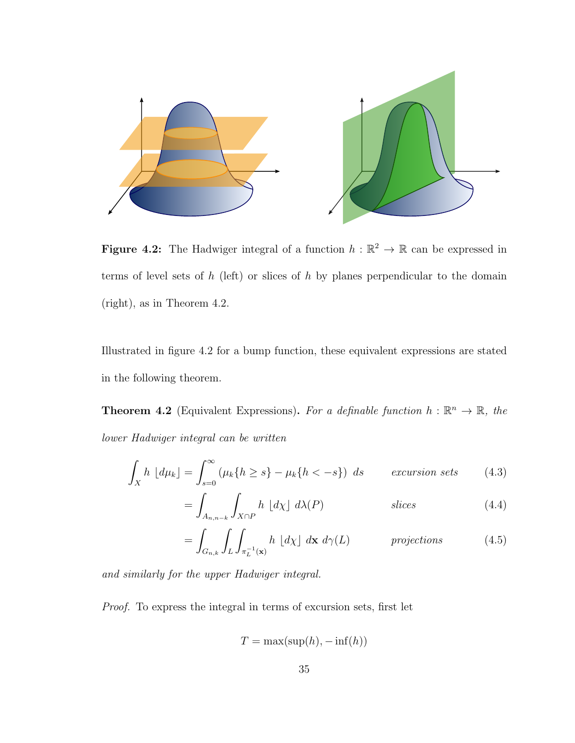

**Figure 4.2:** The Hadwiger integral of a function  $h : \mathbb{R}^2 \to \mathbb{R}$  can be expressed in terms of level sets of  $h$  (left) or slices of  $h$  by planes perpendicular to the domain (right), as in Theorem 4.2.

Illustrated in figure 4.2 for a bump function, these equivalent expressions are stated in the following theorem.

**Theorem 4.2** (Equivalent Expressions). For a definable function  $h : \mathbb{R}^n \to \mathbb{R}$ , the lower Hadwiger integral can be written

$$
\int_{X} h \left[ d\mu_{k} \right] = \int_{s=0}^{\infty} \left( \mu_{k} \{ h \ge s \} - \mu_{k} \{ h < -s \} \right) ds \qquad \text{exclusion sets} \tag{4.3}
$$

$$
=\int_{A_{n,n-k}}\int_{X\cap P}h\ [d\chi]\ d\lambda(P)\qquad\qquad\text{slices}\tag{4.4}
$$

$$
= \int_{G_{n,k}} \int_{L} \int_{\pi_L^{-1}(\mathbf{x})} h \, [d\chi] \, d\mathbf{x} \, d\gamma(L) \qquad \text{projections} \tag{4.5}
$$

and similarly for the upper Hadwiger integral.

Proof. To express the integral in terms of excursion sets, first let

$$
T = \max(\sup(h), -\inf(h))
$$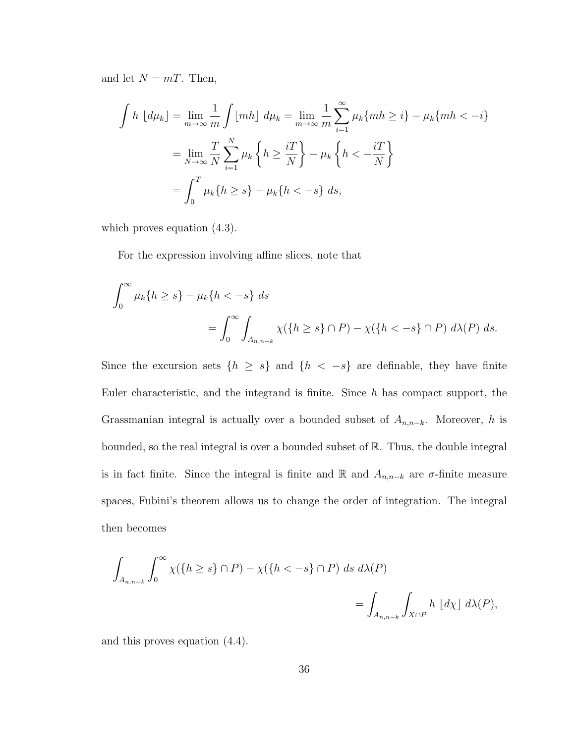and let  $N = mT$ . Then,

$$
\int h \left[ d\mu_k \right] = \lim_{m \to \infty} \frac{1}{m} \int \left[ m h \right] d\mu_k = \lim_{m \to \infty} \frac{1}{m} \sum_{i=1}^{\infty} \mu_k \{ mh \ge i \} - \mu_k \{ mh < -i \}
$$

$$
= \lim_{N \to \infty} \frac{T}{N} \sum_{i=1}^{N} \mu_k \left\{ h \ge \frac{iT}{N} \right\} - \mu_k \left\{ h < -\frac{iT}{N} \right\}
$$

$$
= \int_0^T \mu_k \{ h \ge s \} - \mu_k \{ h < -s \} ds,
$$

which proves equation (4.3).

For the expression involving affine slices, note that

$$
\int_0^\infty \mu_k\{h \ge s\} - \mu_k\{h < -s\} \, ds
$$
\n
$$
= \int_0^\infty \int_{A_{n,n-k}} \chi(\{h \ge s\} \cap P) - \chi(\{h < -s\} \cap P) \, d\lambda(P) \, ds.
$$

Since the excursion sets  $\{h \geq s\}$  and  $\{h \leq -s\}$  are definable, they have finite Euler characteristic, and the integrand is finite. Since  $h$  has compact support, the Grassmanian integral is actually over a bounded subset of  $A_{n,n-k}$ . Moreover, h is bounded, so the real integral is over a bounded subset of R. Thus, the double integral is in fact finite. Since the integral is finite and R and  $A_{n,n-k}$  are  $\sigma$ -finite measure spaces, Fubini's theorem allows us to change the order of integration. The integral then becomes

$$
\int_{A_{n,n-k}} \int_0^\infty \chi(\{h \ge s\} \cap P) - \chi(\{h < -s\} \cap P) \, ds \, d\lambda(P)
$$
\n
$$
= \int_{A_{n,n-k}} \int_{X \cap P} h \, [d\chi] \, d\lambda(P),
$$

and this proves equation (4.4).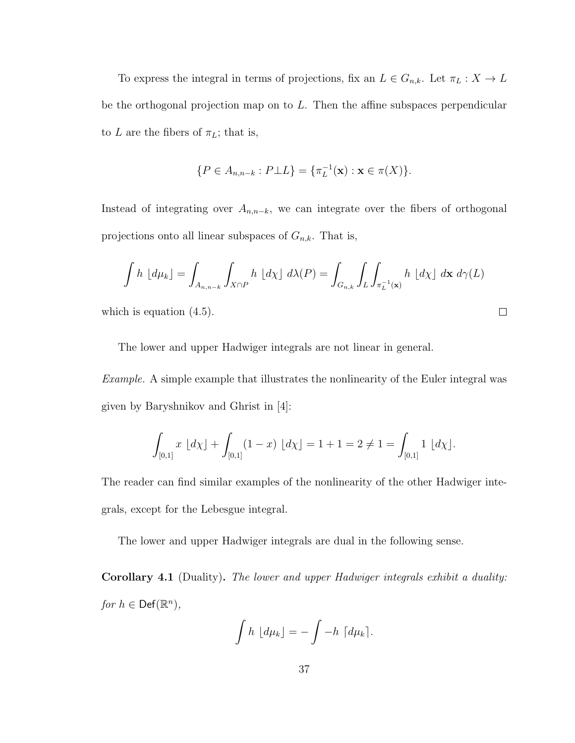To express the integral in terms of projections, fix an  $L \in G_{n,k}$ . Let  $\pi_L : X \to L$ be the orthogonal projection map on to L. Then the affine subspaces perpendicular to L are the fibers of  $\pi_L$ ; that is,

$$
\{P \in A_{n,n-k} : P \bot L\} = \{\pi_L^{-1}(\mathbf{x}) : \mathbf{x} \in \pi(X)\}.
$$

Instead of integrating over  $A_{n,n-k}$ , we can integrate over the fibers of orthogonal projections onto all linear subspaces of  $G_{n,k}$ . That is,

$$
\int h \left[ d\mu_k \right] = \int_{A_{n,n-k}} \int_{X \cap P} h \left[ d\chi \right] d\lambda(P) = \int_{G_{n,k}} \int_L \int_{\pi_L^{-1}(\mathbf{x})} h \left[ d\chi \right] d\mathbf{x} d\gamma(L)
$$

 $\Box$ 

which is equation  $(4.5)$ .

The lower and upper Hadwiger integrals are not linear in general.

Example. A simple example that illustrates the nonlinearity of the Euler integral was given by Baryshnikov and Ghrist in [4]:

$$
\int_{[0,1]} x \, [d\chi] + \int_{[0,1]} (1-x) \, [d\chi] = 1+1 = 2 \neq 1 = \int_{[0,1]} 1 \, [d\chi].
$$

The reader can find similar examples of the nonlinearity of the other Hadwiger integrals, except for the Lebesgue integral.

The lower and upper Hadwiger integrals are dual in the following sense.

Corollary 4.1 (Duality). The lower and upper Hadwiger integrals exhibit a duality: for  $h \in \mathsf{Def}(\mathbb{R}^n)$ ,

$$
\int h \, \lfloor d\mu_k \rfloor = - \int -h \, \lceil d\mu_k \rceil.
$$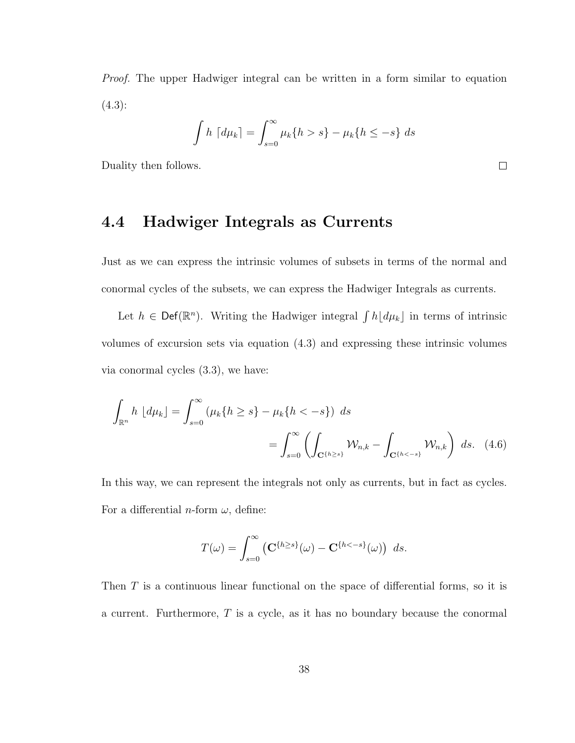Proof. The upper Hadwiger integral can be written in a form similar to equation  $(4.3):$ 

$$
\int h \left[ d\mu_k \right] = \int_{s=0}^{\infty} \mu_k \{ h > s \} - \mu_k \{ h \le -s \} \ ds
$$

Duality then follows.

#### 4.4 Hadwiger Integrals as Currents

Just as we can express the intrinsic volumes of subsets in terms of the normal and conormal cycles of the subsets, we can express the Hadwiger Integrals as currents.

Let  $h \in \text{Def}(\mathbb{R}^n)$ . Writing the Hadwiger integral  $\int h\lfloor d\mu_k \rfloor$  in terms of intrinsic volumes of excursion sets via equation (4.3) and expressing these intrinsic volumes via conormal cycles (3.3), we have:

$$
\int_{\mathbb{R}^n} h \, [d\mu_k] = \int_{s=0}^\infty (\mu_k \{ h \ge s \} - \mu_k \{ h < -s \}) \, ds
$$
\n
$$
= \int_{s=0}^\infty \left( \int_{\mathbf{C}^{\{h \ge s\}}} \mathcal{W}_{n,k} - \int_{\mathbf{C}^{\{h < -s\}}} \mathcal{W}_{n,k} \right) \, ds. \tag{4.6}
$$

In this way, we can represent the integrals not only as currents, but in fact as cycles. For a differential *n*-form  $\omega$ , define:

$$
T(\omega) = \int_{s=0}^{\infty} \left( \mathbf{C}^{\{h \ge s\}}(\omega) - \mathbf{C}^{\{h < -s\}}(\omega) \right) ds.
$$

Then T is a continuous linear functional on the space of differential forms, so it is a current. Furthermore,  $T$  is a cycle, as it has no boundary because the conormal

 $\Box$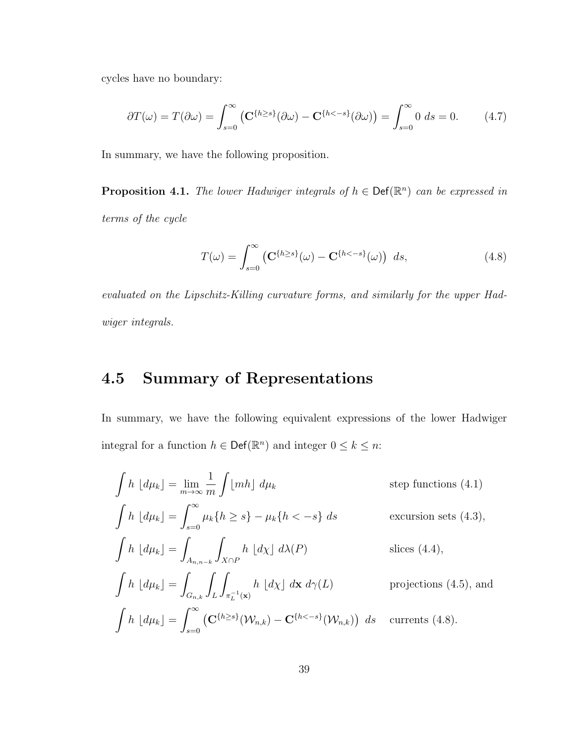cycles have no boundary:

$$
\partial T(\omega) = T(\partial \omega) = \int_{s=0}^{\infty} \left( \mathbf{C}^{\{h \ge s\}}(\partial \omega) - \mathbf{C}^{\{h < -s\}}(\partial \omega) \right) = \int_{s=0}^{\infty} 0 \, ds = 0. \tag{4.7}
$$

In summary, we have the following proposition.

**Proposition 4.1.** The lower Hadwiger integrals of  $h \in \text{Def}(\mathbb{R}^n)$  can be expressed in terms of the cycle

$$
T(\omega) = \int_{s=0}^{\infty} \left( \mathbf{C}^{\{h \ge s\}}(\omega) - \mathbf{C}^{\{h < -s\}}(\omega) \right) ds,\tag{4.8}
$$

evaluated on the Lipschitz-Killing curvature forms, and similarly for the upper Hadwiger integrals.

### 4.5 Summary of Representations

In summary, we have the following equivalent expressions of the lower Hadwiger integral for a function  $h \in \text{Def}(\mathbb{R}^n)$  and integer  $0 \leq k \leq n$ :

$$
\int h \left[ d\mu_k \right] = \lim_{m \to \infty} \frac{1}{m} \int [mh] \ d\mu_k \qquad \text{step functions (4.1)}
$$
\n
$$
\int h \left[ d\mu_k \right] = \int_{s=0}^{\infty} \mu_k \{h \ge s\} - \mu_k \{h < -s\} \ ds \qquad \text{exclusion sets (4.3)},
$$
\n
$$
\int h \left[ d\mu_k \right] = \int_{A_{n,n-k}} \int_{X \cap P} h \left[ d\chi \right] \ d\lambda(P) \qquad \text{slices (4.4)},
$$
\n
$$
\int h \left[ d\mu_k \right] = \int_{G_{n,k}} \int_L \int_{\pi_L^{-1}(\mathbf{x})} h \left[ d\chi \right] \ d\mathbf{x} \ d\gamma(L) \qquad \text{projections (4.5), and}
$$
\n
$$
\int h \left[ d\mu_k \right] = \int_{s=0}^{\infty} \left( \mathbf{C}^{\{h \ge s\}}(\mathcal{W}_{n,k}) - \mathbf{C}^{\{h < -s\}}(\mathcal{W}_{n,k}) \right) \ ds \quad \text{currents (4.8)}.
$$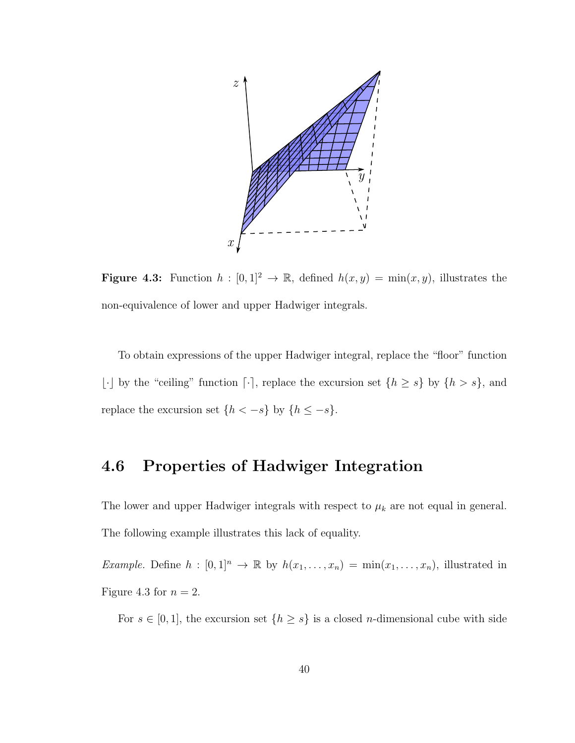

**Figure 4.3:** Function  $h : [0,1]^2 \to \mathbb{R}$ , defined  $h(x,y) = \min(x,y)$ , illustrates the non-equivalence of lower and upper Hadwiger integrals.

To obtain expressions of the upper Hadwiger integral, replace the "floor" function  $\lfloor \cdot \rfloor$  by the "ceiling" function  $\lceil \cdot \rceil$ , replace the excursion set  $\{h \geq s\}$  by  $\{h > s\}$ , and replace the excursion set  $\{h < -s\}$  by  $\{h \le -s\}$ .

### 4.6 Properties of Hadwiger Integration

The lower and upper Hadwiger integrals with respect to  $\mu_k$  are not equal in general. The following example illustrates this lack of equality.

Example. Define  $h : [0,1]^n \to \mathbb{R}$  by  $h(x_1,\ldots,x_n) = \min(x_1,\ldots,x_n)$ , illustrated in Figure 4.3 for  $n = 2$ .

For  $s \in [0, 1]$ , the excursion set  $\{h \geq s\}$  is a closed *n*-dimensional cube with side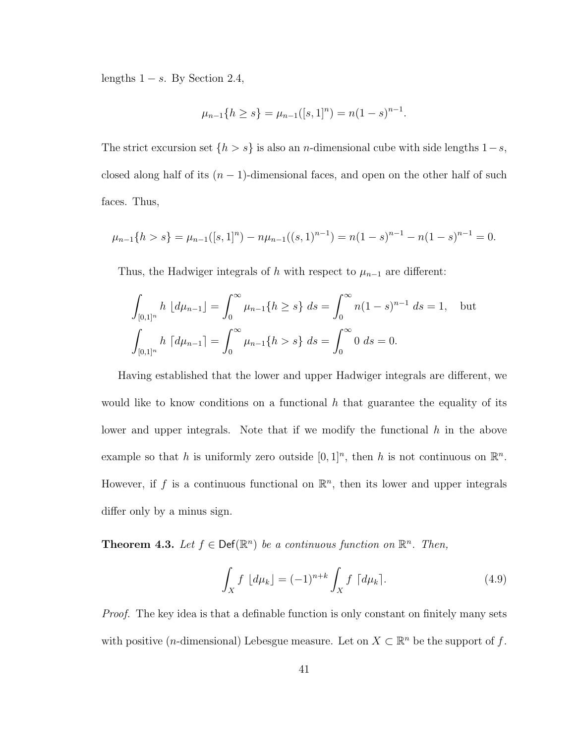lengths  $1 - s$ . By Section 2.4,

$$
\mu_{n-1}\{h \ge s\} = \mu_{n-1}([s, 1]^n) = n(1-s)^{n-1}.
$$

The strict excursion set  $\{h > s\}$  is also an *n*-dimensional cube with side lengths  $1-s$ , closed along half of its  $(n - 1)$ -dimensional faces, and open on the other half of such faces. Thus,

$$
\mu_{n-1}\{h > s\} = \mu_{n-1}([s,1]^n) - n\mu_{n-1}((s,1)^{n-1}) = n(1-s)^{n-1} - n(1-s)^{n-1} = 0.
$$

Thus, the Hadwiger integrals of h with respect to  $\mu_{n-1}$  are different:

$$
\int_{[0,1]^n} h \, [d\mu_{n-1}] = \int_0^\infty \mu_{n-1} \{ h \ge s \} \, ds = \int_0^\infty n(1-s)^{n-1} \, ds = 1, \quad \text{but}
$$
\n
$$
\int_{[0,1]^n} h \, [d\mu_{n-1}] = \int_0^\infty \mu_{n-1} \{ h > s \} \, ds = \int_0^\infty 0 \, ds = 0.
$$

Having established that the lower and upper Hadwiger integrals are different, we would like to know conditions on a functional h that guarantee the equality of its lower and upper integrals. Note that if we modify the functional  $h$  in the above example so that h is uniformly zero outside  $[0,1]^n$ , then h is not continuous on  $\mathbb{R}^n$ . However, if f is a continuous functional on  $\mathbb{R}^n$ , then its lower and upper integrals differ only by a minus sign.

**Theorem 4.3.** Let  $f \in \text{Def}(\mathbb{R}^n)$  be a continuous function on  $\mathbb{R}^n$ . Then,

$$
\int_X f \, \lfloor d\mu_k \rfloor = (-1)^{n+k} \int_X f \, \lceil d\mu_k \rceil. \tag{4.9}
$$

Proof. The key idea is that a definable function is only constant on finitely many sets with positive (*n*-dimensional) Lebesgue measure. Let on  $X \subset \mathbb{R}^n$  be the support of f.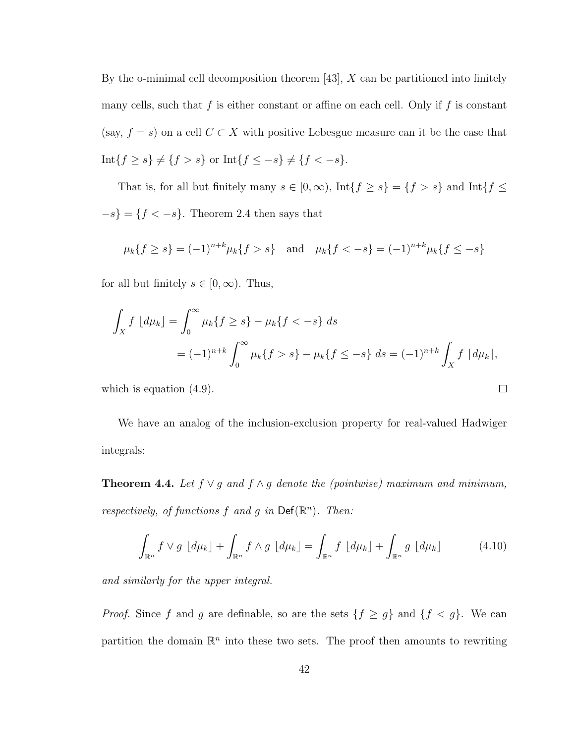By the o-minimal cell decomposition theorem  $[43]$ , X can be partitioned into finitely many cells, such that f is either constant or affine on each cell. Only if f is constant (say,  $f = s$ ) on a cell  $C \subset X$  with positive Lebesgue measure can it be the case that Int{ $f \ge s$ }  $\neq$  { $f > s$ } or Int{ $f \le -s$ }  $\neq$  { $f < -s$ }.

That is, for all but finitely many  $s \in [0, \infty)$ ,  $\text{Int}{f \geq s} = {f > s}$  and  $\text{Int}{f \leq s}$  $-s$ } = { $f < -s$ }. Theorem 2.4 then says that

$$
\mu_k\{f \ge s\} = (-1)^{n+k} \mu_k\{f > s\}
$$
 and  $\mu_k\{f < -s\} = (-1)^{n+k} \mu_k\{f \le -s\}$ 

for all but finitely  $s \in [0, \infty)$ . Thus,

$$
\int_X f \, [d\mu_k] = \int_0^\infty \mu_k \{ f \ge s \} - \mu_k \{ f < -s \} \, ds
$$
\n
$$
= (-1)^{n+k} \int_0^\infty \mu_k \{ f > s \} - \mu_k \{ f \le -s \} \, ds = (-1)^{n+k} \int_X f \, [d\mu_k],
$$

 $\Box$ 

which is equation (4.9).

We have an analog of the inclusion-exclusion property for real-valued Hadwiger integrals:

**Theorem 4.4.** Let  $f \vee g$  and  $f \wedge g$  denote the (pointwise) maximum and minimum, respectively, of functions  $f$  and  $g$  in  $\mathsf{Def}(\mathbb{R}^n)$ . Then:

$$
\int_{\mathbb{R}^n} f \vee g \, \left[ d\mu_k \right] + \int_{\mathbb{R}^n} f \wedge g \, \left[ d\mu_k \right] = \int_{\mathbb{R}^n} f \, \left[ d\mu_k \right] + \int_{\mathbb{R}^n} g \, \left[ d\mu_k \right] \tag{4.10}
$$

and similarly for the upper integral.

*Proof.* Since f and g are definable, so are the sets  $\{f \ge g\}$  and  $\{f < g\}$ . We can partition the domain  $\mathbb{R}^n$  into these two sets. The proof then amounts to rewriting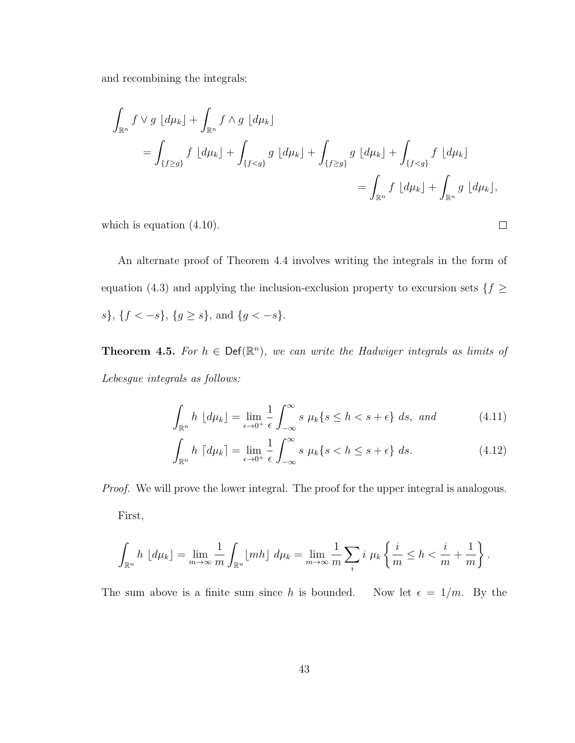and recombining the integrals:

$$
\int_{\mathbb{R}^n} f \vee g \, [d\mu_k] + \int_{\mathbb{R}^n} f \wedge g \, [d\mu_k]
$$
\n
$$
= \int_{\{f \ge g\}} f \, [d\mu_k] + \int_{\{f < g\}} g \, [d\mu_k] + \int_{\{f \ge g\}} g \, [d\mu_k] + \int_{\{f < g\}} f \, [d\mu_k]
$$
\n
$$
= \int_{\mathbb{R}^n} f \, [d\mu_k] + \int_{\mathbb{R}^n} g \, [d\mu_k],
$$

which is equation  $(4.10)$ .

An alternate proof of Theorem 4.4 involves writing the integrals in the form of equation (4.3) and applying the inclusion-exclusion property to excursion sets  $\{f \geq$ s}, { $f < -s$ }, { $g \ge s$ }, and { $g < -s$ }.

**Theorem 4.5.** For  $h \in \text{Def}(\mathbb{R}^n)$ , we can write the Hadwiger integrals as limits of Lebesgue integrals as follows:

$$
\int_{\mathbb{R}^n} h \left[ d\mu_k \right] = \lim_{\epsilon \to 0^+} \frac{1}{\epsilon} \int_{-\infty}^{\infty} s \mu_k \{ s \le h < s + \epsilon \} \ ds, \ \text{and} \tag{4.11}
$$

 $\Box$ 

$$
\int_{\mathbb{R}^n} h \, \left[ d\mu_k \right] = \lim_{\epsilon \to 0^+} \frac{1}{\epsilon} \int_{-\infty}^{\infty} s \, \mu_k \{ s < h \le s + \epsilon \} \, ds. \tag{4.12}
$$

*Proof.* We will prove the lower integral. The proof for the upper integral is analogous. First,

$$
\int_{\mathbb{R}^n} h \left[ d\mu_k \right] = \lim_{m \to \infty} \frac{1}{m} \int_{\mathbb{R}^n} \left[ m h \right] d\mu_k = \lim_{m \to \infty} \frac{1}{m} \sum_i i \mu_k \left\{ \frac{i}{m} \leq h < \frac{i}{m} + \frac{1}{m} \right\}.
$$

The sum above is a finite sum since h is bounded. Now let  $\epsilon = 1/m$ . By the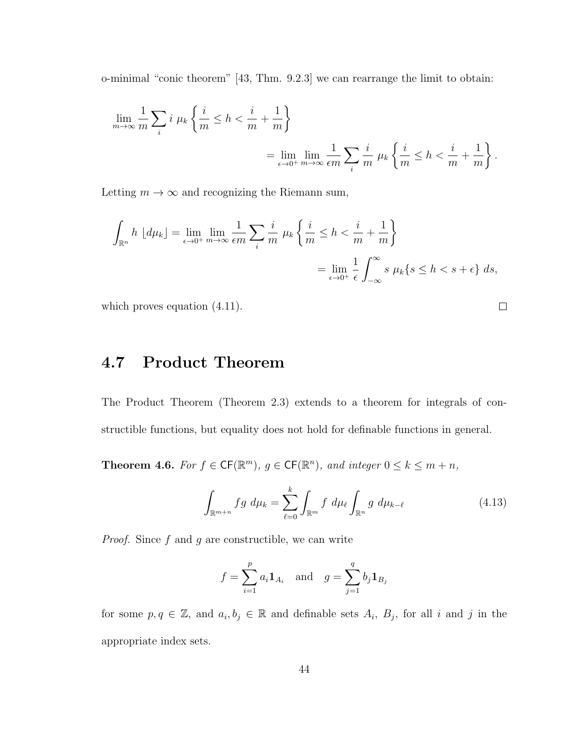o-minimal "conic theorem" [43, Thm. 9.2.3] we can rearrange the limit to obtain:

$$
\lim_{m \to \infty} \frac{1}{m} \sum_{i} i \mu_k \left\{ \frac{i}{m} \le h < \frac{i}{m} + \frac{1}{m} \right\} = \lim_{\epsilon \to 0^+} \lim_{m \to \infty} \frac{1}{\epsilon m} \sum_{i} \frac{i}{m} \mu_k \left\{ \frac{i}{m} \le h < \frac{i}{m} + \frac{1}{m} \right\}.
$$

Letting  $m \to \infty$  and recognizing the Riemann sum,

$$
\int_{\mathbb{R}^n} h \left[ d\mu_k \right] = \lim_{\epsilon \to 0^+} \lim_{m \to \infty} \frac{1}{\epsilon m} \sum_i \frac{i}{m} \mu_k \left\{ \frac{i}{m} \le h < \frac{i}{m} + \frac{1}{m} \right\}
$$
\n
$$
= \lim_{\epsilon \to 0^+} \frac{1}{\epsilon} \int_{-\infty}^{\infty} s \mu_k \{ s \le h < s + \epsilon \} ds,
$$

which proves equation  $(4.11)$ .

4.7 Product Theorem

The Product Theorem (Theorem 2.3) extends to a theorem for integrals of constructible functions, but equality does not hold for definable functions in general.

**Theorem 4.6.** For  $f \in CF(\mathbb{R}^m)$ ,  $g \in CF(\mathbb{R}^n)$ , and integer  $0 \leq k \leq m+n$ ,

$$
\int_{\mathbb{R}^{m+n}} fg \ d\mu_k = \sum_{\ell=0}^k \int_{\mathbb{R}^m} f \ d\mu_\ell \int_{\mathbb{R}^n} g \ d\mu_{k-\ell} \tag{4.13}
$$

*Proof.* Since  $f$  and  $g$  are constructible, we can write

$$
f = \sum_{i=1}^{p} a_i \mathbf{1}_{A_i} \quad \text{and} \quad g = \sum_{j=1}^{q} b_j \mathbf{1}_{B_j}
$$

for some  $p, q \in \mathbb{Z}$ , and  $a_i, b_j \in \mathbb{R}$  and definable sets  $A_i$ ,  $B_j$ , for all i and j in the appropriate index sets.

 $\Box$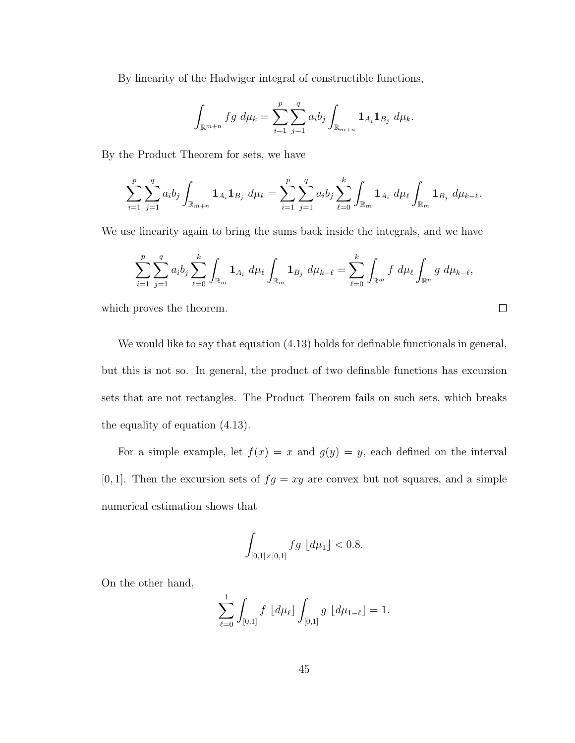By linearity of the Hadwiger integral of constructible functions,

$$
\int_{\mathbb{R}^{m+n}} fg \ d\mu_k = \sum_{i=1}^p \sum_{j=1}^q a_i b_j \int_{\mathbb{R}_{m+n}} \mathbf{1}_{A_i} \mathbf{1}_{B_j} \ d\mu_k.
$$

By the Product Theorem for sets, we have

$$
\sum_{i=1}^p \sum_{j=1}^q a_i b_j \int_{\mathbb{R}_{m+n}} \mathbf{1}_{A_i} \mathbf{1}_{B_j} d\mu_k = \sum_{i=1}^p \sum_{j=1}^q a_i b_j \sum_{\ell=0}^k \int_{\mathbb{R}_m} \mathbf{1}_{A_i} d\mu_\ell \int_{\mathbb{R}_m} \mathbf{1}_{B_j} d\mu_{k-\ell}.
$$

We use linearity again to bring the sums back inside the integrals, and we have

$$
\sum_{i=1}^p \sum_{j=1}^q a_i b_j \sum_{\ell=0}^k \int_{\mathbb{R}_m} \mathbf{1}_{A_i} d\mu_{\ell} \int_{\mathbb{R}_m} \mathbf{1}_{B_j} d\mu_{k-\ell} = \sum_{\ell=0}^k \int_{\mathbb{R}^m} f d\mu_{\ell} \int_{\mathbb{R}^n} g d\mu_{k-\ell},
$$

 $\Box$ 

which proves the theorem.

We would like to say that equation (4.13) holds for definable functionals in general, but this is not so. In general, the product of two definable functions has excursion sets that are not rectangles. The Product Theorem fails on such sets, which breaks the equality of equation (4.13).

For a simple example, let  $f(x) = x$  and  $g(y) = y$ , each defined on the interval [0, 1]. Then the excursion sets of  $fg = xy$  are convex but not squares, and a simple numerical estimation shows that

$$
\int_{[0,1]\times[0,1]} fg \, [d\mu_1] < 0.8.
$$

On the other hand,

$$
\sum_{\ell=0}^1 \int_{[0,1]} f \, d\mu_{\ell} \, d\mu_{\ell} \, d\mu_{1-\ell} \, d = 1.
$$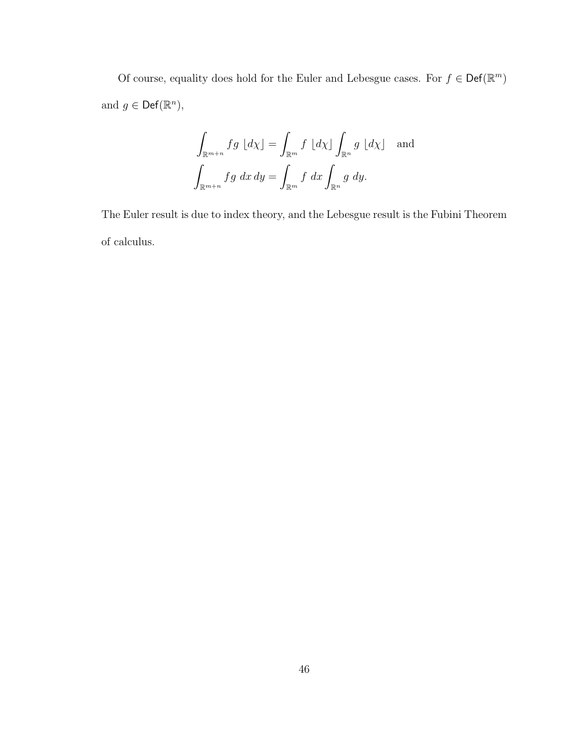Of course, equality does hold for the Euler and Lebesgue cases. For  $f \in \mathsf{Def}(\mathbb{R}^m)$ and  $g \in \mathsf{Def}(\mathbb{R}^n)$ ,

$$
\int_{\mathbb{R}^{m+n}} fg \, dx \, dy = \int_{\mathbb{R}^m} f \, dx \, dy \int_{\mathbb{R}^n} g \, dx \, dy
$$
 and  

$$
\int_{\mathbb{R}^{m+n}} fg \, dx \, dy = \int_{\mathbb{R}^m} f \, dx \int_{\mathbb{R}^n} g \, dy.
$$

The Euler result is due to index theory, and the Lebesgue result is the Fubini Theorem of calculus.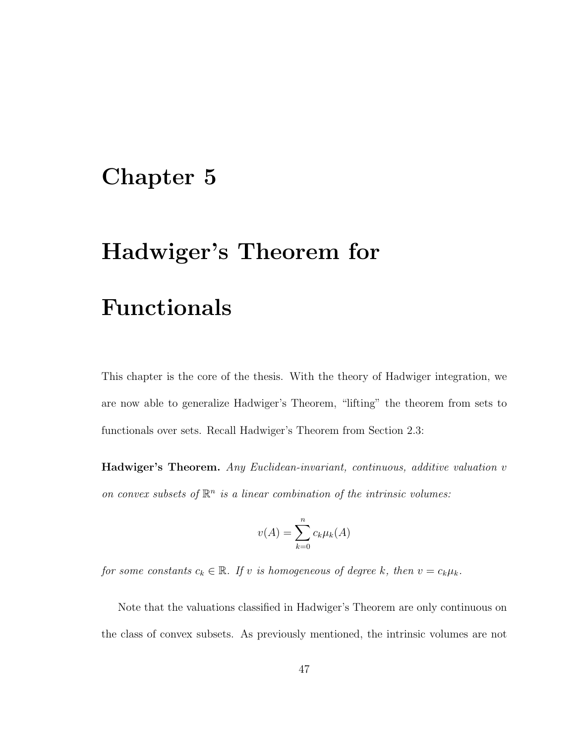### Chapter 5

# Hadwiger's Theorem for

### Functionals

This chapter is the core of the thesis. With the theory of Hadwiger integration, we are now able to generalize Hadwiger's Theorem, "lifting" the theorem from sets to functionals over sets. Recall Hadwiger's Theorem from Section 2.3:

Hadwiger's Theorem. Any Euclidean-invariant, continuous, additive valuation v on convex subsets of  $\mathbb{R}^n$  is a linear combination of the intrinsic volumes:

$$
v(A) = \sum_{k=0}^{n} c_k \mu_k(A)
$$

for some constants  $c_k \in \mathbb{R}$ . If v is homogeneous of degree k, then  $v = c_k \mu_k$ .

Note that the valuations classified in Hadwiger's Theorem are only continuous on the class of convex subsets. As previously mentioned, the intrinsic volumes are not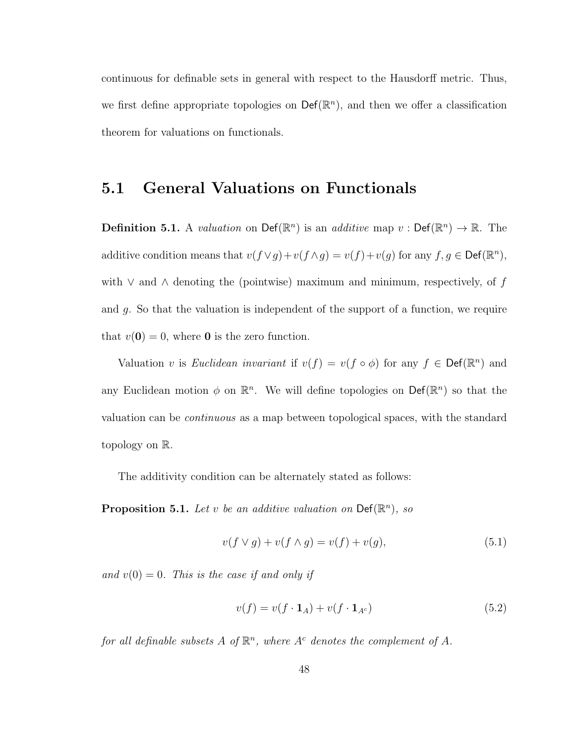continuous for definable sets in general with respect to the Hausdorff metric. Thus, we first define appropriate topologies on  $\mathsf{Def}(\mathbb{R}^n)$ , and then we offer a classification theorem for valuations on functionals.

### 5.1 General Valuations on Functionals

**Definition 5.1.** A *valuation* on  $\text{Def}(\mathbb{R}^n)$  is an *additive* map  $v : \text{Def}(\mathbb{R}^n) \to \mathbb{R}$ . The additive condition means that  $v(f \vee g) + v(f \wedge g) = v(f) + v(g)$  for any  $f, g \in \text{Def}(\mathbb{R}^n)$ , with  $\vee$  and  $\wedge$  denoting the (pointwise) maximum and minimum, respectively, of f and g. So that the valuation is independent of the support of a function, we require that  $v(\mathbf{0}) = 0$ , where **0** is the zero function.

Valuation v is Euclidean invariant if  $v(f) = v(f \circ \phi)$  for any  $f \in \text{Def}(\mathbb{R}^n)$  and any Euclidean motion  $\phi$  on  $\mathbb{R}^n$ . We will define topologies on  $\mathsf{Def}(\mathbb{R}^n)$  so that the valuation can be continuous as a map between topological spaces, with the standard topology on R.

The additivity condition can be alternately stated as follows:

**Proposition 5.1.** Let v be an additive valuation on  $\textsf{Def}(\mathbb{R}^n)$ , so

$$
v(f \vee g) + v(f \wedge g) = v(f) + v(g), \tag{5.1}
$$

and  $v(0) = 0$ . This is the case if and only if

$$
v(f) = v(f \cdot \mathbf{1}_A) + v(f \cdot \mathbf{1}_{A^c})
$$
\n<sup>(5.2)</sup>

for all definable subsets A of  $\mathbb{R}^n$ , where  $A^c$  denotes the complement of A.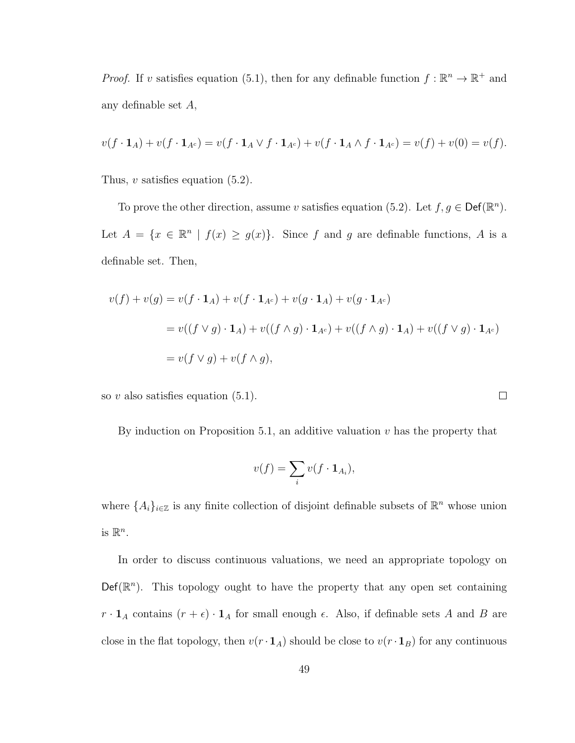*Proof.* If v satisfies equation (5.1), then for any definable function  $f : \mathbb{R}^n \to \mathbb{R}^+$  and any definable set A,

$$
v(f \cdot \mathbf{1}_A) + v(f \cdot \mathbf{1}_{A^c}) = v(f \cdot \mathbf{1}_A \vee f \cdot \mathbf{1}_{A^c}) + v(f \cdot \mathbf{1}_A \wedge f \cdot \mathbf{1}_{A^c}) = v(f) + v(0) = v(f).
$$

Thus,  $v$  satisfies equation  $(5.2)$ .

To prove the other direction, assume v satisfies equation (5.2). Let  $f, g \in \text{Def}(\mathbb{R}^n)$ . Let  $A = \{x \in \mathbb{R}^n \mid f(x) \ge g(x)\}\$ . Since f and g are definable functions, A is a definable set. Then,

$$
v(f) + v(g) = v(f \cdot \mathbf{1}_A) + v(f \cdot \mathbf{1}_{A^c}) + v(g \cdot \mathbf{1}_A) + v(g \cdot \mathbf{1}_{A^c})
$$
  
= 
$$
v((f \vee g) \cdot \mathbf{1}_A) + v((f \wedge g) \cdot \mathbf{1}_{A^c}) + v((f \wedge g) \cdot \mathbf{1}_A) + v((f \vee g) \cdot \mathbf{1}_{A^c})
$$
  
= 
$$
v(f \vee g) + v(f \wedge g),
$$

so  $v$  also satisfies equation  $(5.1)$ .

By induction on Proposition 5.1, an additive valuation  $v$  has the property that

 $\Box$ 

$$
v(f) = \sum_i v(f \cdot \mathbf{1}_{A_i}),
$$

where  $\{A_i\}_{i\in\mathbb{Z}}$  is any finite collection of disjoint definable subsets of  $\mathbb{R}^n$  whose union is  $\mathbb{R}^n$ .

In order to discuss continuous valuations, we need an appropriate topology on  $\mathsf{Def}(\mathbb{R}^n)$ . This topology ought to have the property that any open set containing  $r \cdot \mathbf{1}_A$  contains  $(r + \epsilon) \cdot \mathbf{1}_A$  for small enough  $\epsilon$ . Also, if definable sets A and B are close in the flat topology, then  $v(r \cdot \mathbf{1}_A)$  should be close to  $v(r \cdot \mathbf{1}_B)$  for any continuous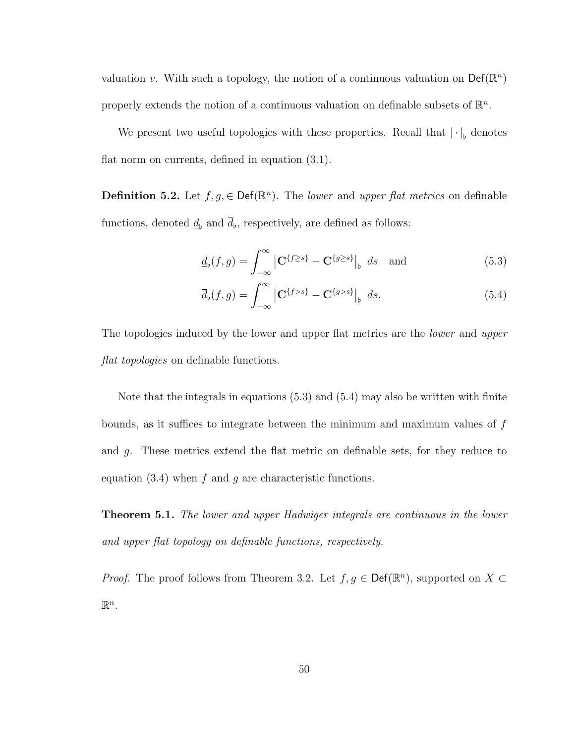valuation v. With such a topology, the notion of a continuous valuation on  $\mathsf{Def}(\mathbb{R}^n)$ properly extends the notion of a continuous valuation on definable subsets of  $\mathbb{R}^n$ .

We present two useful topologies with these properties. Recall that  $|\cdot|_{\flat}$  denotes flat norm on currents, defined in equation (3.1).

**Definition 5.2.** Let  $f, g \in \text{Def}(\mathbb{R}^n)$ . The *lower* and *upper flat metrics* on definable functions, denoted  $\underline{d}_b$  and  $d_b$ , respectively, are defined as follows:

$$
\underline{d}_{\flat}(f,g) = \int_{-\infty}^{\infty} \left| \mathbf{C}^{\{f \ge s\}} - \mathbf{C}^{\{g \ge s\}} \right|_{\flat} ds \quad \text{and} \tag{5.3}
$$

$$
\overline{d}_{\flat}(f,g) = \int_{-\infty}^{\infty} \left| \mathbf{C}^{\{f>s\}} - \mathbf{C}^{\{g>s\}} \right|, ds. \tag{5.4}
$$

The topologies induced by the lower and upper flat metrics are the *lower* and upper flat topologies on definable functions.

Note that the integrals in equations (5.3) and (5.4) may also be written with finite bounds, as it suffices to integrate between the minimum and maximum values of  $f$ and g. These metrics extend the flat metric on definable sets, for they reduce to equation  $(3.4)$  when f and g are characteristic functions.

**Theorem 5.1.** The lower and upper Hadwiger integrals are continuous in the lower and upper flat topology on definable functions, respectively.

*Proof.* The proof follows from Theorem 3.2. Let  $f, g \in \text{Def}(\mathbb{R}^n)$ , supported on  $X \subset$  $\mathbb{R}^n$ .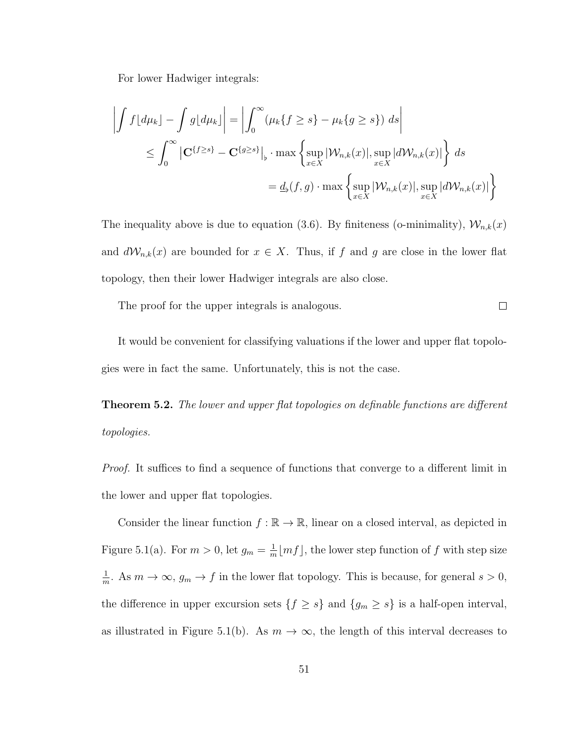For lower Hadwiger integrals:

$$
\left| \int f[d\mu_k] - \int g[d\mu_k] \right| = \left| \int_0^\infty (\mu_k \{f \ge s\} - \mu_k \{g \ge s\}) ds \right|
$$
  

$$
\le \int_0^\infty \left| \mathbf{C}^{\{f \ge s\}} - \mathbf{C}^{\{g \ge s\}} \right|_{\flat} \cdot \max \left\{ \sup_{x \in X} |\mathcal{W}_{n,k}(x)|, \sup_{x \in X} |d\mathcal{W}_{n,k}(x)| \right\} ds
$$
  

$$
= \underline{d}_{\flat}(f, g) \cdot \max \left\{ \sup_{x \in X} |\mathcal{W}_{n,k}(x)|, \sup_{x \in X} |d\mathcal{W}_{n,k}(x)| \right\}
$$

The inequality above is due to equation (3.6). By finiteness (o-minimality),  $\mathcal{W}_{n,k}(x)$ and  $dW_{n,k}(x)$  are bounded for  $x \in X$ . Thus, if f and g are close in the lower flat topology, then their lower Hadwiger integrals are also close.

The proof for the upper integrals is analogous.

It would be convenient for classifying valuations if the lower and upper flat topologies were in fact the same. Unfortunately, this is not the case.

 $\Box$ 

**Theorem 5.2.** The lower and upper flat topologies on definable functions are different topologies.

Proof. It suffices to find a sequence of functions that converge to a different limit in the lower and upper flat topologies.

Consider the linear function  $f : \mathbb{R} \to \mathbb{R}$ , linear on a closed interval, as depicted in Figure 5.1(a). For  $m > 0$ , let  $g_m = \frac{1}{m}$  $\frac{1}{m}$  [*mf*], the lower step function of f with step size 1  $\frac{1}{m}$ . As  $m \to \infty$ ,  $g_m \to f$  in the lower flat topology. This is because, for general  $s > 0$ , the difference in upper excursion sets  $\{f \ge s\}$  and  $\{g_m \ge s\}$  is a half-open interval, as illustrated in Figure 5.1(b). As  $m \to \infty$ , the length of this interval decreases to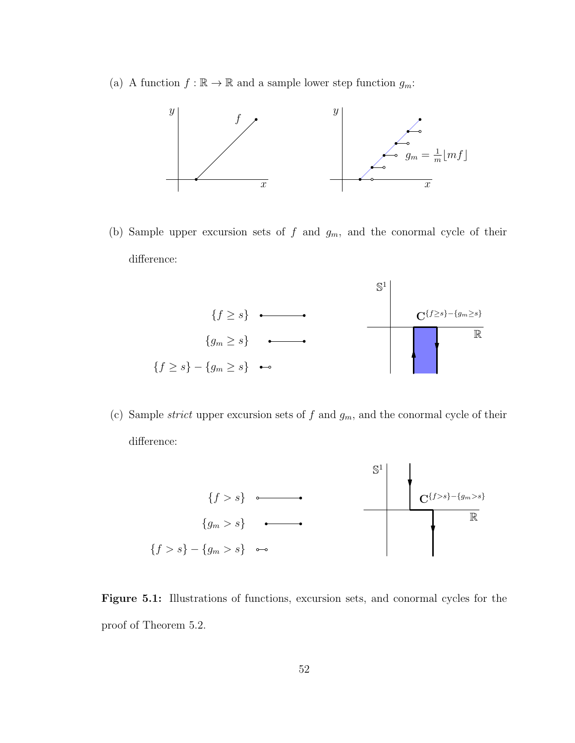(a) A function  $f : \mathbb{R} \to \mathbb{R}$  and a sample lower step function  $g_m$ :



(b) Sample upper excursion sets of  $f$  and  $g_m$ , and the conormal cycle of their difference:



(c) Sample *strict* upper excursion sets of  $f$  and  $g_m$ , and the conormal cycle of their difference:



Figure 5.1: Illustrations of functions, excursion sets, and conormal cycles for the proof of Theorem 5.2.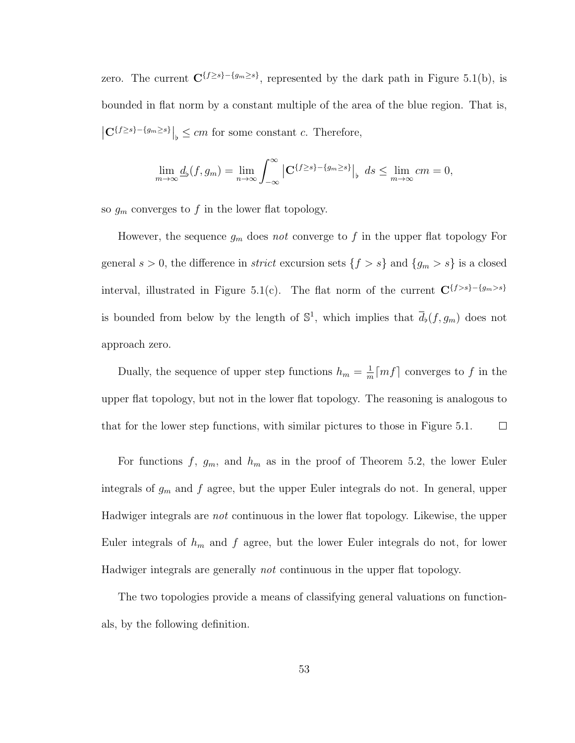zero. The current  $\mathbf{C}^{\{f\geq s\}-\{g_m\geq s\}}$ , represented by the dark path in Figure 5.1(b), is bounded in flat norm by a constant multiple of the area of the blue region. That is,  $\left| \mathbf{C}^{\{f\geq s\}-\{g_m\geq s\}}\right|_{\flat} \leq cm$  for some constant c. Therefore,

$$
\lim_{m\to\infty} \underline{d}_{\flat}(f,g_m) = \lim_{n\to\infty} \int_{-\infty}^{\infty} \left| \mathbf{C}^{\{f \ge s\} - \{g_m \ge s\}} \right|_{\flat} ds \le \lim_{m\to\infty} cm = 0,
$$

so  $g_m$  converges to f in the lower flat topology.

However, the sequence  $g_m$  does not converge to f in the upper flat topology For general  $s > 0$ , the difference in *strict* excursion sets  $\{f > s\}$  and  $\{g_m > s\}$  is a closed interval, illustrated in Figure 5.1(c). The flat norm of the current  $\mathbf{C}^{\{f>s\}-\{g_m>s\}}$ is bounded from below by the length of  $\mathbb{S}^1$ , which implies that  $\overline{d}_b(f, g_m)$  does not approach zero.

Dually, the sequence of upper step functions  $h_m = \frac{1}{m}$  $\frac{1}{m}$ [*mf*] converges to *f* in the upper flat topology, but not in the lower flat topology. The reasoning is analogous to that for the lower step functions, with similar pictures to those in Figure 5.1.  $\Box$ 

For functions f,  $g_m$ , and  $h_m$  as in the proof of Theorem 5.2, the lower Euler integrals of  $g_m$  and f agree, but the upper Euler integrals do not. In general, upper Hadwiger integrals are not continuous in the lower flat topology. Likewise, the upper Euler integrals of  $h_m$  and f agree, but the lower Euler integrals do not, for lower Hadwiger integrals are generally not continuous in the upper flat topology.

The two topologies provide a means of classifying general valuations on functionals, by the following definition.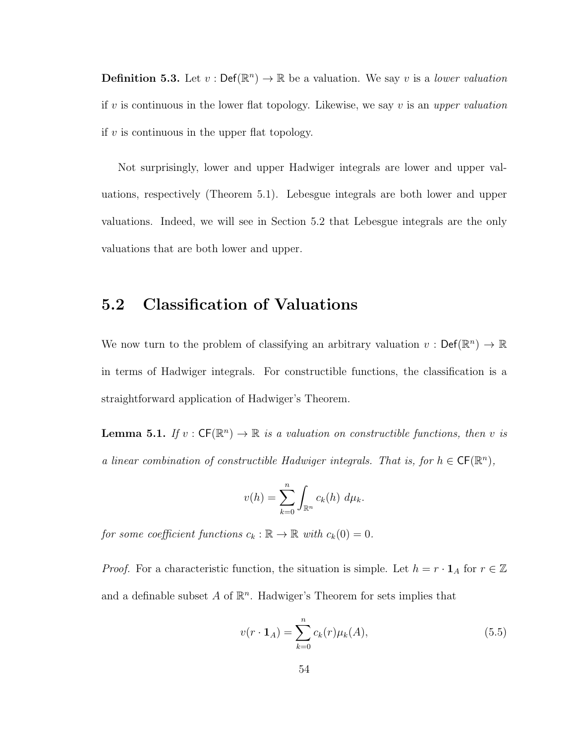**Definition 5.3.** Let  $v: \text{Def}(\mathbb{R}^n) \to \mathbb{R}$  be a valuation. We say v is a *lower valuation* if v is continuous in the lower flat topology. Likewise, we say v is an upper valuation if  $v$  is continuous in the upper flat topology.

Not surprisingly, lower and upper Hadwiger integrals are lower and upper valuations, respectively (Theorem 5.1). Lebesgue integrals are both lower and upper valuations. Indeed, we will see in Section 5.2 that Lebesgue integrals are the only valuations that are both lower and upper.

#### 5.2 Classification of Valuations

We now turn to the problem of classifying an arbitrary valuation  $v: \text{Def}(\mathbb{R}^n) \to \mathbb{R}$ in terms of Hadwiger integrals. For constructible functions, the classification is a straightforward application of Hadwiger's Theorem.

**Lemma 5.1.** If  $v : CF(\mathbb{R}^n) \to \mathbb{R}$  is a valuation on constructible functions, then v is a linear combination of constructible Hadwiger integrals. That is, for  $h \in CF(\mathbb{R}^n)$ ,

$$
v(h) = \sum_{k=0}^{n} \int_{\mathbb{R}^n} c_k(h) d\mu_k.
$$

for some coefficient functions  $c_k : \mathbb{R} \to \mathbb{R}$  with  $c_k(0) = 0$ .

*Proof.* For a characteristic function, the situation is simple. Let  $h = r \cdot \mathbf{1}_A$  for  $r \in \mathbb{Z}$ and a definable subset  $A$  of  $\mathbb{R}^n$ . Hadwiger's Theorem for sets implies that

$$
v(r \cdot \mathbf{1}_A) = \sum_{k=0}^{n} c_k(r) \mu_k(A), \tag{5.5}
$$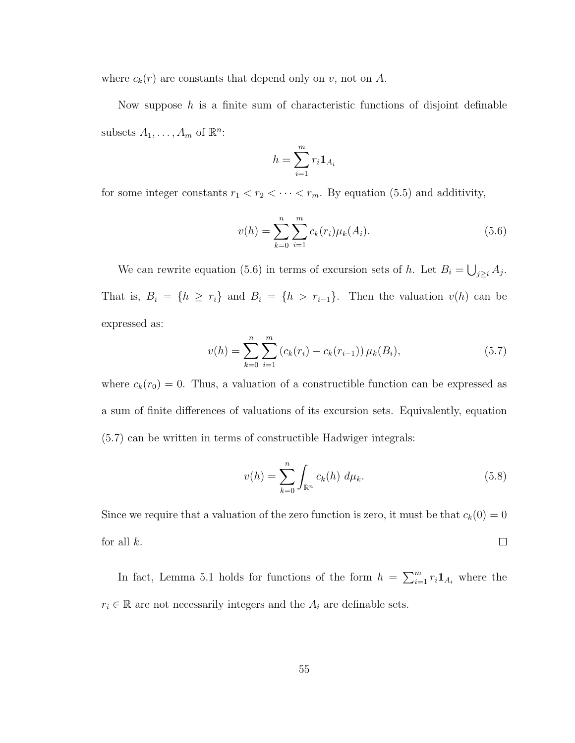where  $c_k(r)$  are constants that depend only on v, not on A.

Now suppose  $h$  is a finite sum of characteristic functions of disjoint definable subsets  $A_1, \ldots, A_m$  of  $\mathbb{R}^n$ :

$$
h = \sum_{i=1}^{m} r_i \mathbf{1}_{A_i}
$$

for some integer constants  $r_1 < r_2 < \cdots < r_m$ . By equation (5.5) and additivity,

$$
v(h) = \sum_{k=0}^{n} \sum_{i=1}^{m} c_k(r_i) \mu_k(A_i).
$$
 (5.6)

We can rewrite equation (5.6) in terms of excursion sets of h. Let  $B_i = \bigcup_{j \geq i} A_j$ . That is,  $B_i = \{h \ge r_i\}$  and  $B_i = \{h > r_{i-1}\}.$  Then the valuation  $v(h)$  can be expressed as:

$$
v(h) = \sum_{k=0}^{n} \sum_{i=1}^{m} (c_k(r_i) - c_k(r_{i-1})) \mu_k(B_i), \qquad (5.7)
$$

where  $c_k(r_0) = 0$ . Thus, a valuation of a constructible function can be expressed as a sum of finite differences of valuations of its excursion sets. Equivalently, equation (5.7) can be written in terms of constructible Hadwiger integrals:

$$
v(h) = \sum_{k=0}^{n} \int_{\mathbb{R}^n} c_k(h) \, d\mu_k. \tag{5.8}
$$

Since we require that a valuation of the zero function is zero, it must be that  $c_k(0) = 0$ for all  $k$ .  $\Box$ 

In fact, Lemma 5.1 holds for functions of the form  $h = \sum_{i=1}^{m} r_i \mathbf{1}_{A_i}$  where the  $r_i \in \mathbb{R}$  are not necessarily integers and the  $A_i$  are definable sets.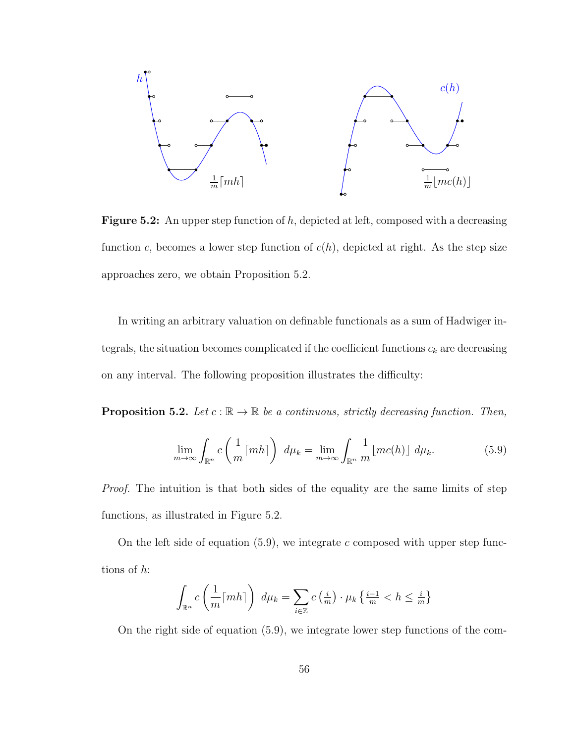

**Figure 5.2:** An upper step function of  $h$ , depicted at left, composed with a decreasing function c, becomes a lower step function of  $c(h)$ , depicted at right. As the step size approaches zero, we obtain Proposition 5.2.

In writing an arbitrary valuation on definable functionals as a sum of Hadwiger integrals, the situation becomes complicated if the coefficient functions  $c_k$  are decreasing on any interval. The following proposition illustrates the difficulty:

**Proposition 5.2.** Let  $c : \mathbb{R} \to \mathbb{R}$  be a continuous, strictly decreasing function. Then,

$$
\lim_{m \to \infty} \int_{\mathbb{R}^n} c\left(\frac{1}{m} \lceil m h \rceil\right) d\mu_k = \lim_{m \to \infty} \int_{\mathbb{R}^n} \frac{1}{m} \lfloor m c(h) \rfloor d\mu_k. \tag{5.9}
$$

Proof. The intuition is that both sides of the equality are the same limits of step functions, as illustrated in Figure 5.2.

On the left side of equation  $(5.9)$ , we integrate c composed with upper step functions of h:

$$
\int_{\mathbb{R}^n} c\left(\frac{1}{m} \lceil m h \rceil\right) d\mu_k = \sum_{i \in \mathbb{Z}} c\left(\frac{i}{m}\right) \cdot \mu_k \left\{\frac{i-1}{m} < h \le \frac{i}{m}\right\}
$$

On the right side of equation (5.9), we integrate lower step functions of the com-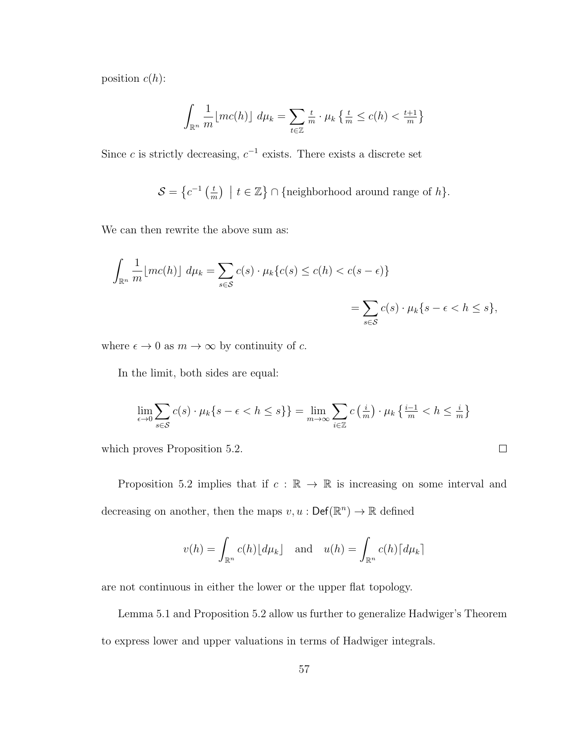position  $c(h)$ :

$$
\int_{\mathbb{R}^n} \frac{1}{m} \lfloor mc(h) \rfloor \ d\mu_k = \sum_{t \in \mathbb{Z}} \frac{t}{m} \cdot \mu_k \left\{ \frac{t}{m} \le c(h) < \frac{t+1}{m} \right\}
$$

Since c is strictly decreasing,  $c^{-1}$  exists. There exists a discrete set

 $\mathcal{S} = \left\{ c^{-1} \left( \frac{t}{n} \right) \right.$  $\left(\frac{t}{m}\right)$  |  $t \in \mathbb{Z}$  \range of h \range of h \range of h \range of h \range of h \range \range \range \range \range \range \range \range \range \range \range \range \range \range \range \range \range \range \range

We can then rewrite the above sum as:

$$
\int_{\mathbb{R}^n} \frac{1}{m} \lfloor mc(h) \rfloor \, d\mu_k = \sum_{s \in \mathcal{S}} c(s) \cdot \mu_k \{ c(s) \le c(h) < c(s - \epsilon) \} \\
= \sum_{s \in \mathcal{S}} c(s) \cdot \mu_k \{ s - \epsilon < h \le s \},
$$

where  $\epsilon \to 0$  as  $m \to \infty$  by continuity of c.

In the limit, both sides are equal:

$$
\lim_{\epsilon \to 0} \sum_{s \in S} c(s) \cdot \mu_k \{ s - \epsilon < h \le s \} = \lim_{m \to \infty} \sum_{i \in \mathbb{Z}} c \left( \frac{i}{m} \right) \cdot \mu_k \left\{ \frac{i - 1}{m} < h \le \frac{i}{m} \right\}
$$

 $\Box$ 

which proves Proposition 5.2.

Proposition 5.2 implies that if  $c : \mathbb{R} \to \mathbb{R}$  is increasing on some interval and decreasing on another, then the maps  $v, u : \mathsf{Def}(\mathbb{R}^n) \to \mathbb{R}$  defined

$$
v(h) = \int_{\mathbb{R}^n} c(h) \lfloor d\mu_k \rfloor
$$
 and  $u(h) = \int_{\mathbb{R}^n} c(h) \lceil d\mu_k \rceil$ 

are not continuous in either the lower or the upper flat topology.

Lemma 5.1 and Proposition 5.2 allow us further to generalize Hadwiger's Theorem to express lower and upper valuations in terms of Hadwiger integrals.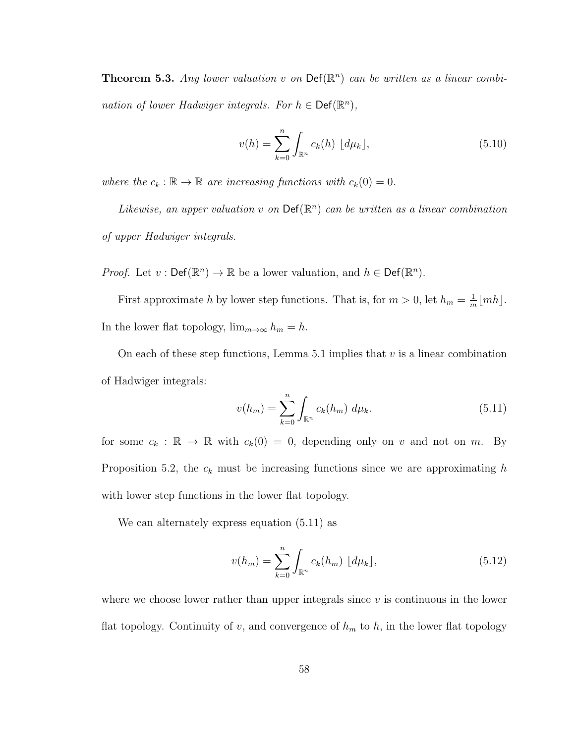**Theorem 5.3.** Any lower valuation v on  $\text{Def}(\mathbb{R}^n)$  can be written as a linear combination of lower Hadwiger integrals. For  $h \in \text{Def}(\mathbb{R}^n)$ ,

$$
v(h) = \sum_{k=0}^{n} \int_{\mathbb{R}^n} c_k(h) \, [d\mu_k], \tag{5.10}
$$

where the  $c_k : \mathbb{R} \to \mathbb{R}$  are increasing functions with  $c_k(0) = 0$ .

Likewise, an upper valuation v on  $\mathsf{Def}(\mathbb{R}^n)$  can be written as a linear combination of upper Hadwiger integrals.

*Proof.* Let  $v : \text{Def}(\mathbb{R}^n) \to \mathbb{R}$  be a lower valuation, and  $h \in \text{Def}(\mathbb{R}^n)$ .

First approximate h by lower step functions. That is, for  $m > 0$ , let  $h_m = \frac{1}{m}$  $\frac{1}{m}$ [mh]. In the lower flat topology,  $\lim_{m\to\infty} h_m = h$ .

On each of these step functions, Lemma 5.1 implies that  $v$  is a linear combination of Hadwiger integrals:

$$
v(h_m) = \sum_{k=0}^{n} \int_{\mathbb{R}^n} c_k(h_m) \, d\mu_k. \tag{5.11}
$$

for some  $c_k : \mathbb{R} \to \mathbb{R}$  with  $c_k(0) = 0$ , depending only on v and not on m. By Proposition 5.2, the  $c_k$  must be increasing functions since we are approximating h with lower step functions in the lower flat topology.

We can alternately express equation (5.11) as

$$
v(h_m) = \sum_{k=0}^{n} \int_{\mathbb{R}^n} c_k(h_m) \, \lfloor d\mu_k \rfloor,
$$
\n(5.12)

where we choose lower rather than upper integrals since  $v$  is continuous in the lower flat topology. Continuity of v, and convergence of  $h_m$  to h, in the lower flat topology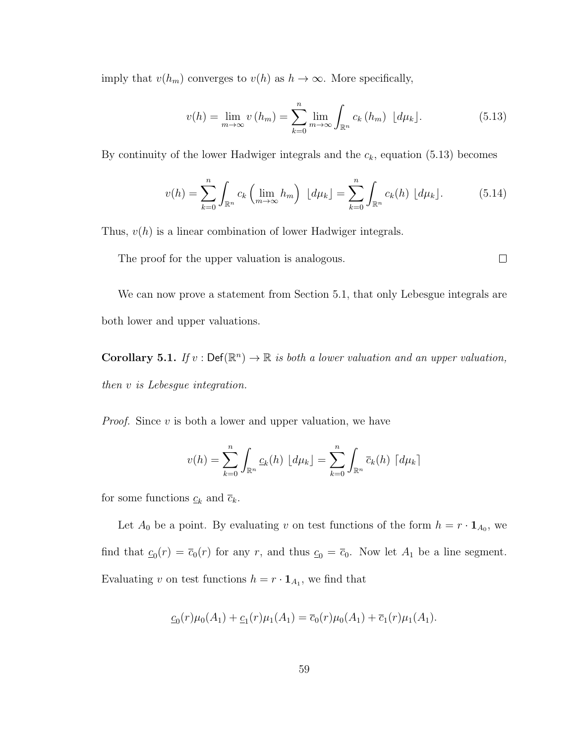imply that  $v(h_m)$  converges to  $v(h)$  as  $h \to \infty$ . More specifically,

$$
v(h) = \lim_{m \to \infty} v(h_m) = \sum_{k=0}^{n} \lim_{m \to \infty} \int_{\mathbb{R}^n} c_k(h_m) \, \lfloor d\mu_k \rfloor. \tag{5.13}
$$

By continuity of the lower Hadwiger integrals and the  $c_k$ , equation (5.13) becomes

$$
v(h) = \sum_{k=0}^{n} \int_{\mathbb{R}^n} c_k \left( \lim_{m \to \infty} h_m \right) \left[ d\mu_k \right] = \sum_{k=0}^{n} \int_{\mathbb{R}^n} c_k(h) \left[ d\mu_k \right]. \tag{5.14}
$$

Thus,  $v(h)$  is a linear combination of lower Hadwiger integrals.

 $\Box$ The proof for the upper valuation is analogous.

We can now prove a statement from Section 5.1, that only Lebesgue integrals are both lower and upper valuations.

**Corollary 5.1.** If  $v : \text{Def}(\mathbb{R}^n) \to \mathbb{R}$  is both a lower valuation and an upper valuation, then v is Lebesgue integration.

*Proof.* Since  $v$  is both a lower and upper valuation, we have

$$
v(h) = \sum_{k=0}^{n} \int_{\mathbb{R}^n} c_k(h) \left[ d\mu_k \right] = \sum_{k=0}^{n} \int_{\mathbb{R}^n} \overline{c}_k(h) \left[ d\mu_k \right]
$$

for some functions  $\underline{c}_k$  and  $\overline{c}_k$ .

Let  $A_0$  be a point. By evaluating v on test functions of the form  $h = r \cdot \mathbf{1}_{A_0}$ , we find that  $c_0(r) = \overline{c}_0(r)$  for any r, and thus  $c_0 = \overline{c}_0$ . Now let  $A_1$  be a line segment. Evaluating v on test functions  $h = r \cdot \mathbf{1}_{A_1}$ , we find that

$$
\underline{c}_0(r)\mu_0(A_1) + \underline{c}_1(r)\mu_1(A_1) = \overline{c}_0(r)\mu_0(A_1) + \overline{c}_1(r)\mu_1(A_1).
$$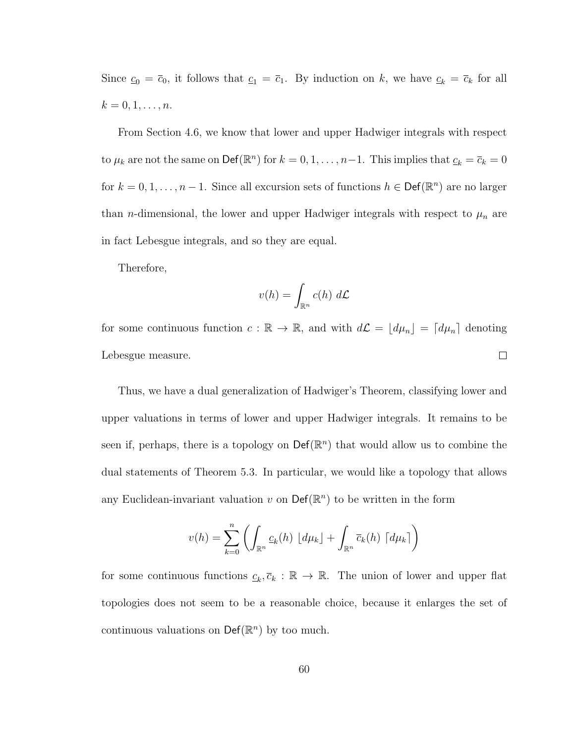Since  $c_0 = \overline{c}_0$ , it follows that  $c_1 = \overline{c}_1$ . By induction on k, we have  $c_k = \overline{c}_k$  for all  $k = 0, 1, \ldots, n$ .

From Section 4.6, we know that lower and upper Hadwiger integrals with respect to  $\mu_k$  are not the same on  $\text{Def}(\mathbb{R}^n)$  for  $k = 0, 1, ..., n-1$ . This implies that  $\underline{c}_k = \overline{c}_k = 0$ for  $k = 0, 1, ..., n - 1$ . Since all excursion sets of functions  $h \in \text{Def}(\mathbb{R}^n)$  are no larger than *n*-dimensional, the lower and upper Hadwiger integrals with respect to  $\mu_n$  are in fact Lebesgue integrals, and so they are equal.

Therefore,

$$
v(h) = \int_{\mathbb{R}^n} c(h) \ d\mathcal{L}
$$

for some continuous function  $c : \mathbb{R} \to \mathbb{R}$ , and with  $d\mathcal{L} = [d\mu_n] = [d\mu_n]$  denoting  $\Box$ Lebesgue measure.

Thus, we have a dual generalization of Hadwiger's Theorem, classifying lower and upper valuations in terms of lower and upper Hadwiger integrals. It remains to be seen if, perhaps, there is a topology on  $\mathsf{Def}(\mathbb{R}^n)$  that would allow us to combine the dual statements of Theorem 5.3. In particular, we would like a topology that allows any Euclidean-invariant valuation  $v$  on  $\mathsf{Def}(\mathbb{R}^n)$  to be written in the form

$$
v(h) = \sum_{k=0}^{n} \left( \int_{\mathbb{R}^n} c_k(h) \left[ d\mu_k \right] + \int_{\mathbb{R}^n} \overline{c}_k(h) \left[ d\mu_k \right] \right)
$$

for some continuous functions  $c_k, \overline{c}_k : \mathbb{R} \to \mathbb{R}$ . The union of lower and upper flat topologies does not seem to be a reasonable choice, because it enlarges the set of continuous valuations on  $\mathsf{Def}(\mathbb{R}^n)$  by too much.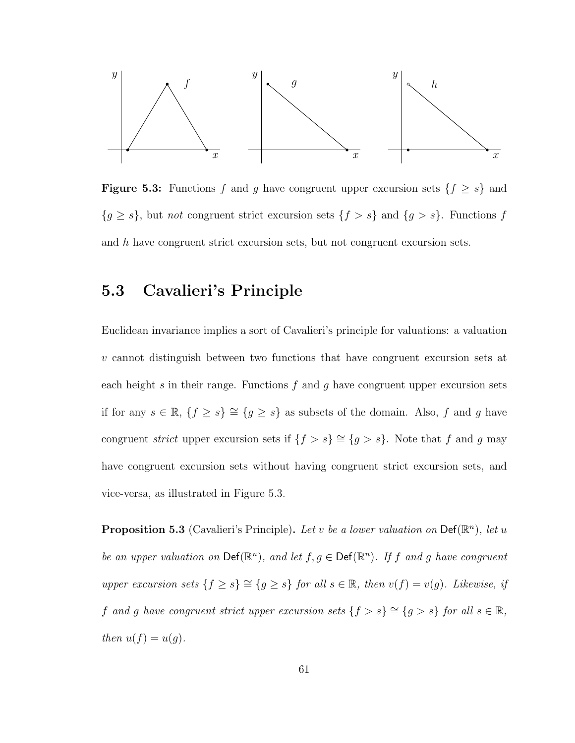

**Figure 5.3:** Functions f and g have congruent upper excursion sets  $\{f \geq s\}$  and  ${g \geq s}$ , but *not* congruent strict excursion sets  ${f > s}$  and  ${g > s}$ . Functions f and h have congruent strict excursion sets, but not congruent excursion sets.

### 5.3 Cavalieri's Principle

Euclidean invariance implies a sort of Cavalieri's principle for valuations: a valuation v cannot distinguish between two functions that have congruent excursion sets at each height s in their range. Functions f and g have congruent upper excursion sets if for any  $s \in \mathbb{R}$ ,  $\{f \geq s\} \cong \{g \geq s\}$  as subsets of the domain. Also, f and g have congruent *strict* upper excursion sets if  $\{f > s\} \cong \{g > s\}$ . Note that f and g may have congruent excursion sets without having congruent strict excursion sets, and vice-versa, as illustrated in Figure 5.3.

**Proposition 5.3** (Cavalieri's Principle). Let v be a lower valuation on  $\textsf{Def}(\mathbb{R}^n)$ , let u be an upper valuation on  $\text{Def}(\mathbb{R}^n)$ , and let  $f, g \in \text{Def}(\mathbb{R}^n)$ . If f and g have congruent upper excursion sets  $\{f \ge s\} \cong \{g \ge s\}$  for all  $s \in \mathbb{R}$ , then  $v(f) = v(g)$ . Likewise, if f and g have congruent strict upper excursion sets  $\{f > s\} \cong \{g > s\}$  for all  $s \in \mathbb{R}$ , then  $u(f) = u(g)$ .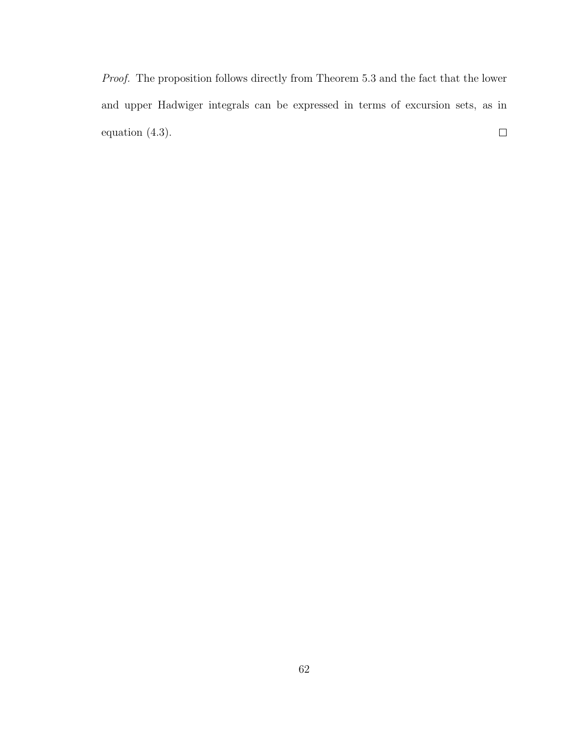Proof. The proposition follows directly from Theorem 5.3 and the fact that the lower and upper Hadwiger integrals can be expressed in terms of excursion sets, as in equation (4.3).  $\Box$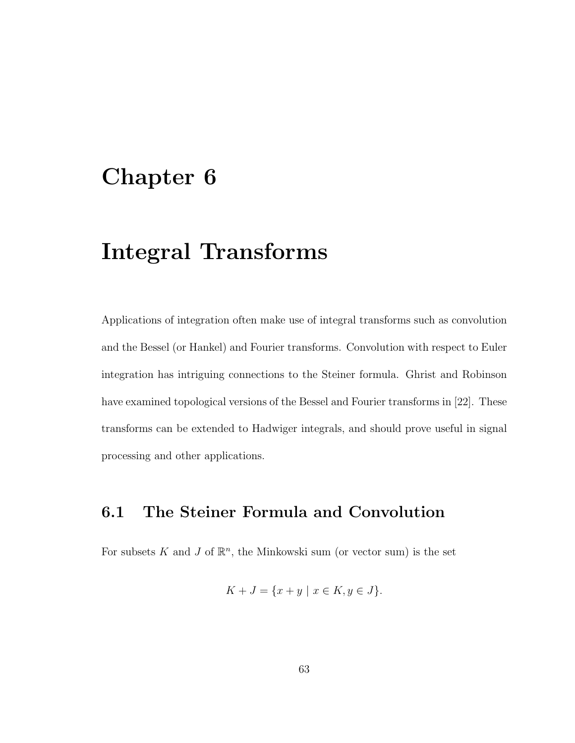### Chapter 6

## Integral Transforms

Applications of integration often make use of integral transforms such as convolution and the Bessel (or Hankel) and Fourier transforms. Convolution with respect to Euler integration has intriguing connections to the Steiner formula. Ghrist and Robinson have examined topological versions of the Bessel and Fourier transforms in [22]. These transforms can be extended to Hadwiger integrals, and should prove useful in signal processing and other applications.

### 6.1 The Steiner Formula and Convolution

For subsets K and J of  $\mathbb{R}^n$ , the Minkowski sum (or vector sum) is the set

$$
K + J = \{ x + y \mid x \in K, y \in J \}.
$$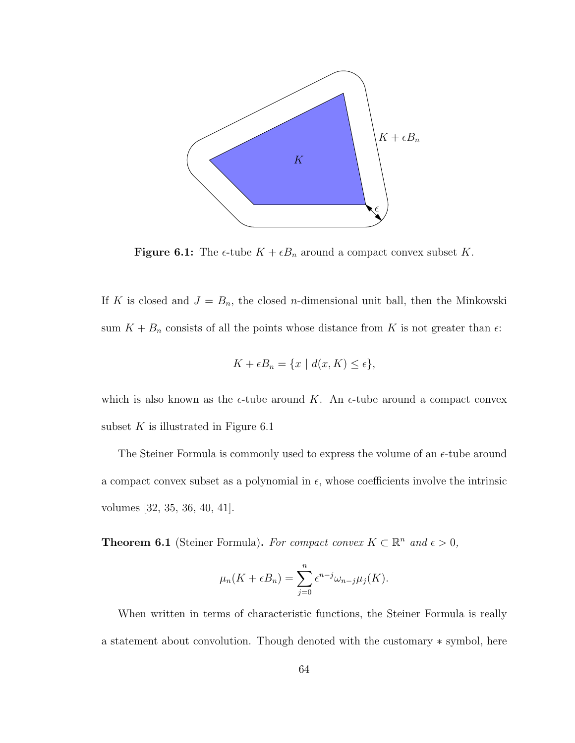

**Figure 6.1:** The  $\epsilon$ -tube  $K + \epsilon B_n$  around a compact convex subset K.

If K is closed and  $J = B_n$ , the closed *n*-dimensional unit ball, then the Minkowski sum  $K + B_n$  consists of all the points whose distance from K is not greater than  $\epsilon$ :

$$
K + \epsilon B_n = \{ x \mid d(x, K) \le \epsilon \},
$$

which is also known as the  $\epsilon$ -tube around K. An  $\epsilon$ -tube around a compact convex subset  $K$  is illustrated in Figure 6.1

The Steiner Formula is commonly used to express the volume of an  $\epsilon$ -tube around a compact convex subset as a polynomial in  $\epsilon$ , whose coefficients involve the intrinsic volumes [32, 35, 36, 40, 41].

**Theorem 6.1** (Steiner Formula). For compact convex  $K \subset \mathbb{R}^n$  and  $\epsilon > 0$ ,

$$
\mu_n(K + \epsilon B_n) = \sum_{j=0}^n \epsilon^{n-j} \omega_{n-j} \mu_j(K).
$$

When written in terms of characteristic functions, the Steiner Formula is really a statement about convolution. Though denoted with the customary ∗ symbol, here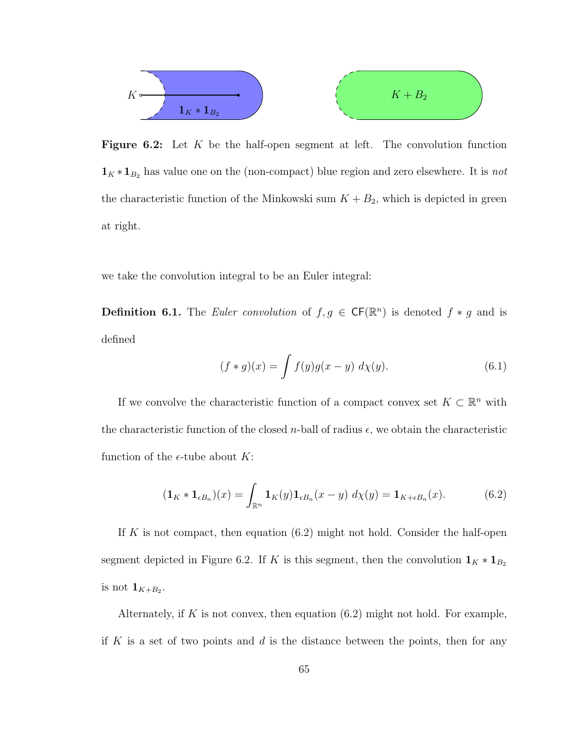

**Figure 6.2:** Let  $K$  be the half-open segment at left. The convolution function  $\mathbf{1}_K \ast \mathbf{1}_{B_2}$  has value one on the (non-compact) blue region and zero elsewhere. It is *not* the characteristic function of the Minkowski sum  $K + B_2$ , which is depicted in green at right.

we take the convolution integral to be an Euler integral:

**Definition 6.1.** The *Euler convolution* of  $f, g \in CF(\mathbb{R}^n)$  is denoted  $f * g$  and is defined

$$
(f * g)(x) = \int f(y)g(x - y) \, d\chi(y). \tag{6.1}
$$

If we convolve the characteristic function of a compact convex set  $K \subset \mathbb{R}^n$  with the characteristic function of the closed *n*-ball of radius  $\epsilon$ , we obtain the characteristic function of the  $\epsilon$ -tube about K:

$$
(\mathbf{1}_K * \mathbf{1}_{\epsilon B_n})(x) = \int_{\mathbb{R}^n} \mathbf{1}_K(y) \mathbf{1}_{\epsilon B_n}(x - y) \, d\chi(y) = \mathbf{1}_{K + \epsilon B_n}(x). \tag{6.2}
$$

If K is not compact, then equation  $(6.2)$  might not hold. Consider the half-open segment depicted in Figure 6.2. If K is this segment, then the convolution  $\mathbf{1}_K * \mathbf{1}_{B_2}$ is not  $\mathbf{1}_{K+B_2}$ .

Alternately, if  $K$  is not convex, then equation  $(6.2)$  might not hold. For example, if K is a set of two points and  $d$  is the distance between the points, then for any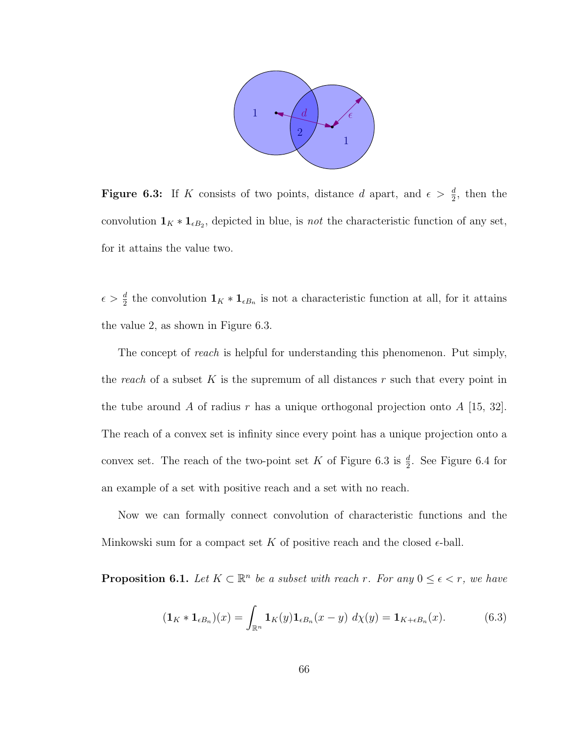

**Figure 6.3:** If K consists of two points, distance d apart, and  $\epsilon > \frac{d}{2}$ , then the convolution  $\mathbf{1}_K * \mathbf{1}_{\epsilon B_2}$ , depicted in blue, is *not* the characteristic function of any set, for it attains the value two.

 $\epsilon > \frac{d}{2}$  the convolution  $\mathbf{1}_K * \mathbf{1}_{\epsilon B_n}$  is not a characteristic function at all, for it attains the value 2, as shown in Figure 6.3.

The concept of *reach* is helpful for understanding this phenomenon. Put simply, the reach of a subset K is the supremum of all distances r such that every point in the tube around A of radius r has a unique orthogonal projection onto  $A$  [15, 32]. The reach of a convex set is infinity since every point has a unique projection onto a convex set. The reach of the two-point set K of Figure 6.3 is  $\frac{d}{2}$ . See Figure 6.4 for an example of a set with positive reach and a set with no reach.

Now we can formally connect convolution of characteristic functions and the Minkowski sum for a compact set K of positive reach and the closed  $\epsilon$ -ball.

**Proposition 6.1.** Let  $K \subset \mathbb{R}^n$  be a subset with reach r. For any  $0 \leq \epsilon < r$ , we have

$$
(\mathbf{1}_K \ast \mathbf{1}_{\epsilon B_n})(x) = \int_{\mathbb{R}^n} \mathbf{1}_K(y) \mathbf{1}_{\epsilon B_n}(x - y) \, d\chi(y) = \mathbf{1}_{K + \epsilon B_n}(x). \tag{6.3}
$$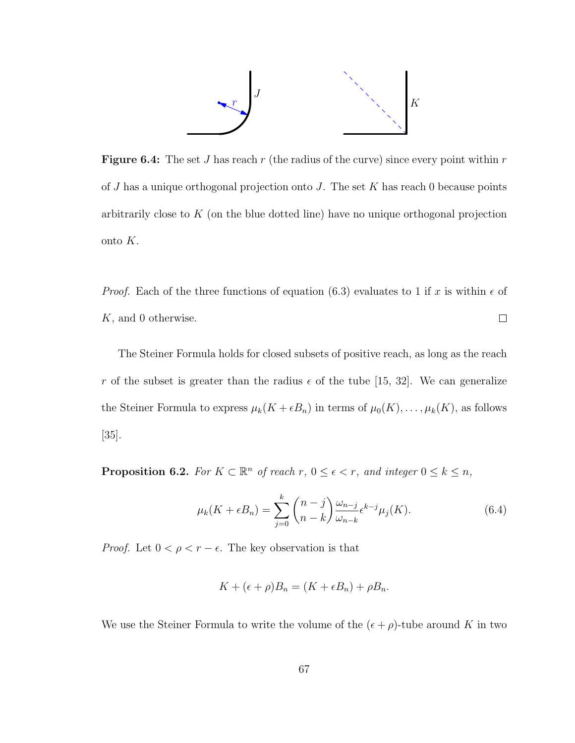

**Figure 6.4:** The set J has reach r (the radius of the curve) since every point within r of  $J$  has a unique orthogonal projection onto  $J$ . The set  $K$  has reach 0 because points arbitrarily close to  $K$  (on the blue dotted line) have no unique orthogonal projection onto K.

*Proof.* Each of the three functions of equation (6.3) evaluates to 1 if x is within  $\epsilon$  of K, and 0 otherwise.  $\Box$ 

The Steiner Formula holds for closed subsets of positive reach, as long as the reach r of the subset is greater than the radius  $\epsilon$  of the tube [15, 32]. We can generalize the Steiner Formula to express  $\mu_k(K + \epsilon B_n)$  in terms of  $\mu_0(K), \ldots, \mu_k(K)$ , as follows [35].

**Proposition 6.2.** For  $K \subset \mathbb{R}^n$  of reach  $r, 0 \leq \epsilon < r$ , and integer  $0 \leq k \leq n$ ,

$$
\mu_k(K + \epsilon B_n) = \sum_{j=0}^k {n-j \choose n-k} \frac{\omega_{n-j}}{\omega_{n-k}} \epsilon^{k-j} \mu_j(K). \tag{6.4}
$$

*Proof.* Let  $0 < \rho < r - \epsilon$ . The key observation is that

$$
K + (\epsilon + \rho)B_n = (K + \epsilon B_n) + \rho B_n.
$$

We use the Steiner Formula to write the volume of the  $(\epsilon + \rho)$ -tube around K in two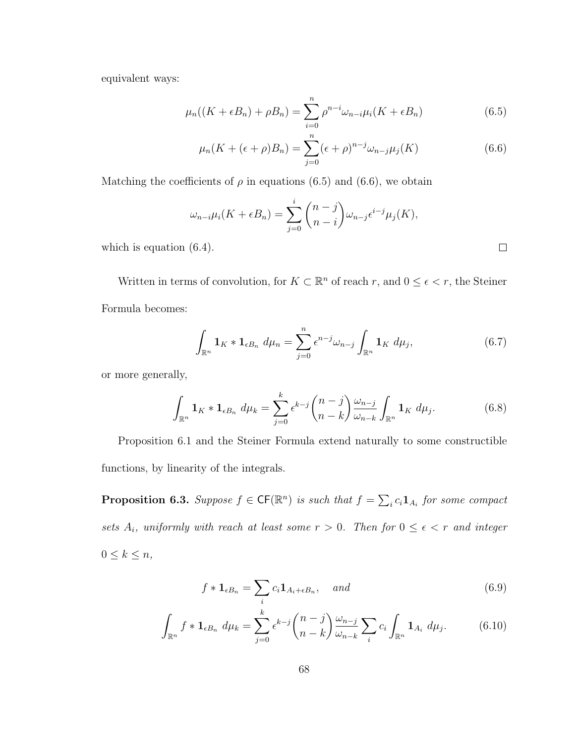equivalent ways:

$$
\mu_n((K+\epsilon B_n)+\rho B_n)=\sum_{i=0}^n\rho^{n-i}\omega_{n-i}\mu_i(K+\epsilon B_n)
$$
\n(6.5)

$$
\mu_n(K + (\epsilon + \rho)B_n) = \sum_{j=0}^n (\epsilon + \rho)^{n-j} \omega_{n-j} \mu_j(K) \tag{6.6}
$$

Matching the coefficients of  $\rho$  in equations (6.5) and (6.6), we obtain

$$
\omega_{n-i}\mu_i(K+\epsilon B_n) = \sum_{j=0}^i \binom{n-j}{n-i} \omega_{n-j} \epsilon^{i-j} \mu_j(K),
$$
\n(6.4).

which is equation  $(6.4)$ .

Written in terms of convolution, for  $K \subset \mathbb{R}^n$  of reach r, and  $0 \leq \epsilon < r$ , the Steiner Formula becomes:

$$
\int_{\mathbb{R}^n} \mathbf{1}_K \ast \mathbf{1}_{\epsilon B_n} d\mu_n = \sum_{j=0}^n \epsilon^{n-j} \omega_{n-j} \int_{\mathbb{R}^n} \mathbf{1}_K d\mu_j,\tag{6.7}
$$

or more generally,

$$
\int_{\mathbb{R}^n} \mathbf{1}_K \ast \mathbf{1}_{\epsilon B_n} d\mu_k = \sum_{j=0}^k \epsilon^{k-j} {n-j \choose n-k} \frac{\omega_{n-j}}{\omega_{n-k}} \int_{\mathbb{R}^n} \mathbf{1}_K d\mu_j.
$$
 (6.8)

Proposition 6.1 and the Steiner Formula extend naturally to some constructible functions, by linearity of the integrals.

**Proposition 6.3.** Suppose  $f \in CF(\mathbb{R}^n)$  is such that  $f = \sum_i c_i \mathbf{1}_{A_i}$  for some compact sets  $A_i$ , uniformly with reach at least some  $r > 0$ . Then for  $0 \le \epsilon < r$  and integer  $0 \leq k \leq n$ ,

$$
f * \mathbf{1}_{\epsilon B_n} = \sum_i c_i \mathbf{1}_{A_i + \epsilon B_n}, \quad and \tag{6.9}
$$

$$
\int_{\mathbb{R}^n} f * \mathbf{1}_{\epsilon B_n} \, d\mu_k = \sum_{j=0}^k \epsilon^{k-j} {n-j \choose n-k} \frac{\omega_{n-j}}{\omega_{n-k}} \sum_i c_i \int_{\mathbb{R}^n} \mathbf{1}_{A_i} \, d\mu_j. \tag{6.10}
$$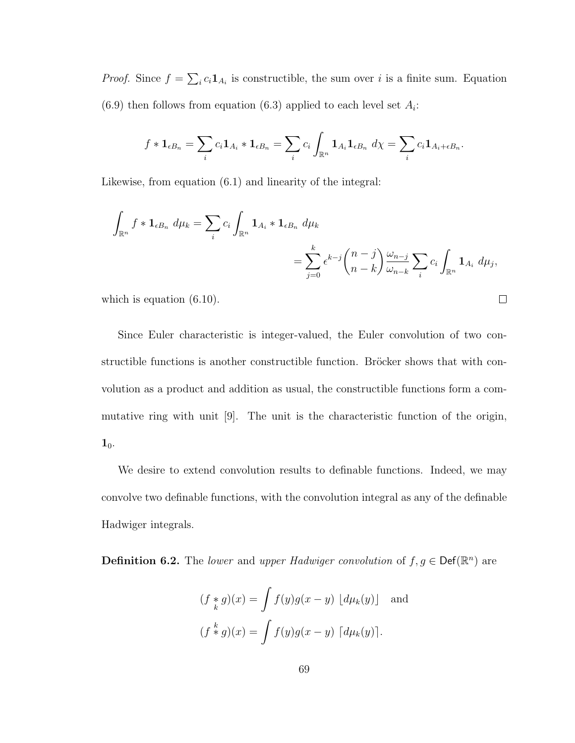*Proof.* Since  $f = \sum_i c_i \mathbf{1}_{A_i}$  is constructible, the sum over i is a finite sum. Equation  $(6.9)$  then follows from equation  $(6.3)$  applied to each level set  $A_i$ :

$$
f * \mathbf{1}_{\epsilon B_n} = \sum_i c_i \mathbf{1}_{A_i} * \mathbf{1}_{\epsilon B_n} = \sum_i c_i \int_{\mathbb{R}^n} \mathbf{1}_{A_i} \mathbf{1}_{\epsilon B_n} d\chi = \sum_i c_i \mathbf{1}_{A_i + \epsilon B_n}.
$$

Likewise, from equation (6.1) and linearity of the integral:

$$
\int_{\mathbb{R}^n} f * \mathbf{1}_{\epsilon B_n} d\mu_k = \sum_i c_i \int_{\mathbb{R}^n} \mathbf{1}_{A_i} * \mathbf{1}_{\epsilon B_n} d\mu_k
$$
\n
$$
= \sum_{j=0}^k \epsilon^{k-j} {n-j \choose n-k} \frac{\omega_{n-j}}{\omega_{n-k}} \sum_i c_i \int_{\mathbb{R}^n} \mathbf{1}_{A_i} d\mu_j,
$$

 $\Box$ 

which is equation  $(6.10)$ .

Since Euler characteristic is integer-valued, the Euler convolution of two constructible functions is another constructible function. Bröcker shows that with convolution as a product and addition as usual, the constructible functions form a commutative ring with unit [9]. The unit is the characteristic function of the origin,  $1_0$ .

We desire to extend convolution results to definable functions. Indeed, we may convolve two definable functions, with the convolution integral as any of the definable Hadwiger integrals.

**Definition 6.2.** The *lower* and *upper Hadwiger convolution* of  $f, g \in \text{Def}(\mathbb{R}^n)$  are

$$
(f *_{k} g)(x) = \int f(y)g(x - y) \left[ d\mu_{k}(y) \right] \text{ and}
$$

$$
(f * g)(x) = \int f(y)g(x - y) \left[ d\mu_{k}(y) \right].
$$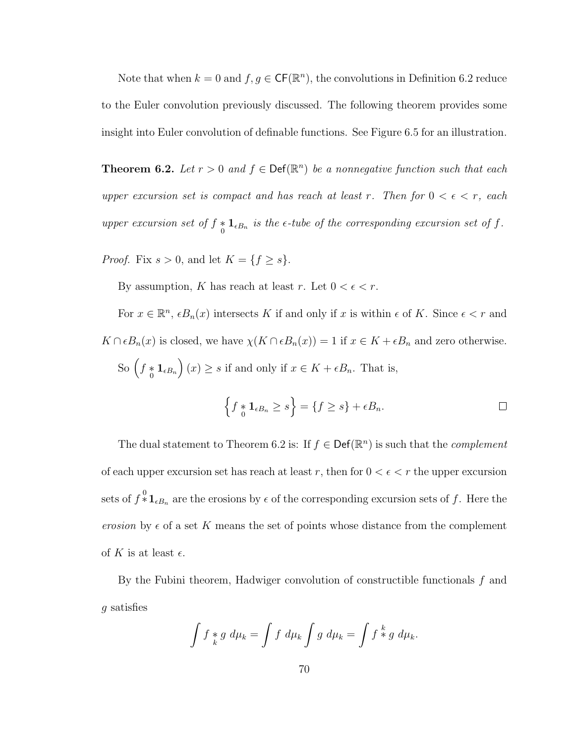Note that when  $k = 0$  and  $f, g \in \mathsf{CF}(\mathbb{R}^n)$ , the convolutions in Definition 6.2 reduce to the Euler convolution previously discussed. The following theorem provides some insight into Euler convolution of definable functions. See Figure 6.5 for an illustration.

**Theorem 6.2.** Let  $r > 0$  and  $f \in \text{Def}(\mathbb{R}^n)$  be a nonnegative function such that each upper excursion set is compact and has reach at least r. Then for  $0 < \epsilon < r$ , each upper excursion set of  $f * 1_{\epsilon B_n}$  is the  $\epsilon$ -tube of the corresponding excursion set of f.

*Proof.* Fix  $s > 0$ , and let  $K = \{f \ge s\}.$ 

By assumption, K has reach at least r. Let  $0 < \epsilon < r$ .

For  $x \in \mathbb{R}^n$ ,  $\epsilon B_n(x)$  intersects K if and only if x is within  $\epsilon$  of K. Since  $\epsilon < r$  and  $K \cap \epsilon B_n(x)$  is closed, we have  $\chi(K \cap \epsilon B_n(x)) = 1$  if  $x \in K + \epsilon B_n$  and zero otherwise. So  $(f * 1_{\epsilon B_n})(x) \ge s$  if and only if  $x \in K + \epsilon B_n$ . That is,

$$
\left\{f \underset{0}{*} \mathbf{1}_{\epsilon B_n} \ge s\right\} = \left\{f \ge s\right\} + \epsilon B_n.
$$

The dual statement to Theorem 6.2 is: If  $f \in \mathsf{Def}(\mathbb{R}^n)$  is such that the *complement* of each upper excursion set has reach at least r, then for  $0 < \epsilon < r$  the upper excursion sets of  $f^{\{0\}}_{*}\mathbf{1}_{\epsilon B_n}$  are the erosions by  $\epsilon$  of the corresponding excursion sets of f. Here the erosion by  $\epsilon$  of a set K means the set of points whose distance from the complement of K is at least  $\epsilon$ .

By the Fubini theorem, Hadwiger convolution of constructible functionals f and g satisfies

$$
\int f *_{k} g d\mu_{k} = \int f d\mu_{k} \int g d\mu_{k} = \int f *_{g} d\mu_{k}.
$$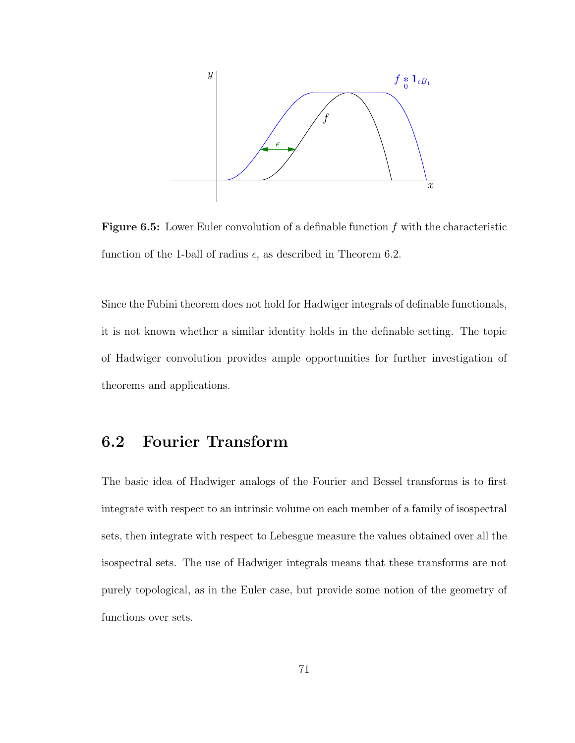

Figure 6.5: Lower Euler convolution of a definable function f with the characteristic function of the 1-ball of radius  $\epsilon$ , as described in Theorem 6.2.

Since the Fubini theorem does not hold for Hadwiger integrals of definable functionals, it is not known whether a similar identity holds in the definable setting. The topic of Hadwiger convolution provides ample opportunities for further investigation of theorems and applications.

### 6.2 Fourier Transform

The basic idea of Hadwiger analogs of the Fourier and Bessel transforms is to first integrate with respect to an intrinsic volume on each member of a family of isospectral sets, then integrate with respect to Lebesgue measure the values obtained over all the isospectral sets. The use of Hadwiger integrals means that these transforms are not purely topological, as in the Euler case, but provide some notion of the geometry of functions over sets.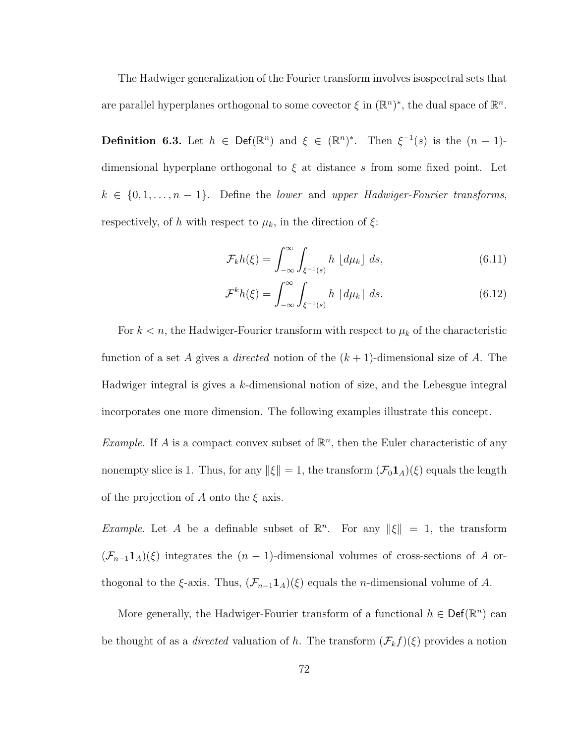The Hadwiger generalization of the Fourier transform involves isospectral sets that are parallel hyperplanes orthogonal to some covector  $\xi$  in  $(\mathbb{R}^n)^*$ , the dual space of  $\mathbb{R}^n$ .

**Definition 6.3.** Let  $h \in \text{Def}(\mathbb{R}^n)$  and  $\xi \in (\mathbb{R}^n)^*$ . Then  $\xi^{-1}(s)$  is the  $(n-1)$ dimensional hyperplane orthogonal to  $\xi$  at distance s from some fixed point. Let  $k \in \{0, 1, \ldots, n-1\}$ . Define the lower and upper Hadwiger-Fourier transforms, respectively, of h with respect to  $\mu_k$ , in the direction of  $\xi$ :

$$
\mathcal{F}_k h(\xi) = \int_{-\infty}^{\infty} \int_{\xi^{-1}(s)} h \, \lfloor d\mu_k \rfloor \, ds,\tag{6.11}
$$

$$
\mathcal{F}^k h(\xi) = \int_{-\infty}^{\infty} \int_{\xi^{-1}(s)} h \, \lceil d\mu_k \rceil \, ds. \tag{6.12}
$$

For  $k < n$ , the Hadwiger-Fourier transform with respect to  $\mu_k$  of the characteristic function of a set A gives a *directed* notion of the  $(k + 1)$ -dimensional size of A. The Hadwiger integral is gives a k-dimensional notion of size, and the Lebesgue integral incorporates one more dimension. The following examples illustrate this concept.

*Example.* If A is a compact convex subset of  $\mathbb{R}^n$ , then the Euler characteristic of any nonempty slice is 1. Thus, for any  $\|\xi\| = 1$ , the transform  $(\mathcal{F}_0 \mathbf{1}_A)(\xi)$  equals the length of the projection of A onto the  $\xi$  axis.

*Example.* Let A be a definable subset of  $\mathbb{R}^n$ . For any  $\|\xi\| = 1$ , the transform  $(\mathcal{F}_{n-1}\mathbf{1}_A)(\xi)$  integrates the  $(n-1)$ -dimensional volumes of cross-sections of A orthogonal to the  $\xi$ -axis. Thus,  $(\mathcal{F}_{n-1}\mathbf{1}_A)(\xi)$  equals the *n*-dimensional volume of A.

More generally, the Hadwiger-Fourier transform of a functional  $h \in \text{Def}(\mathbb{R}^n)$  can be thought of as a *directed* valuation of h. The transform  $(\mathcal{F}_k f)(\xi)$  provides a notion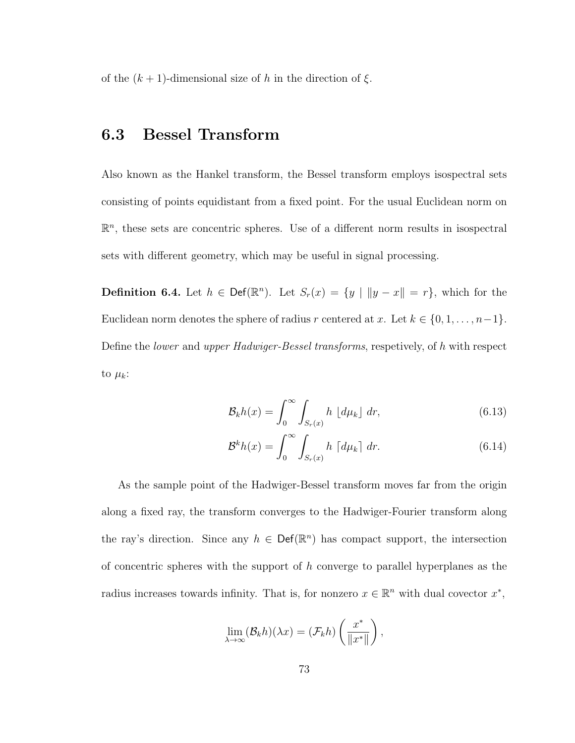of the  $(k + 1)$ -dimensional size of h in the direction of  $\xi$ .

### 6.3 Bessel Transform

Also known as the Hankel transform, the Bessel transform employs isospectral sets consisting of points equidistant from a fixed point. For the usual Euclidean norm on  $\mathbb{R}^n$ , these sets are concentric spheres. Use of a different norm results in isospectral sets with different geometry, which may be useful in signal processing.

**Definition 6.4.** Let  $h \in \text{Def}(\mathbb{R}^n)$ . Let  $S_r(x) = \{y \mid ||y - x|| = r\}$ , which for the Euclidean norm denotes the sphere of radius r centered at x. Let  $k \in \{0, 1, \ldots, n-1\}$ . Define the lower and upper Hadwiger-Bessel transforms, respetively, of h with respect to  $\mu_k$ :

$$
\mathcal{B}_k h(x) = \int_0^\infty \int_{S_r(x)} h \, \left[ d\mu_k \right] \, dr,\tag{6.13}
$$

$$
\mathcal{B}^k h(x) = \int_0^\infty \int_{S_r(x)} h \, \lceil d\mu_k \rceil \, dr. \tag{6.14}
$$

As the sample point of the Hadwiger-Bessel transform moves far from the origin along a fixed ray, the transform converges to the Hadwiger-Fourier transform along the ray's direction. Since any  $h \in \text{Def}(\mathbb{R}^n)$  has compact support, the intersection of concentric spheres with the support of  $h$  converge to parallel hyperplanes as the radius increases towards infinity. That is, for nonzero  $x \in \mathbb{R}^n$  with dual covector  $x^*$ ,

$$
\lim_{\lambda \to \infty} (\mathcal{B}_k h)(\lambda x) = (\mathcal{F}_k h) \left( \frac{x^*}{\|x^*\|} \right),
$$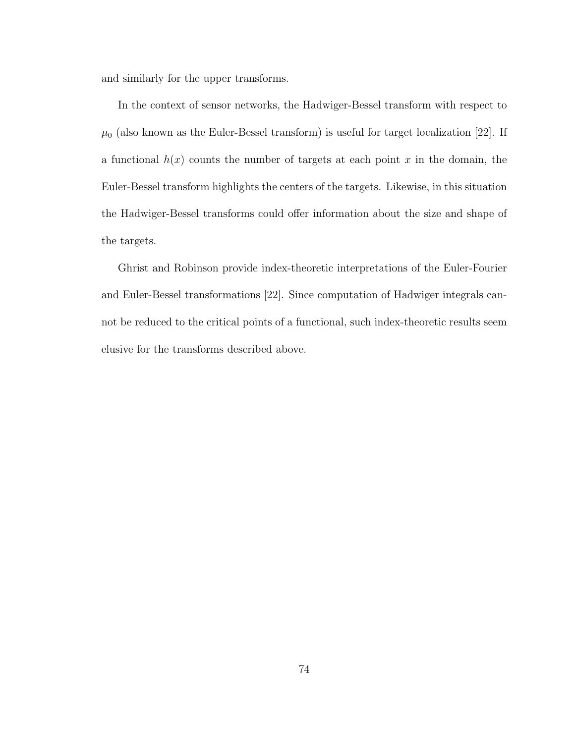and similarly for the upper transforms.

In the context of sensor networks, the Hadwiger-Bessel transform with respect to  $\mu_0$  (also known as the Euler-Bessel transform) is useful for target localization [22]. If a functional  $h(x)$  counts the number of targets at each point x in the domain, the Euler-Bessel transform highlights the centers of the targets. Likewise, in this situation the Hadwiger-Bessel transforms could offer information about the size and shape of the targets.

Ghrist and Robinson provide index-theoretic interpretations of the Euler-Fourier and Euler-Bessel transformations [22]. Since computation of Hadwiger integrals cannot be reduced to the critical points of a functional, such index-theoretic results seem elusive for the transforms described above.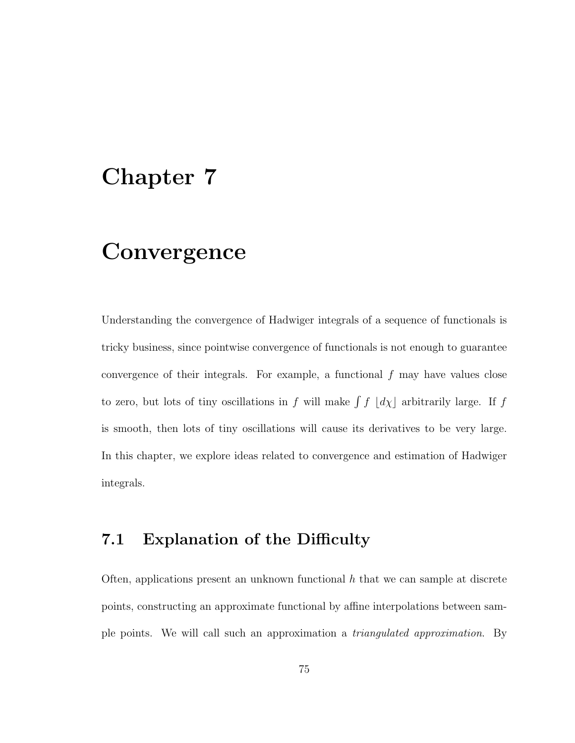## Chapter 7

## **Convergence**

Understanding the convergence of Hadwiger integrals of a sequence of functionals is tricky business, since pointwise convergence of functionals is not enough to guarantee convergence of their integrals. For example, a functional  $f$  may have values close to zero, but lots of tiny oscillations in  $f$  will make  $\int f$   $\lfloor d\chi \rfloor$  arbitrarily large. If  $f$ is smooth, then lots of tiny oscillations will cause its derivatives to be very large. In this chapter, we explore ideas related to convergence and estimation of Hadwiger integrals.

### 7.1 Explanation of the Difficulty

Often, applications present an unknown functional  $h$  that we can sample at discrete points, constructing an approximate functional by affine interpolations between sample points. We will call such an approximation a triangulated approximation. By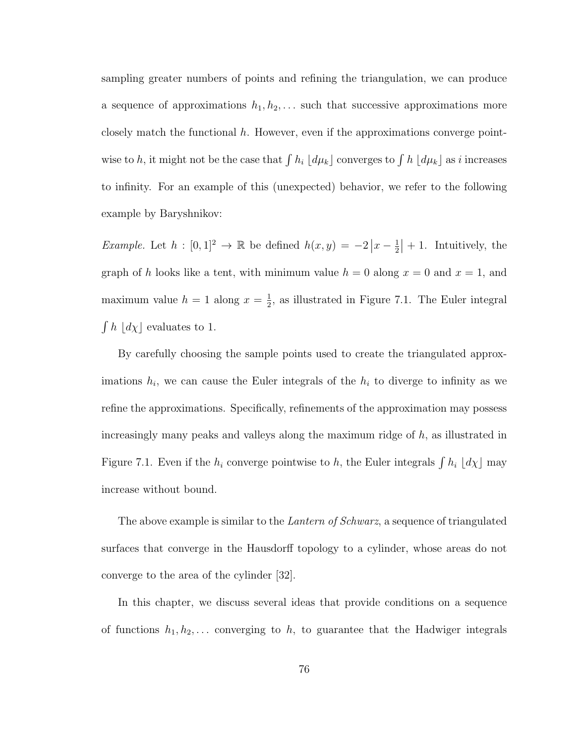sampling greater numbers of points and refining the triangulation, we can produce a sequence of approximations  $h_1, h_2, \ldots$  such that successive approximations more closely match the functional  $h$ . However, even if the approximations converge pointwise to h, it might not be the case that  $\int h_i \, [d\mu_k]$  converges to  $\int h \, [d\mu_k]$  as i increases to infinity. For an example of this (unexpected) behavior, we refer to the following example by Baryshnikov:

*Example.* Let  $h : [0,1]^2 \to \mathbb{R}$  be defined  $h(x,y) = -2|x-\frac{1}{2}|$  $\frac{1}{2}$  | + 1. Intuitively, the graph of h looks like a tent, with minimum value  $h = 0$  along  $x = 0$  and  $x = 1$ , and maximum value  $h = 1$  along  $x = \frac{1}{2}$  $\frac{1}{2}$ , as illustrated in Figure 7.1. The Euler integral  $\int h \, [d\chi]$  evaluates to 1.

By carefully choosing the sample points used to create the triangulated approximations  $h_i$ , we can cause the Euler integrals of the  $h_i$  to diverge to infinity as we refine the approximations. Specifically, refinements of the approximation may possess increasingly many peaks and valleys along the maximum ridge of  $h$ , as illustrated in Figure 7.1. Even if the  $h_i$  converge pointwise to h, the Euler integrals  $\int h_i \, d\chi$  may increase without bound.

The above example is similar to the *Lantern of Schwarz*, a sequence of triangulated surfaces that converge in the Hausdorff topology to a cylinder, whose areas do not converge to the area of the cylinder [32].

In this chapter, we discuss several ideas that provide conditions on a sequence of functions  $h_1, h_2, \ldots$  converging to h, to guarantee that the Hadwiger integrals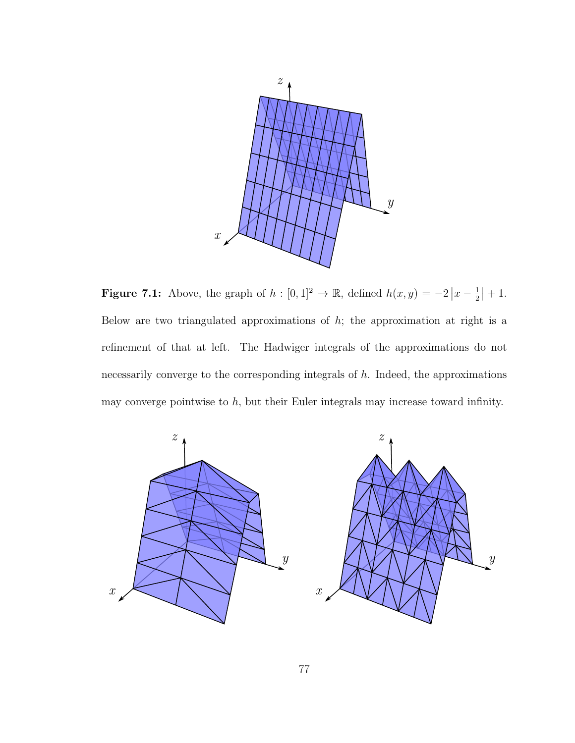

**Figure 7.1:** Above, the graph of  $h : [0,1]^2 \to \mathbb{R}$ , defined  $h(x,y) = -2|x-\frac{1}{2}|$  $\frac{1}{2}$  | + 1. Below are two triangulated approximations of  $h$ ; the approximation at right is a refinement of that at left. The Hadwiger integrals of the approximations do not necessarily converge to the corresponding integrals of  $h$ . Indeed, the approximations may converge pointwise to  $h$ , but their Euler integrals may increase toward infinity.

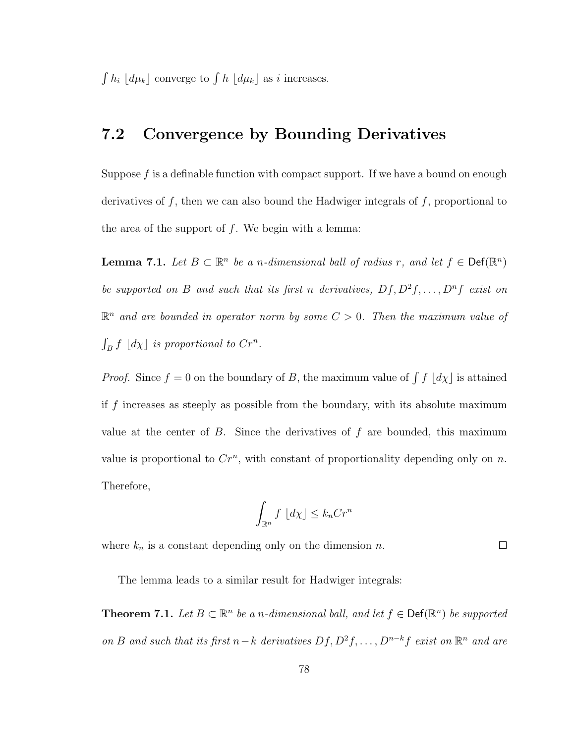$\int h_i \left[ d\mu_k \right]$  converge to  $\int h \left[ d\mu_k \right]$  as i increases.

### 7.2 Convergence by Bounding Derivatives

Suppose  $f$  is a definable function with compact support. If we have a bound on enough derivatives of  $f$ , then we can also bound the Hadwiger integrals of  $f$ , proportional to the area of the support of  $f$ . We begin with a lemma:

**Lemma 7.1.** Let  $B \subset \mathbb{R}^n$  be a n-dimensional ball of radius r, and let  $f \in \text{Def}(\mathbb{R}^n)$ be supported on B and such that its first n derivatives,  $Df, D^2f, \ldots, D^n f$  exist on  $\mathbb{R}^n$  and are bounded in operator norm by some  $C > 0$ . Then the maximum value of  $\int_B f \lfloor d\chi \rfloor$  is proportional to  $Cr^n$ .

*Proof.* Since  $f = 0$  on the boundary of B, the maximum value of  $\int f\left[ d\chi\right]$  is attained if f increases as steeply as possible from the boundary, with its absolute maximum value at the center of  $B$ . Since the derivatives of  $f$  are bounded, this maximum value is proportional to  $Cr^n$ , with constant of proportionality depending only on n. Therefore,

$$
\int_{\mathbb{R}^n} f \, \left[ d\chi \right] \le k_n C r^n
$$

where  $k_n$  is a constant depending only on the dimension n.

 $\Box$ 

The lemma leads to a similar result for Hadwiger integrals:

**Theorem 7.1.** Let  $B \subset \mathbb{R}^n$  be a n-dimensional ball, and let  $f \in \text{Def}(\mathbb{R}^n)$  be supported on B and such that its first  $n-k$  derivatives  $Df, D^2f, \ldots, D^{n-k}f$  exist on  $\mathbb{R}^n$  and are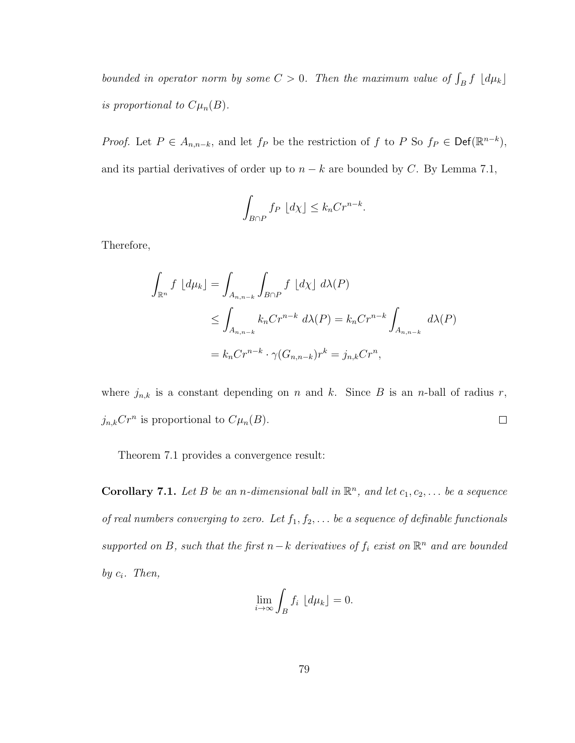bounded in operator norm by some  $C > 0$ . Then the maximum value of  $\int_B f \, d\mu_k$ is proportional to  $C\mu_n(B)$ .

*Proof.* Let  $P \in A_{n,n-k}$ , and let  $f_P$  be the restriction of f to P So  $f_P \in \text{Def}(\mathbb{R}^{n-k})$ , and its partial derivatives of order up to  $n - k$  are bounded by C. By Lemma 7.1,

$$
\int_{B \cap P} f_P \, \lfloor d\chi \rfloor \le k_n C r^{n-k}.
$$

Therefore,

$$
\int_{\mathbb{R}^n} f \left[ d\mu_k \right] = \int_{A_{n,n-k}} \int_{B \cap P} f \left[ d\chi \right] d\lambda(P)
$$
\n
$$
\leq \int_{A_{n,n-k}} k_n C r^{n-k} d\lambda(P) = k_n C r^{n-k} \int_{A_{n,n-k}} d\lambda(P)
$$
\n
$$
= k_n C r^{n-k} \cdot \gamma(G_{n,n-k}) r^k = j_{n,k} C r^n,
$$

where  $j_{n,k}$  is a constant depending on n and k. Since B is an n-ball of radius r,  $j_{n,k}Cr^n$  is proportional to  $C\mu_n(B)$ .  $\Box$ 

Theorem 7.1 provides a convergence result:

**Corollary 7.1.** Let B be an *n*-dimensional ball in  $\mathbb{R}^n$ , and let  $c_1, c_2, \ldots$  be a sequence of real numbers converging to zero. Let  $f_1, f_2, \ldots$  be a sequence of definable functionals supported on B, such that the first  $n-k$  derivatives of  $f_i$  exist on  $\mathbb{R}^n$  and are bounded by  $c_i$ . Then,

$$
\lim_{i \to \infty} \int_B f_i \, \lfloor d\mu_k \rfloor = 0.
$$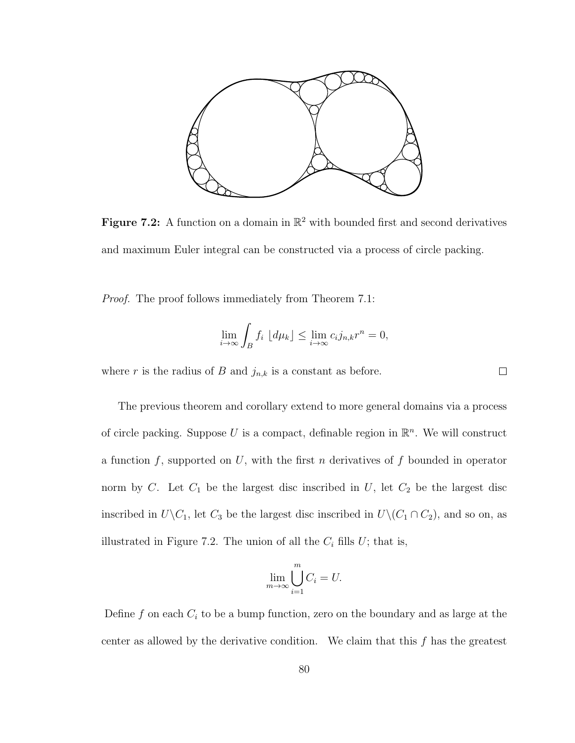

Figure 7.2: A function on a domain in  $\mathbb{R}^2$  with bounded first and second derivatives and maximum Euler integral can be constructed via a process of circle packing.

Proof. The proof follows immediately from Theorem 7.1:

$$
\lim_{i \to \infty} \int_B f_i \, \lfloor d\mu_k \rfloor \le \lim_{i \to \infty} c_i j_{n,k} r^n = 0,
$$

 $\Box$ 

where r is the radius of B and  $j_{n,k}$  is a constant as before.

The previous theorem and corollary extend to more general domains via a process of circle packing. Suppose U is a compact, definable region in  $\mathbb{R}^n$ . We will construct a function f, supported on U, with the first n derivatives of f bounded in operator norm by  $C$ . Let  $C_1$  be the largest disc inscribed in  $U$ , let  $C_2$  be the largest disc inscribed in  $U\backslash C_1$ , let  $C_3$  be the largest disc inscribed in  $U\backslash (C_1 \cap C_2)$ , and so on, as illustrated in Figure 7.2. The union of all the  $C_i$  fills  $U$ ; that is,

$$
\lim_{m \to \infty} \bigcup_{i=1}^{m} C_i = U.
$$

Define  $f$  on each  $C_i$  to be a bump function, zero on the boundary and as large at the center as allowed by the derivative condition. We claim that this  $f$  has the greatest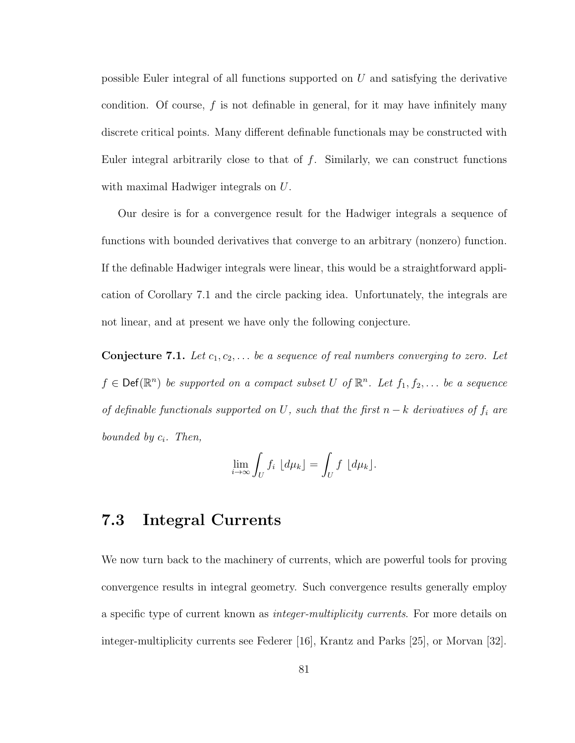possible Euler integral of all functions supported on  $U$  and satisfying the derivative condition. Of course, f is not definable in general, for it may have infinitely many discrete critical points. Many different definable functionals may be constructed with Euler integral arbitrarily close to that of  $f$ . Similarly, we can construct functions with maximal Hadwiger integrals on U.

Our desire is for a convergence result for the Hadwiger integrals a sequence of functions with bounded derivatives that converge to an arbitrary (nonzero) function. If the definable Hadwiger integrals were linear, this would be a straightforward application of Corollary 7.1 and the circle packing idea. Unfortunately, the integrals are not linear, and at present we have only the following conjecture.

**Conjecture 7.1.** Let  $c_1, c_2, \ldots$  be a sequence of real numbers converging to zero. Let  $f \in \text{Def}(\mathbb{R}^n)$  be supported on a compact subset U of  $\mathbb{R}^n$ . Let  $f_1, f_2, \ldots$  be a sequence of definable functionals supported on U, such that the first  $n - k$  derivatives of  $f_i$  are bounded by  $c_i$ . Then,

$$
\lim_{i \to \infty} \int_U f_i \, \lfloor d\mu_k \rfloor = \int_U f \, \lfloor d\mu_k \rfloor.
$$

### 7.3 Integral Currents

We now turn back to the machinery of currents, which are powerful tools for proving convergence results in integral geometry. Such convergence results generally employ a specific type of current known as integer-multiplicity currents. For more details on integer-multiplicity currents see Federer [16], Krantz and Parks [25], or Morvan [32].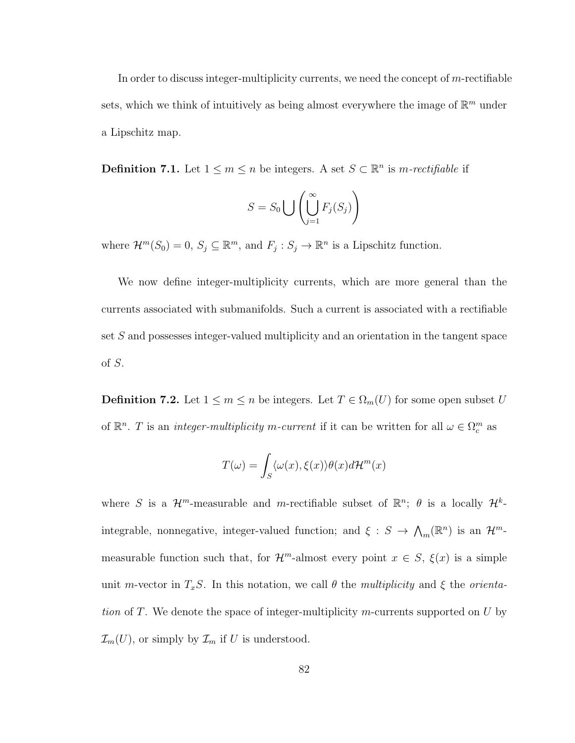In order to discuss integer-multiplicity currents, we need the concept of  $m$ -rectifiable sets, which we think of intuitively as being almost everywhere the image of  $\mathbb{R}^m$  under a Lipschitz map.

**Definition 7.1.** Let  $1 \leq m \leq n$  be integers. A set  $S \subset \mathbb{R}^n$  is *m-rectifiable* if

$$
S = S_0 \bigcup \left( \bigcup_{j=1}^{\infty} F_j(S_j) \right)
$$

where  $\mathcal{H}^m(S_0) = 0$ ,  $S_j \subseteq \mathbb{R}^m$ , and  $F_j : S_j \to \mathbb{R}^n$  is a Lipschitz function.

We now define integer-multiplicity currents, which are more general than the currents associated with submanifolds. Such a current is associated with a rectifiable set S and possesses integer-valued multiplicity and an orientation in the tangent space of S.

**Definition 7.2.** Let  $1 \leq m \leq n$  be integers. Let  $T \in \Omega_m(U)$  for some open subset U of  $\mathbb{R}^n$ . T is an *integer-multiplicity m-current* if it can be written for all  $\omega \in \Omega_c^m$  as

$$
T(\omega) = \int_{S} \langle \omega(x), \xi(x) \rangle \theta(x) d\mathcal{H}^{m}(x)
$$

where S is a  $\mathcal{H}^m$ -measurable and m-rectifiable subset of  $\mathbb{R}^n$ ;  $\theta$  is a locally  $\mathcal{H}^k$ integrable, nonnegative, integer-valued function; and  $\xi : S \to \Lambda_m(\mathbb{R}^n)$  is an  $\mathcal{H}^m$ measurable function such that, for  $\mathcal{H}^m$ -almost every point  $x \in S$ ,  $\xi(x)$  is a simple unit m-vector in  $T_xS$ . In this notation, we call  $\theta$  the multiplicity and  $\xi$  the orientation of T. We denote the space of integer-multiplicity m-currents supported on  $U$  by  $\mathcal{I}_m(U)$ , or simply by  $\mathcal{I}_m$  if U is understood.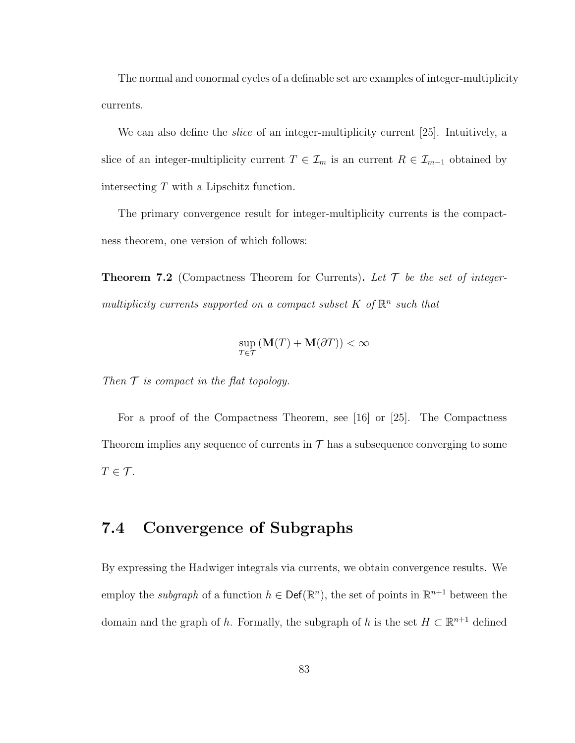The normal and conormal cycles of a definable set are examples of integer-multiplicity currents.

We can also define the *slice* of an integer-multiplicity current [25]. Intuitively, a slice of an integer-multiplicity current  $T \in \mathcal{I}_m$  is an current  $R \in \mathcal{I}_{m-1}$  obtained by intersecting T with a Lipschitz function.

The primary convergence result for integer-multiplicity currents is the compactness theorem, one version of which follows:

**Theorem 7.2** (Compactness Theorem for Currents). Let  $\mathcal T$  be the set of integermultiplicity currents supported on a compact subset  $K$  of  $\mathbb{R}^n$  such that

$$
\sup_{T \in \mathcal{T}} (\mathbf{M}(T) + \mathbf{M}(\partial T)) < \infty
$$

Then  $\mathcal T$  is compact in the flat topology.

For a proof of the Compactness Theorem, see [16] or [25]. The Compactness Theorem implies any sequence of currents in  $\mathcal T$  has a subsequence converging to some  $T \in \mathcal{T}$ .

### 7.4 Convergence of Subgraphs

By expressing the Hadwiger integrals via currents, we obtain convergence results. We employ the *subgraph* of a function  $h \in \text{Def}(\mathbb{R}^n)$ , the set of points in  $\mathbb{R}^{n+1}$  between the domain and the graph of h. Formally, the subgraph of h is the set  $H \subset \mathbb{R}^{n+1}$  defined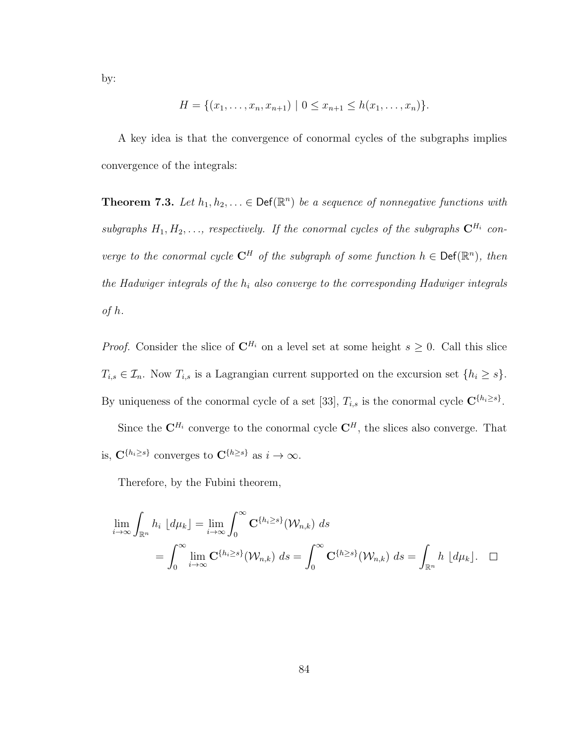by:

$$
H = \{(x_1, \ldots, x_n, x_{n+1}) \mid 0 \le x_{n+1} \le h(x_1, \ldots, x_n)\}.
$$

A key idea is that the convergence of conormal cycles of the subgraphs implies convergence of the integrals:

**Theorem 7.3.** Let  $h_1, h_2, \ldots \in \text{Def}(\mathbb{R}^n)$  be a sequence of nonnegative functions with subgraphs  $H_1, H_2, \ldots$ , respectively. If the conormal cycles of the subgraphs  $\mathbf{C}^{H_i}$  converge to the conormal cycle  $\mathbb{C}^H$  of the subgraph of some function  $h \in \text{Def}(\mathbb{R}^n)$ , then the Hadwiger integrals of the  $h_i$  also converge to the corresponding Hadwiger integrals of h.

*Proof.* Consider the slice of  $\mathbb{C}^{H_i}$  on a level set at some height  $s \geq 0$ . Call this slice  $T_{i,s} \in \mathcal{I}_n$ . Now  $T_{i,s}$  is a Lagrangian current supported on the excursion set  $\{h_i \geq s\}$ . By uniqueness of the conormal cycle of a set [33],  $T_{i,s}$  is the conormal cycle  $\mathbb{C}^{\{h_i\geq s\}}$ .

Since the  $\mathbf{C}^{H_i}$  converge to the conormal cycle  $\mathbf{C}^{H}$ , the slices also converge. That is,  $\mathbf{C}^{\{h_i\geq s\}}$  converges to  $\mathbf{C}^{\{h\geq s\}}$  as  $i \to \infty$ .

Therefore, by the Fubini theorem,

$$
\lim_{i \to \infty} \int_{\mathbb{R}^n} h_i \, [d\mu_k] = \lim_{i \to \infty} \int_0^\infty \mathbf{C}^{\{h_i \ge s\}}(\mathcal{W}_{n,k}) \, ds
$$
\n
$$
= \int_0^\infty \lim_{i \to \infty} \mathbf{C}^{\{h_i \ge s\}}(\mathcal{W}_{n,k}) \, ds = \int_0^\infty \mathbf{C}^{\{h \ge s\}}(\mathcal{W}_{n,k}) \, ds = \int_{\mathbb{R}^n} h \, [d\mu_k]. \quad \Box
$$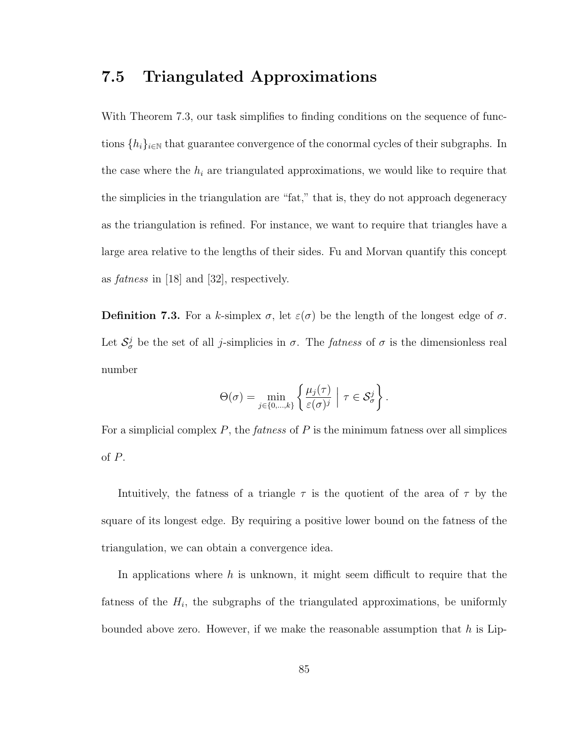### 7.5 Triangulated Approximations

With Theorem 7.3, our task simplifies to finding conditions on the sequence of functions  $\{h_i\}_{i\in\mathbb{N}}$  that guarantee convergence of the conormal cycles of their subgraphs. In the case where the  $h_i$  are triangulated approximations, we would like to require that the simplicies in the triangulation are "fat," that is, they do not approach degeneracy as the triangulation is refined. For instance, we want to require that triangles have a large area relative to the lengths of their sides. Fu and Morvan quantify this concept as fatness in [18] and [32], respectively.

**Definition 7.3.** For a k-simplex  $\sigma$ , let  $\varepsilon(\sigma)$  be the length of the longest edge of  $\sigma$ . Let  $S^j_\sigma$  be the set of all *j*-simplicies in  $\sigma$ . The *fatness* of  $\sigma$  is the dimensionless real number

$$
\Theta(\sigma) = \min_{j \in \{0, \dots, k\}} \left\{ \frac{\mu_j(\tau)}{\varepsilon(\sigma)^j} \; \middle| \; \tau \in \mathcal{S}^j_{\sigma} \right\}.
$$

For a simplicial complex  $P$ , the *fatness* of  $P$  is the minimum fatness over all simplices of P.

Intuitively, the fatness of a triangle  $\tau$  is the quotient of the area of  $\tau$  by the square of its longest edge. By requiring a positive lower bound on the fatness of the triangulation, we can obtain a convergence idea.

In applications where  $h$  is unknown, it might seem difficult to require that the fatness of the  $H_i$ , the subgraphs of the triangulated approximations, be uniformly bounded above zero. However, if we make the reasonable assumption that  $h$  is Lip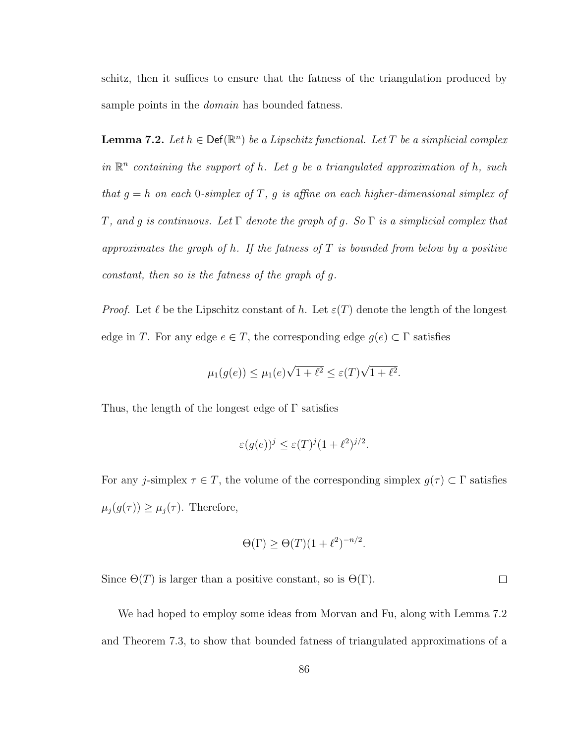schitz, then it suffices to ensure that the fatness of the triangulation produced by sample points in the *domain* has bounded fatness.

**Lemma 7.2.** Let  $h \in \text{Def}(\mathbb{R}^n)$  be a Lipschitz functional. Let T be a simplicial complex in  $\mathbb{R}^n$  containing the support of h. Let g be a triangulated approximation of h, such that  $g = h$  on each 0-simplex of T, g is affine on each higher-dimensional simplex of T, and g is continuous. Let  $\Gamma$  denote the graph of g. So  $\Gamma$  is a simplicial complex that approximates the graph of h. If the fatness of  $T$  is bounded from below by a positive constant, then so is the fatness of the graph of g.

*Proof.* Let  $\ell$  be the Lipschitz constant of h. Let  $\varepsilon(T)$  denote the length of the longest edge in T. For any edge  $e \in T$ , the corresponding edge  $g(e) \subset \Gamma$  satisfies

$$
\mu_1(g(e)) \le \mu_1(e)\sqrt{1+\ell^2} \le \varepsilon(T)\sqrt{1+\ell^2}.
$$

Thus, the length of the longest edge of Γ satisfies

$$
\varepsilon(g(e))^j \le \varepsilon(T)^j (1+\ell^2)^{j/2}.
$$

For any j-simplex  $\tau \in T$ , the volume of the corresponding simplex  $g(\tau) \subset \Gamma$  satisfies  $\mu_j(g(\tau)) \geq \mu_j(\tau)$ . Therefore,

$$
\Theta(\Gamma) \ge \Theta(T)(1+\ell^2)^{-n/2}.
$$

 $\Box$ 

Since  $\Theta(T)$  is larger than a positive constant, so is  $\Theta(\Gamma)$ .

We had hoped to employ some ideas from Morvan and Fu, along with Lemma 7.2 and Theorem 7.3, to show that bounded fatness of triangulated approximations of a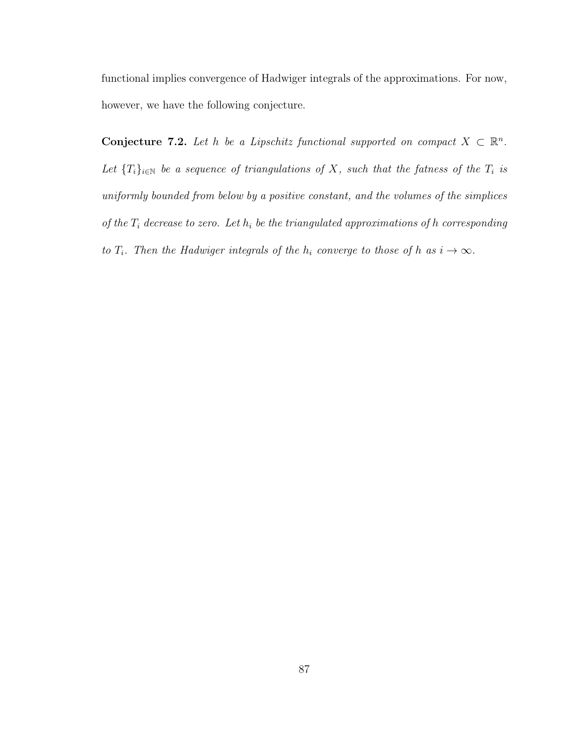functional implies convergence of Hadwiger integrals of the approximations. For now, however, we have the following conjecture.

**Conjecture 7.2.** Let h be a Lipschitz functional supported on compact  $X \subset \mathbb{R}^n$ . Let  ${T_i}_{i\in\mathbb{N}}$  be a sequence of triangulations of X, such that the fatness of the  $T_i$  is uniformly bounded from below by a positive constant, and the volumes of the simplices of the  $T_i$  decrease to zero. Let  $h_i$  be the triangulated approximations of h corresponding to  $T_i$ . Then the Hadwiger integrals of the  $h_i$  converge to those of h as  $i \to \infty$ .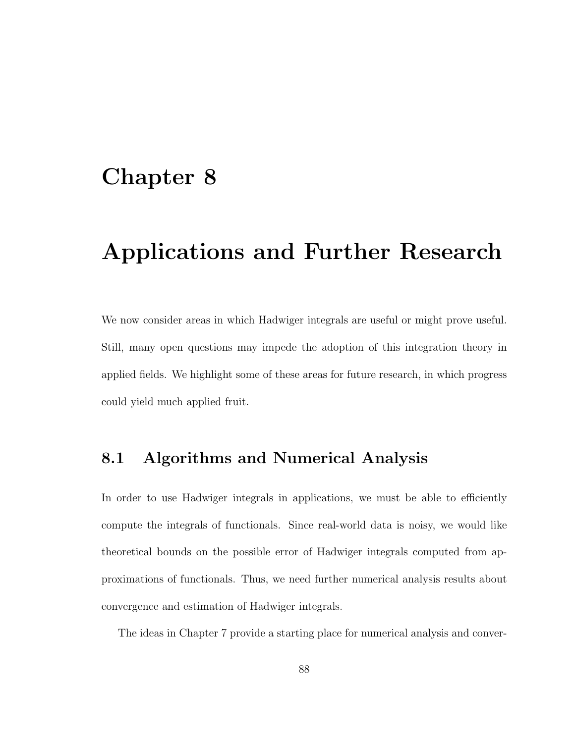## Chapter 8

# Applications and Further Research

We now consider areas in which Hadwiger integrals are useful or might prove useful. Still, many open questions may impede the adoption of this integration theory in applied fields. We highlight some of these areas for future research, in which progress could yield much applied fruit.

### 8.1 Algorithms and Numerical Analysis

In order to use Hadwiger integrals in applications, we must be able to efficiently compute the integrals of functionals. Since real-world data is noisy, we would like theoretical bounds on the possible error of Hadwiger integrals computed from approximations of functionals. Thus, we need further numerical analysis results about convergence and estimation of Hadwiger integrals.

The ideas in Chapter 7 provide a starting place for numerical analysis and conver-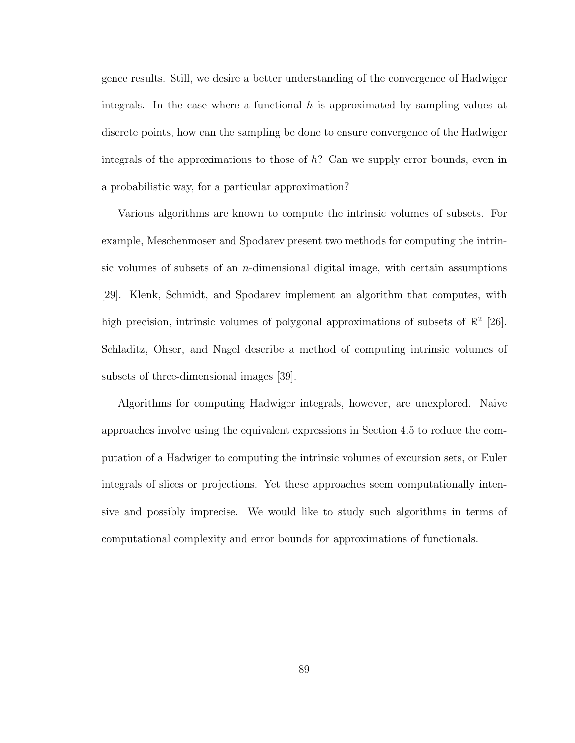gence results. Still, we desire a better understanding of the convergence of Hadwiger integrals. In the case where a functional  $h$  is approximated by sampling values at discrete points, how can the sampling be done to ensure convergence of the Hadwiger integrals of the approximations to those of h? Can we supply error bounds, even in a probabilistic way, for a particular approximation?

Various algorithms are known to compute the intrinsic volumes of subsets. For example, Meschenmoser and Spodarev present two methods for computing the intrinsic volumes of subsets of an  $n$ -dimensional digital image, with certain assumptions [29]. Klenk, Schmidt, and Spodarev implement an algorithm that computes, with high precision, intrinsic volumes of polygonal approximations of subsets of  $\mathbb{R}^2$  [26]. Schladitz, Ohser, and Nagel describe a method of computing intrinsic volumes of subsets of three-dimensional images [39].

Algorithms for computing Hadwiger integrals, however, are unexplored. Naive approaches involve using the equivalent expressions in Section 4.5 to reduce the computation of a Hadwiger to computing the intrinsic volumes of excursion sets, or Euler integrals of slices or projections. Yet these approaches seem computationally intensive and possibly imprecise. We would like to study such algorithms in terms of computational complexity and error bounds for approximations of functionals.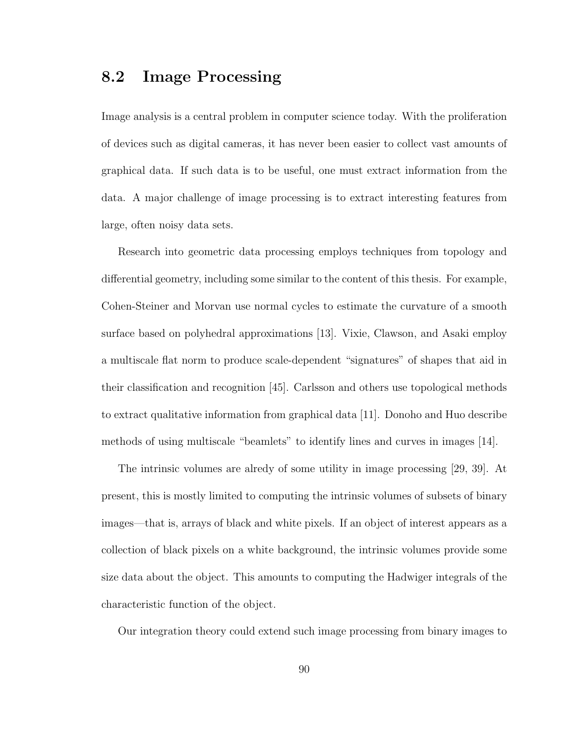### 8.2 Image Processing

Image analysis is a central problem in computer science today. With the proliferation of devices such as digital cameras, it has never been easier to collect vast amounts of graphical data. If such data is to be useful, one must extract information from the data. A major challenge of image processing is to extract interesting features from large, often noisy data sets.

Research into geometric data processing employs techniques from topology and differential geometry, including some similar to the content of this thesis. For example, Cohen-Steiner and Morvan use normal cycles to estimate the curvature of a smooth surface based on polyhedral approximations [13]. Vixie, Clawson, and Asaki employ a multiscale flat norm to produce scale-dependent "signatures" of shapes that aid in their classification and recognition [45]. Carlsson and others use topological methods to extract qualitative information from graphical data [11]. Donoho and Huo describe methods of using multiscale "beamlets" to identify lines and curves in images [14].

The intrinsic volumes are alredy of some utility in image processing [29, 39]. At present, this is mostly limited to computing the intrinsic volumes of subsets of binary images—that is, arrays of black and white pixels. If an object of interest appears as a collection of black pixels on a white background, the intrinsic volumes provide some size data about the object. This amounts to computing the Hadwiger integrals of the characteristic function of the object.

Our integration theory could extend such image processing from binary images to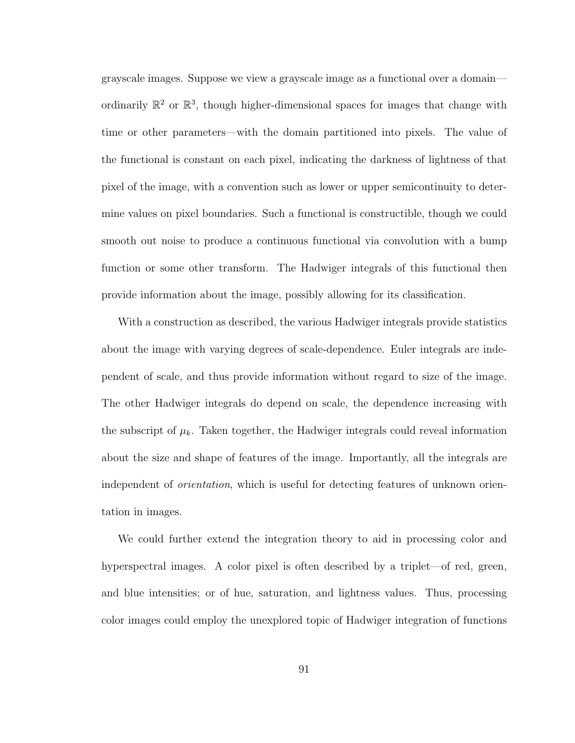grayscale images. Suppose we view a grayscale image as a functional over a domain ordinarily  $\mathbb{R}^2$  or  $\mathbb{R}^3$ , though higher-dimensional spaces for images that change with time or other parameters—with the domain partitioned into pixels. The value of the functional is constant on each pixel, indicating the darkness of lightness of that pixel of the image, with a convention such as lower or upper semicontinuity to determine values on pixel boundaries. Such a functional is constructible, though we could smooth out noise to produce a continuous functional via convolution with a bump function or some other transform. The Hadwiger integrals of this functional then provide information about the image, possibly allowing for its classification.

With a construction as described, the various Hadwiger integrals provide statistics about the image with varying degrees of scale-dependence. Euler integrals are independent of scale, and thus provide information without regard to size of the image. The other Hadwiger integrals do depend on scale, the dependence increasing with the subscript of  $\mu_k$ . Taken together, the Hadwiger integrals could reveal information about the size and shape of features of the image. Importantly, all the integrals are independent of *orientation*, which is useful for detecting features of unknown orientation in images.

We could further extend the integration theory to aid in processing color and hyperspectral images. A color pixel is often described by a triplet—of red, green, and blue intensities; or of hue, saturation, and lightness values. Thus, processing color images could employ the unexplored topic of Hadwiger integration of functions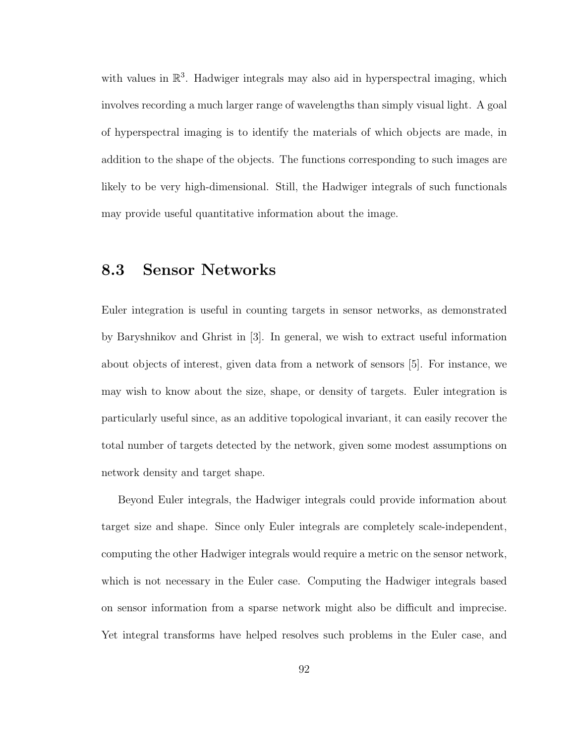with values in  $\mathbb{R}^3$ . Hadwiger integrals may also aid in hyperspectral imaging, which involves recording a much larger range of wavelengths than simply visual light. A goal of hyperspectral imaging is to identify the materials of which objects are made, in addition to the shape of the objects. The functions corresponding to such images are likely to be very high-dimensional. Still, the Hadwiger integrals of such functionals may provide useful quantitative information about the image.

### 8.3 Sensor Networks

Euler integration is useful in counting targets in sensor networks, as demonstrated by Baryshnikov and Ghrist in [3]. In general, we wish to extract useful information about objects of interest, given data from a network of sensors [5]. For instance, we may wish to know about the size, shape, or density of targets. Euler integration is particularly useful since, as an additive topological invariant, it can easily recover the total number of targets detected by the network, given some modest assumptions on network density and target shape.

Beyond Euler integrals, the Hadwiger integrals could provide information about target size and shape. Since only Euler integrals are completely scale-independent, computing the other Hadwiger integrals would require a metric on the sensor network, which is not necessary in the Euler case. Computing the Hadwiger integrals based on sensor information from a sparse network might also be difficult and imprecise. Yet integral transforms have helped resolves such problems in the Euler case, and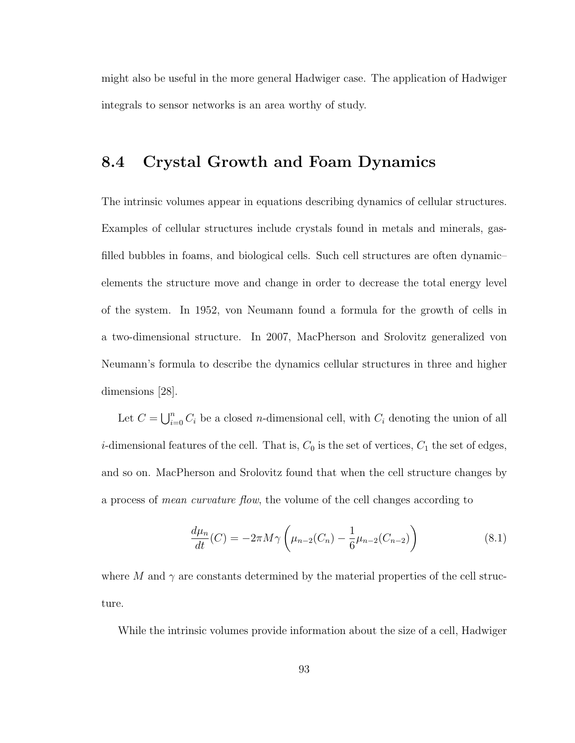might also be useful in the more general Hadwiger case. The application of Hadwiger integrals to sensor networks is an area worthy of study.

### 8.4 Crystal Growth and Foam Dynamics

The intrinsic volumes appear in equations describing dynamics of cellular structures. Examples of cellular structures include crystals found in metals and minerals, gasfilled bubbles in foams, and biological cells. Such cell structures are often dynamic– elements the structure move and change in order to decrease the total energy level of the system. In 1952, von Neumann found a formula for the growth of cells in a two-dimensional structure. In 2007, MacPherson and Srolovitz generalized von Neumann's formula to describe the dynamics cellular structures in three and higher dimensions [28].

Let  $C = \bigcup_{i=0}^{n} C_i$  be a closed *n*-dimensional cell, with  $C_i$  denoting the union of all *i*-dimensional features of the cell. That is,  $C_0$  is the set of vertices,  $C_1$  the set of edges, and so on. MacPherson and Srolovitz found that when the cell structure changes by a process of mean curvature flow, the volume of the cell changes according to

$$
\frac{d\mu_n}{dt}(C) = -2\pi M \gamma \left(\mu_{n-2}(C_n) - \frac{1}{6}\mu_{n-2}(C_{n-2})\right)
$$
\n(8.1)

where M and  $\gamma$  are constants determined by the material properties of the cell structure.

While the intrinsic volumes provide information about the size of a cell, Hadwiger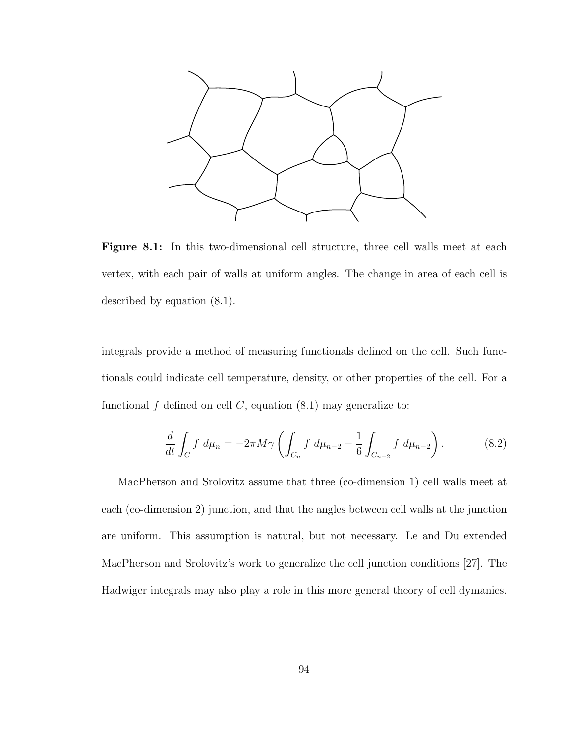

Figure 8.1: In this two-dimensional cell structure, three cell walls meet at each vertex, with each pair of walls at uniform angles. The change in area of each cell is described by equation (8.1).

integrals provide a method of measuring functionals defined on the cell. Such functionals could indicate cell temperature, density, or other properties of the cell. For a functional f defined on cell  $C$ , equation  $(8.1)$  may generalize to:

$$
\frac{d}{dt} \int_C f \ d\mu_n = -2\pi M \gamma \left( \int_{C_n} f \ d\mu_{n-2} - \frac{1}{6} \int_{C_{n-2}} f \ d\mu_{n-2} \right). \tag{8.2}
$$

MacPherson and Srolovitz assume that three (co-dimension 1) cell walls meet at each (co-dimension 2) junction, and that the angles between cell walls at the junction are uniform. This assumption is natural, but not necessary. Le and Du extended MacPherson and Srolovitz's work to generalize the cell junction conditions [27]. The Hadwiger integrals may also play a role in this more general theory of cell dymanics.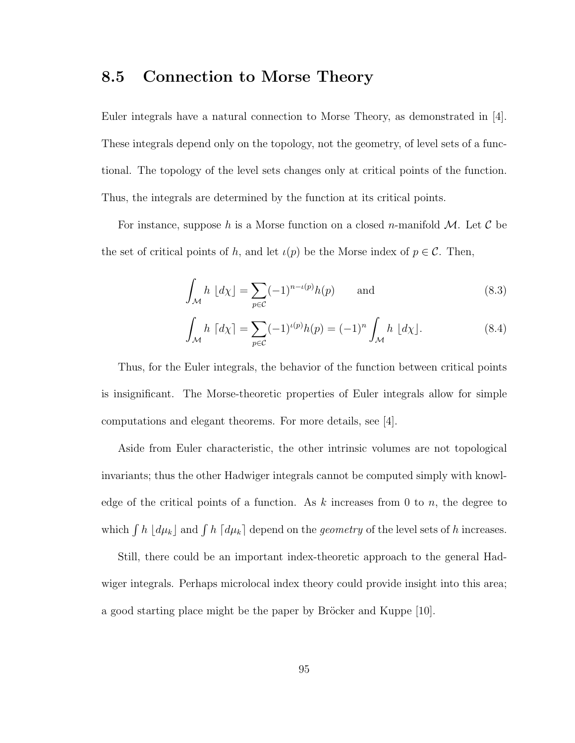#### 8.5 Connection to Morse Theory

Euler integrals have a natural connection to Morse Theory, as demonstrated in [4]. These integrals depend only on the topology, not the geometry, of level sets of a functional. The topology of the level sets changes only at critical points of the function. Thus, the integrals are determined by the function at its critical points.

For instance, suppose h is a Morse function on a closed n-manifold  $M$ . Let C be the set of critical points of h, and let  $\iota(p)$  be the Morse index of  $p \in \mathcal{C}$ . Then,

$$
\int_{\mathcal{M}} h \, \lfloor d\chi \rfloor = \sum_{p \in \mathcal{C}} (-1)^{n - \iota(p)} h(p) \qquad \text{and} \tag{8.3}
$$

$$
\int_{\mathcal{M}} h \, \left[ d\chi \right] = \sum_{p \in \mathcal{C}} (-1)^{\iota(p)} h(p) = (-1)^n \int_{\mathcal{M}} h \, \left[ d\chi \right]. \tag{8.4}
$$

Thus, for the Euler integrals, the behavior of the function between critical points is insignificant. The Morse-theoretic properties of Euler integrals allow for simple computations and elegant theorems. For more details, see [4].

Aside from Euler characteristic, the other intrinsic volumes are not topological invariants; thus the other Hadwiger integrals cannot be computed simply with knowledge of the critical points of a function. As  $k$  increases from 0 to n, the degree to which  $\int h \, [d\mu_k]$  and  $\int h \, [d\mu_k]$  depend on the *geometry* of the level sets of h increases.

Still, there could be an important index-theoretic approach to the general Hadwiger integrals. Perhaps microlocal index theory could provide insight into this area; a good starting place might be the paper by Bröcker and Kuppe [10].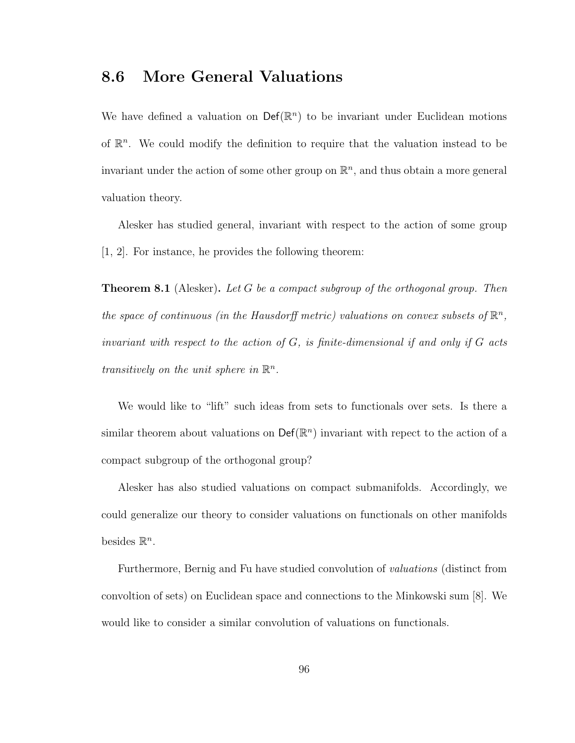### 8.6 More General Valuations

We have defined a valuation on  $\mathsf{Def}(\mathbb{R}^n)$  to be invariant under Euclidean motions of  $\mathbb{R}^n$ . We could modify the definition to require that the valuation instead to be invariant under the action of some other group on  $\mathbb{R}^n$ , and thus obtain a more general valuation theory.

Alesker has studied general, invariant with respect to the action of some group [1, 2]. For instance, he provides the following theorem:

**Theorem 8.1** (Alesker). Let G be a compact subgroup of the orthogonal group. Then the space of continuous (in the Hausdorff metric) valuations on convex subsets of  $\mathbb{R}^n$ , invariant with respect to the action of  $G$ , is finite-dimensional if and only if  $G$  acts transitively on the unit sphere in  $\mathbb{R}^n$ .

We would like to "lift" such ideas from sets to functionals over sets. Is there a similar theorem about valuations on  $\mathsf{Def}(\mathbb{R}^n)$  invariant with repect to the action of a compact subgroup of the orthogonal group?

Alesker has also studied valuations on compact submanifolds. Accordingly, we could generalize our theory to consider valuations on functionals on other manifolds besides  $\mathbb{R}^n$ .

Furthermore, Bernig and Fu have studied convolution of valuations (distinct from convoltion of sets) on Euclidean space and connections to the Minkowski sum [8]. We would like to consider a similar convolution of valuations on functionals.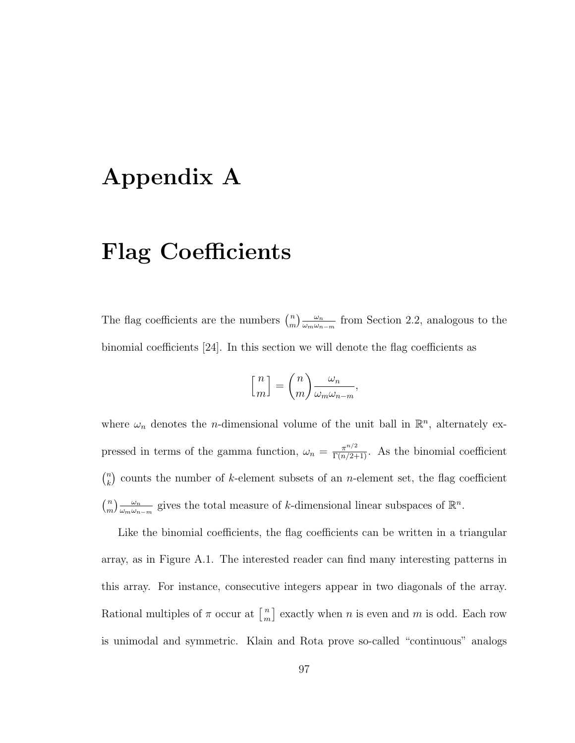# Appendix A

# Flag Coefficients

The flag coefficients are the numbers  $\binom{n}{m}$  $\binom{n}{m}\frac{\omega_n}{\omega_m\omega_n}$  $\frac{\omega_n}{\omega_m\omega_{n-m}}$  from Section 2.2, analogous to the binomial coefficients [24]. In this section we will denote the flag coefficients as

$$
\begin{bmatrix} n \\ m \end{bmatrix} = \binom{n}{m} \frac{\omega_n}{\omega_m \omega_{n-m}},
$$

where  $\omega_n$  denotes the *n*-dimensional volume of the unit ball in  $\mathbb{R}^n$ , alternately expressed in terms of the gamma function,  $\omega_n = \frac{\pi^{n/2}}{\Gamma(n/2+1)}$ . As the binomial coefficient  $\binom{n}{k}$  $\binom{n}{k}$  counts the number of k-element subsets of an n-element set, the flag coefficient  $\binom{n}{n}$  $\binom{n}{m}\frac{\omega_n}{\omega_m\omega_n}$  $\frac{\omega_n}{\omega_m \omega_{n-m}}$  gives the total measure of k-dimensional linear subspaces of  $\mathbb{R}^n$ .

Like the binomial coefficients, the flag coefficients can be written in a triangular array, as in Figure A.1. The interested reader can find many interesting patterns in this array. For instance, consecutive integers appear in two diagonals of the array. Rational multiples of  $\pi$  occur at  $\begin{bmatrix} n \\ m \end{bmatrix}$  $\binom{n}{m}$  exactly when *n* is even and *m* is odd. Each row is unimodal and symmetric. Klain and Rota prove so-called "continuous" analogs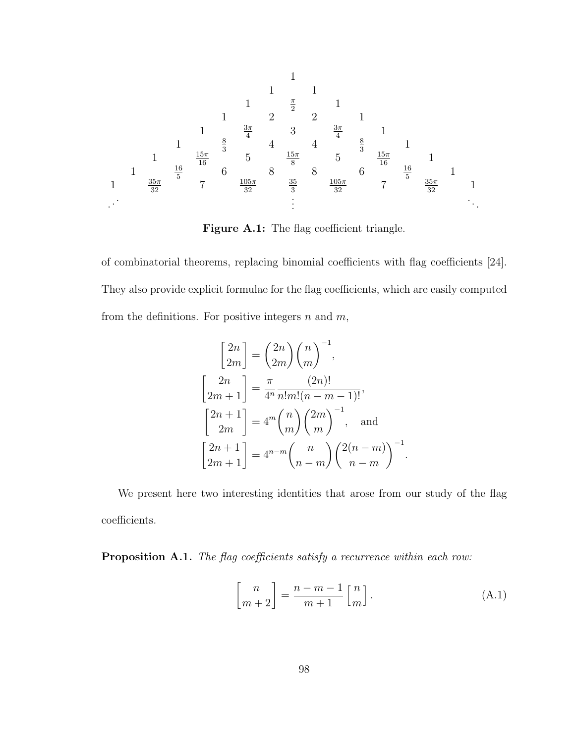

Figure A.1: The flag coefficient triangle.

of combinatorial theorems, replacing binomial coefficients with flag coefficients [24]. They also provide explicit formulae for the flag coefficients, which are easily computed from the definitions. For positive integers  $n$  and  $m$ ,

$$
\begin{bmatrix} 2n \\ 2m \end{bmatrix} = \binom{2n}{2m} \binom{n}{m}^{-1},
$$
  

$$
\begin{bmatrix} 2n \\ 2m+1 \end{bmatrix} = \frac{\pi}{4^n} \frac{(2n)!}{n!m!(n-m-1)!},
$$
  

$$
\begin{bmatrix} 2n+1 \\ 2m \end{bmatrix} = 4^m \binom{n}{m} \binom{2m}{m}^{-1},
$$
 and  

$$
\begin{bmatrix} 2n+1 \\ 2m+1 \end{bmatrix} = 4^{n-m} \binom{n}{n-m} \binom{2(n-m)}{n-m}^{-1}
$$

We present here two interesting identities that arose from our study of the flag coefficients.

Proposition A.1. The flag coefficients satisfy a recurrence within each row:

$$
\begin{bmatrix} n \\ m+2 \end{bmatrix} = \frac{n-m-1}{m+1} \begin{bmatrix} n \\ m \end{bmatrix}.
$$
 (A.1)

.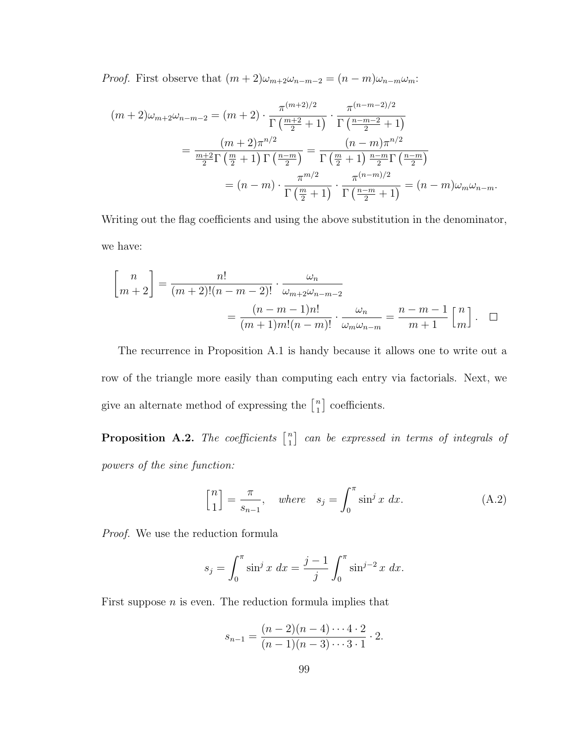*Proof.* First observe that  $(m + 2)\omega_{m+2}\omega_{n-m-2} = (n - m)\omega_{n-m}\omega_m$ :

$$
(m+2)\omega_{m+2}\omega_{n-m-2} = (m+2) \cdot \frac{\pi^{(m+2)/2}}{\Gamma(\frac{m+2}{2}+1)} \cdot \frac{\pi^{(n-m-2)/2}}{\Gamma(\frac{n-m-2}{2}+1)}
$$

$$
= \frac{(m+2)\pi^{n/2}}{\frac{m+2}{2}\Gamma(\frac{m}{2}+1)\Gamma(\frac{n-m}{2})} = \frac{(n-m)\pi^{n/2}}{\Gamma(\frac{m}{2}+1)\frac{n-m}{2}\Gamma(\frac{n-m}{2})}
$$

$$
= (n-m) \cdot \frac{\pi^{m/2}}{\Gamma(\frac{m}{2}+1)} \cdot \frac{\pi^{(n-m)/2}}{\Gamma(\frac{n-m}{2}+1)} = (n-m)\omega_m\omega_{n-m}.
$$

Writing out the flag coefficients and using the above substitution in the denominator, we have:

$$
\begin{bmatrix} n \\ m+2 \end{bmatrix} = \frac{n!}{(m+2)!(n-m-2)!} \cdot \frac{\omega_n}{\omega_{m+2}\omega_{n-m-2}}
$$

$$
= \frac{(n-m-1)n!}{(m+1)m!(n-m)!} \cdot \frac{\omega_n}{\omega_m\omega_{n-m}} = \frac{n-m-1}{m+1} \begin{bmatrix} n \\ m \end{bmatrix}.
$$

The recurrence in Proposition A.1 is handy because it allows one to write out a row of the triangle more easily than computing each entry via factorials. Next, we give an alternate method of expressing the  $\begin{bmatrix} n \\ 1 \end{bmatrix}$  $\binom{n}{1}$  coefficients.

**Proposition A.2.** The coefficients  $\begin{bmatrix} n \\ 1 \end{bmatrix}$  $\begin{smallmatrix} n \ 1 \end{smallmatrix}$  can be expressed in terms of integrals of powers of the sine function:

$$
\begin{bmatrix} n \\ 1 \end{bmatrix} = \frac{\pi}{s_{n-1}}, \quad where \quad s_j = \int_0^\pi \sin^j x \, dx. \tag{A.2}
$$

Proof. We use the reduction formula

$$
s_j = \int_0^{\pi} \sin^j x \, dx = \frac{j-1}{j} \int_0^{\pi} \sin^{j-2} x \, dx.
$$

First suppose  $n$  is even. The reduction formula implies that

$$
s_{n-1} = \frac{(n-2)(n-4)\cdots 4\cdot 2}{(n-1)(n-3)\cdots 3\cdot 1} \cdot 2.
$$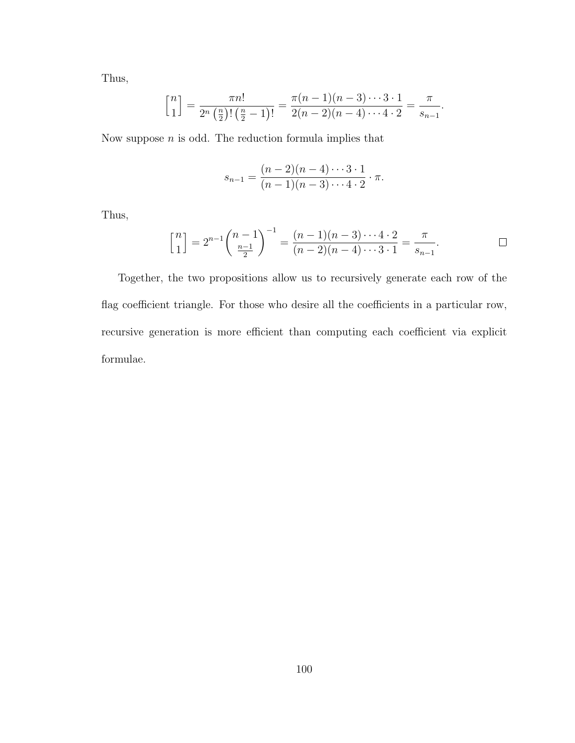Thus,

$$
\binom{n}{1} = \frac{\pi n!}{2^n \left(\frac{n}{2}\right)!\left(\frac{n}{2}-1\right)!} = \frac{\pi (n-1)(n-3)\cdots 3\cdot 1}{2(n-2)(n-4)\cdots 4\cdot 2} = \frac{\pi}{s_{n-1}}.
$$

Now suppose  $n$  is odd. The reduction formula implies that

$$
s_{n-1} = \frac{(n-2)(n-4)\cdots 3\cdot 1}{(n-1)(n-3)\cdots 4\cdot 2}\cdot \pi.
$$

Thus,

$$
\binom{n}{1} = 2^{n-1} \binom{n-1}{\frac{n-1}{2}}^{-1} = \frac{(n-1)(n-3)\cdots 4\cdot 2}{(n-2)(n-4)\cdots 3\cdot 1} = \frac{\pi}{s_{n-1}}.
$$

Together, the two propositions allow us to recursively generate each row of the flag coefficient triangle. For those who desire all the coefficients in a particular row, recursive generation is more efficient than computing each coefficient via explicit formulae.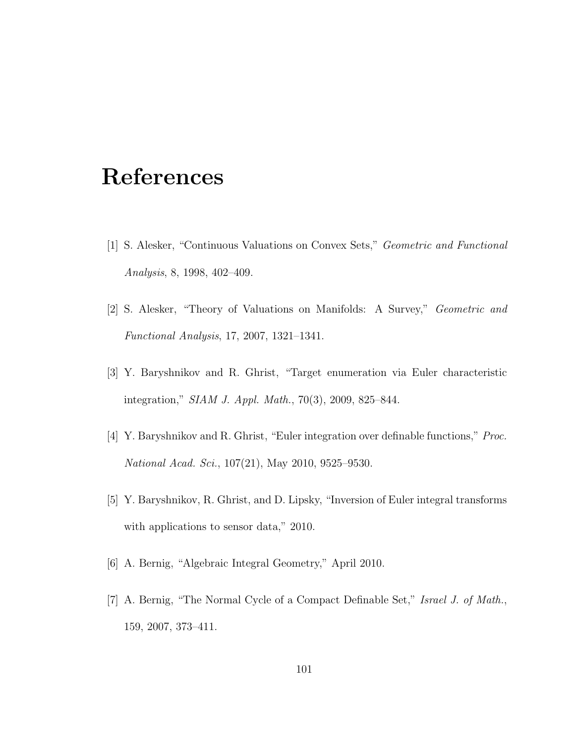## References

- [1] S. Alesker, "Continuous Valuations on Convex Sets," Geometric and Functional Analysis, 8, 1998, 402–409.
- [2] S. Alesker, "Theory of Valuations on Manifolds: A Survey," Geometric and Functional Analysis, 17, 2007, 1321–1341.
- [3] Y. Baryshnikov and R. Ghrist, "Target enumeration via Euler characteristic integration," SIAM J. Appl. Math., 70(3), 2009, 825–844.
- [4] Y. Baryshnikov and R. Ghrist, "Euler integration over definable functions," Proc. National Acad. Sci., 107(21), May 2010, 9525–9530.
- [5] Y. Baryshnikov, R. Ghrist, and D. Lipsky, "Inversion of Euler integral transforms with applications to sensor data," 2010.
- [6] A. Bernig, "Algebraic Integral Geometry," April 2010.
- [7] A. Bernig, "The Normal Cycle of a Compact Definable Set," Israel J. of Math., 159, 2007, 373–411.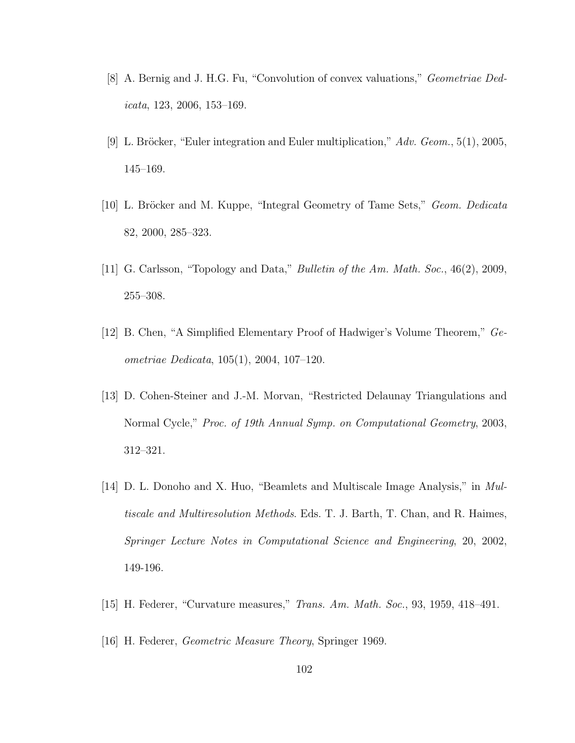- [8] A. Bernig and J. H.G. Fu, "Convolution of convex valuations," Geometriae Ded $icata, 123, 2006, 153–169.$
- [9] L. Bröcker, "Euler integration and Euler multiplication,"  $Adv. Geom.$ , 5(1), 2005, 145–169.
- [10] L. Bröcker and M. Kuppe, "Integral Geometry of Tame Sets," Geom. Dedicata 82, 2000, 285–323.
- [11] G. Carlsson, "Topology and Data," *Bulletin of the Am. Math. Soc.*, 46(2), 2009, 255–308.
- [12] B. Chen, "A Simplified Elementary Proof of Hadwiger's Volume Theorem," Geometriae Dedicata, 105(1), 2004, 107–120.
- [13] D. Cohen-Steiner and J.-M. Morvan, "Restricted Delaunay Triangulations and Normal Cycle," Proc. of 19th Annual Symp. on Computational Geometry, 2003, 312–321.
- [14] D. L. Donoho and X. Huo, "Beamlets and Multiscale Image Analysis," in Multiscale and Multiresolution Methods. Eds. T. J. Barth, T. Chan, and R. Haimes, Springer Lecture Notes in Computational Science and Engineering, 20, 2002, 149-196.
- [15] H. Federer, "Curvature measures," Trans. Am. Math. Soc., 93, 1959, 418–491.
- [16] H. Federer, Geometric Measure Theory, Springer 1969.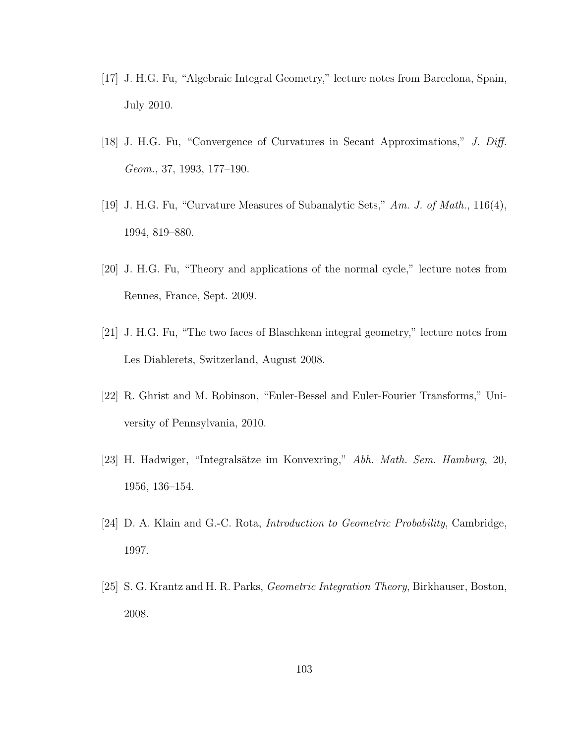- [17] J. H.G. Fu, "Algebraic Integral Geometry," lecture notes from Barcelona, Spain, July 2010.
- [18] J. H.G. Fu, "Convergence of Curvatures in Secant Approximations," J. Diff. Geom., 37, 1993, 177–190.
- [19] J. H.G. Fu, "Curvature Measures of Subanalytic Sets," Am. J. of Math., 116(4), 1994, 819–880.
- [20] J. H.G. Fu, "Theory and applications of the normal cycle," lecture notes from Rennes, France, Sept. 2009.
- [21] J. H.G. Fu, "The two faces of Blaschkean integral geometry," lecture notes from Les Diablerets, Switzerland, August 2008.
- [22] R. Ghrist and M. Robinson, "Euler-Bessel and Euler-Fourier Transforms," University of Pennsylvania, 2010.
- [23] H. Hadwiger, "Integralsätze im Konvexring," Abh. Math. Sem. Hamburg, 20, 1956, 136–154.
- [24] D. A. Klain and G.-C. Rota, Introduction to Geometric Probability, Cambridge, 1997.
- [25] S. G. Krantz and H. R. Parks, Geometric Integration Theory, Birkhauser, Boston, 2008.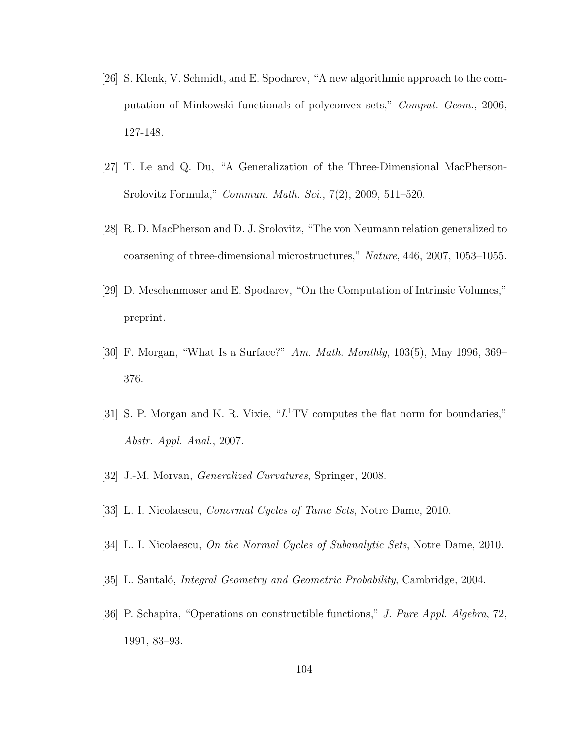- [26] S. Klenk, V. Schmidt, and E. Spodarev, "A new algorithmic approach to the computation of Minkowski functionals of polyconvex sets," Comput. Geom., 2006, 127-148.
- [27] T. Le and Q. Du, "A Generalization of the Three-Dimensional MacPherson-Srolovitz Formula," Commun. Math. Sci., 7(2), 2009, 511–520.
- [28] R. D. MacPherson and D. J. Srolovitz, "The von Neumann relation generalized to coarsening of three-dimensional microstructures," Nature, 446, 2007, 1053–1055.
- [29] D. Meschenmoser and E. Spodarev, "On the Computation of Intrinsic Volumes," preprint.
- [30] F. Morgan, "What Is a Surface?" Am. Math. Monthly, 103(5), May 1996, 369– 376.
- [31] S. P. Morgan and K. R. Vixie, " $L<sup>1</sup> TV$  computes the flat norm for boundaries," Abstr. Appl. Anal., 2007.
- [32] J.-M. Morvan, *Generalized Curvatures*, Springer, 2008.
- [33] L. I. Nicolaescu, Conormal Cycles of Tame Sets, Notre Dame, 2010.
- [34] L. I. Nicolaescu, On the Normal Cycles of Subanalytic Sets, Notre Dame, 2010.
- [35] L. Santaló, *Integral Geometry and Geometric Probability*, Cambridge, 2004.
- [36] P. Schapira, "Operations on constructible functions," J. Pure Appl. Algebra, 72, 1991, 83–93.